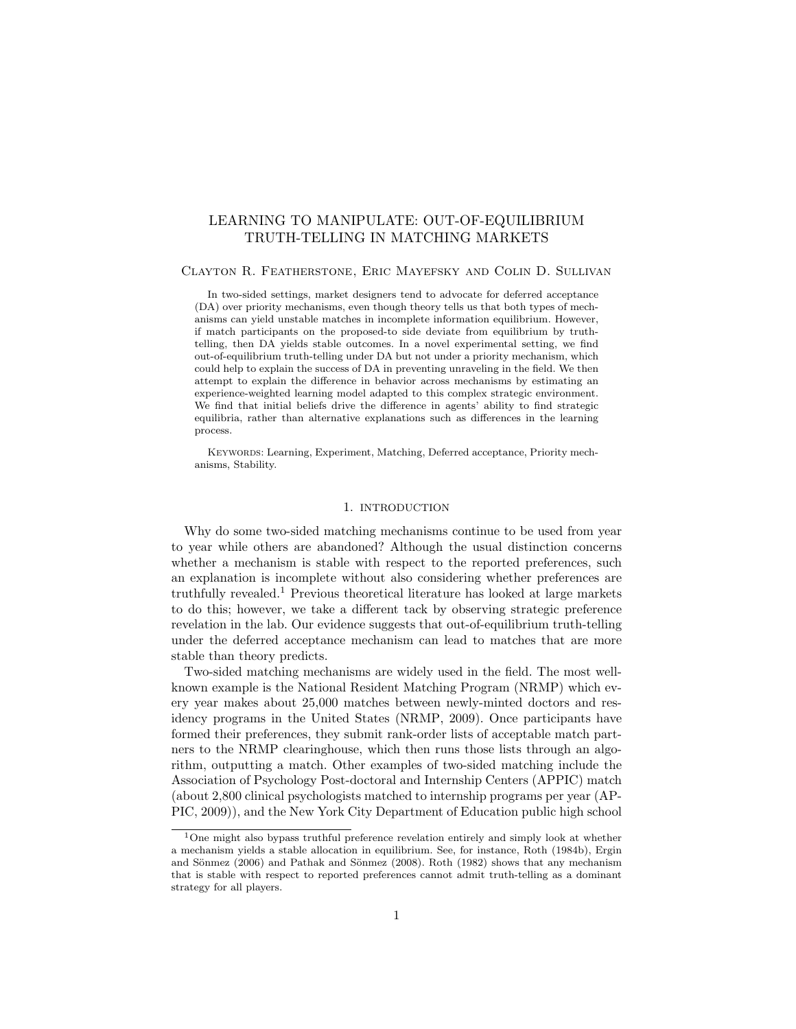# LEARNING TO MANIPULATE: OUT-OF-EQUILIBRIUM TRUTH-TELLING IN MATCHING MARKETS

# Clayton R. Featherstone, Eric Mayefsky and Colin D. Sullivan

In two-sided settings, market designers tend to advocate for deferred acceptance (DA) over priority mechanisms, even though theory tells us that both types of mechanisms can yield unstable matches in incomplete information equilibrium. However, if match participants on the proposed-to side deviate from equilibrium by truthtelling, then DA yields stable outcomes. In a novel experimental setting, we find out-of-equilibrium truth-telling under DA but not under a priority mechanism, which could help to explain the success of DA in preventing unraveling in the field. We then attempt to explain the difference in behavior across mechanisms by estimating an experience-weighted learning model adapted to this complex strategic environment. We find that initial beliefs drive the difference in agents' ability to find strategic equilibria, rather than alternative explanations such as differences in the learning process.

Keywords: Learning, Experiment, Matching, Deferred acceptance, Priority mechanisms, Stability.

# 1. INTRODUCTION

Why do some two-sided matching mechanisms continue to be used from year to year while others are abandoned? Although the usual distinction concerns whether a mechanism is stable with respect to the reported preferences, such an explanation is incomplete without also considering whether preferences are truthfully revealed.<sup>1</sup> Previous theoretical literature has looked at large markets to do this; however, we take a different tack by observing strategic preference revelation in the lab. Our evidence suggests that out-of-equilibrium truth-telling under the deferred acceptance mechanism can lead to matches that are more stable than theory predicts.

Two-sided matching mechanisms are widely used in the field. The most wellknown example is the National Resident Matching Program (NRMP) which every year makes about 25,000 matches between newly-minted doctors and residency programs in the United States (NRMP, 2009). Once participants have formed their preferences, they submit rank-order lists of acceptable match partners to the NRMP clearinghouse, which then runs those lists through an algorithm, outputting a match. Other examples of two-sided matching include the Association of Psychology Post-doctoral and Internship Centers (APPIC) match (about 2,800 clinical psychologists matched to internship programs per year (AP-PIC, 2009)), and the New York City Department of Education public high school

<sup>1</sup>One might also bypass truthful preference revelation entirely and simply look at whether a mechanism yields a stable allocation in equilibrium. See, for instance, Roth (1984b), Ergin and Sönmez (2006) and Pathak and Sönmez (2008). Roth (1982) shows that any mechanism that is stable with respect to reported preferences cannot admit truth-telling as a dominant strategy for all players.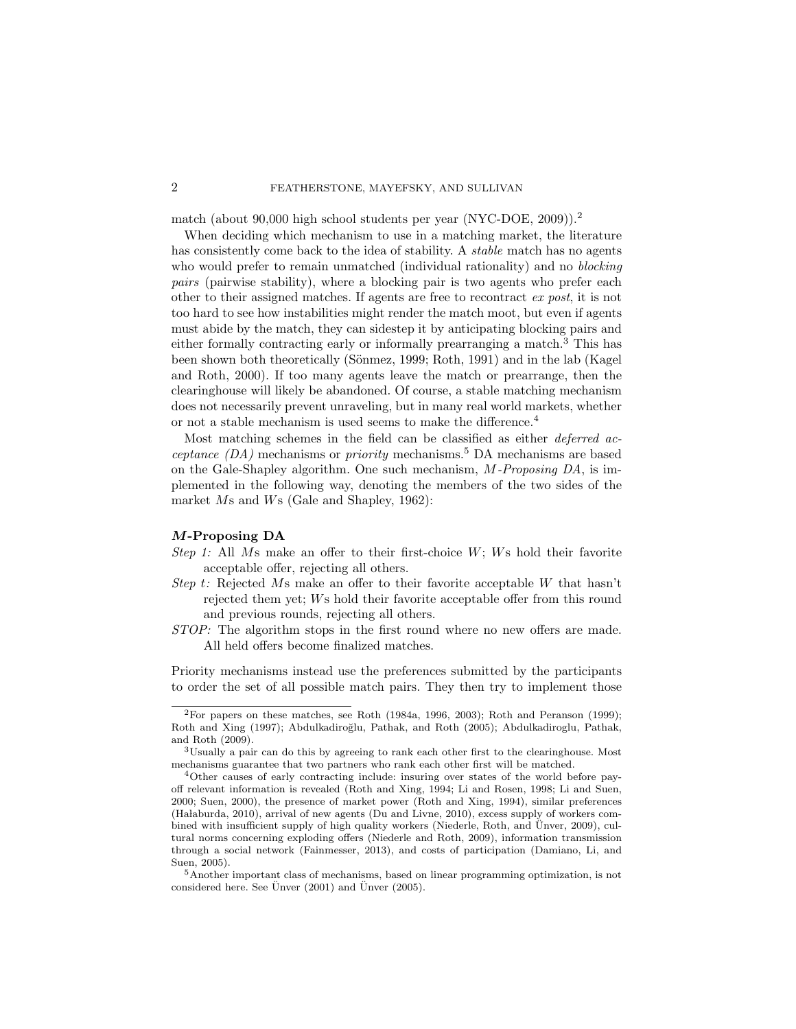match (about 90,000 high school students per year (NYC-DOE, 2009)).<sup>2</sup>

When deciding which mechanism to use in a matching market, the literature has consistently come back to the idea of stability. A *stable* match has no agents who would prefer to remain unmatched (individual rationality) and no *blocking* pairs (pairwise stability), where a blocking pair is two agents who prefer each other to their assigned matches. If agents are free to recontract ex post, it is not too hard to see how instabilities might render the match moot, but even if agents must abide by the match, they can sidestep it by anticipating blocking pairs and either formally contracting early or informally prearranging a match.<sup>3</sup> This has been shown both theoretically (Sönmez, 1999; Roth, 1991) and in the lab (Kagel and Roth, 2000). If too many agents leave the match or prearrange, then the clearinghouse will likely be abandoned. Of course, a stable matching mechanism does not necessarily prevent unraveling, but in many real world markets, whether or not a stable mechanism is used seems to make the difference.<sup>4</sup>

Most matching schemes in the field can be classified as either *deferred ac*ceptance  $(DA)$  mechanisms or priority mechanisms.<sup>5</sup> DA mechanisms are based on the Gale-Shapley algorithm. One such mechanism, M-Proposing DA, is implemented in the following way, denoting the members of the two sides of the market Ms and Ws (Gale and Shapley, 1962):

# M-Proposing DA

- Step 1: All Ms make an offer to their first-choice  $W$ ; Ws hold their favorite acceptable offer, rejecting all others.
- Step t: Rejected Ms make an offer to their favorite acceptable W that hasn't rejected them yet; Ws hold their favorite acceptable offer from this round and previous rounds, rejecting all others.
- STOP: The algorithm stops in the first round where no new offers are made. All held offers become finalized matches.

Priority mechanisms instead use the preferences submitted by the participants to order the set of all possible match pairs. They then try to implement those

<sup>&</sup>lt;sup>2</sup>For papers on these matches, see Roth (1984a, 1996, 2003); Roth and Peranson (1999); Roth and Xing (1997); Abdulkadiroğlu, Pathak, and Roth (2005); Abdulkadiroglu, Pathak, and Roth (2009).

<sup>3</sup>Usually a pair can do this by agreeing to rank each other first to the clearinghouse. Most mechanisms guarantee that two partners who rank each other first will be matched.

<sup>4</sup>Other causes of early contracting include: insuring over states of the world before payoff relevant information is revealed (Roth and Xing, 1994; Li and Rosen, 1998; Li and Suen, 2000; Suen, 2000), the presence of market power (Roth and Xing, 1994), similar preferences  $(Halaburda, 2010)$ , arrival of new agents (Du and Livne, 2010), excess supply of workers combined with insufficient supply of high quality workers (Niederle, Roth, and Unver, 2009), cultural norms concerning exploding offers (Niederle and Roth, 2009), information transmission through a social network (Fainmesser, 2013), and costs of participation (Damiano, Li, and Suen, 2005).

<sup>5</sup>Another important class of mechanisms, based on linear programming optimization, is not considered here. See Unver  $(2001)$  and Unver  $(2005)$ .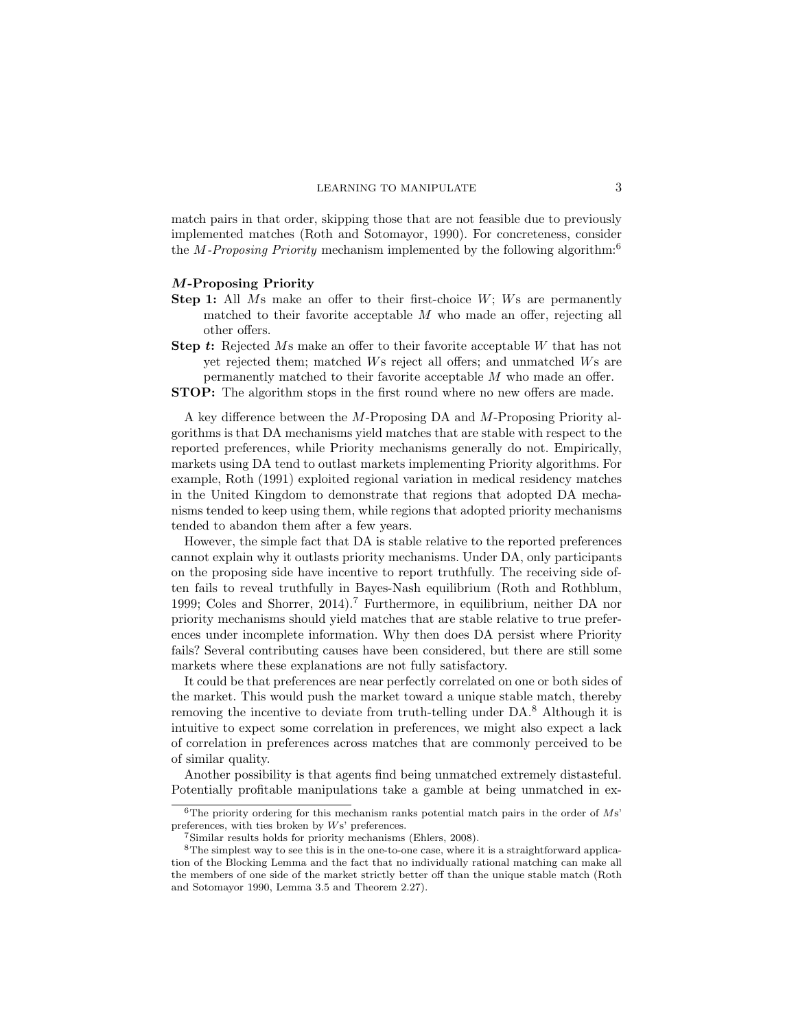match pairs in that order, skipping those that are not feasible due to previously implemented matches (Roth and Sotomayor, 1990). For concreteness, consider the *M-Proposing Priority* mechanism implemented by the following algorithm:<sup>6</sup>

### M-Proposing Priority

- **Step 1:** All  $M_s$  make an offer to their first-choice  $W$ ;  $W_s$  are permanently matched to their favorite acceptable  $M$  who made an offer, rejecting all other offers.
- Step t: Rejected Ms make an offer to their favorite acceptable W that has not yet rejected them; matched Ws reject all offers; and unmatched Ws are permanently matched to their favorite acceptable M who made an offer.
- STOP: The algorithm stops in the first round where no new offers are made.

A key difference between the M-Proposing DA and M-Proposing Priority algorithms is that DA mechanisms yield matches that are stable with respect to the reported preferences, while Priority mechanisms generally do not. Empirically, markets using DA tend to outlast markets implementing Priority algorithms. For example, Roth (1991) exploited regional variation in medical residency matches in the United Kingdom to demonstrate that regions that adopted DA mechanisms tended to keep using them, while regions that adopted priority mechanisms tended to abandon them after a few years.

However, the simple fact that DA is stable relative to the reported preferences cannot explain why it outlasts priority mechanisms. Under DA, only participants on the proposing side have incentive to report truthfully. The receiving side often fails to reveal truthfully in Bayes-Nash equilibrium (Roth and Rothblum, 1999; Coles and Shorrer, 2014).<sup>7</sup> Furthermore, in equilibrium, neither DA nor priority mechanisms should yield matches that are stable relative to true preferences under incomplete information. Why then does DA persist where Priority fails? Several contributing causes have been considered, but there are still some markets where these explanations are not fully satisfactory.

It could be that preferences are near perfectly correlated on one or both sides of the market. This would push the market toward a unique stable match, thereby removing the incentive to deviate from truth-telling under DA.<sup>8</sup> Although it is intuitive to expect some correlation in preferences, we might also expect a lack of correlation in preferences across matches that are commonly perceived to be of similar quality.

Another possibility is that agents find being unmatched extremely distasteful. Potentially profitable manipulations take a gamble at being unmatched in ex-

<sup>&</sup>lt;sup>6</sup>The priority ordering for this mechanism ranks potential match pairs in the order of  $Ms$ preferences, with ties broken by Ws' preferences.

<sup>7</sup>Similar results holds for priority mechanisms (Ehlers, 2008).

<sup>&</sup>lt;sup>8</sup>The simplest way to see this is in the one-to-one case, where it is a straightforward application of the Blocking Lemma and the fact that no individually rational matching can make all the members of one side of the market strictly better off than the unique stable match (Roth and Sotomayor 1990, Lemma 3.5 and Theorem 2.27).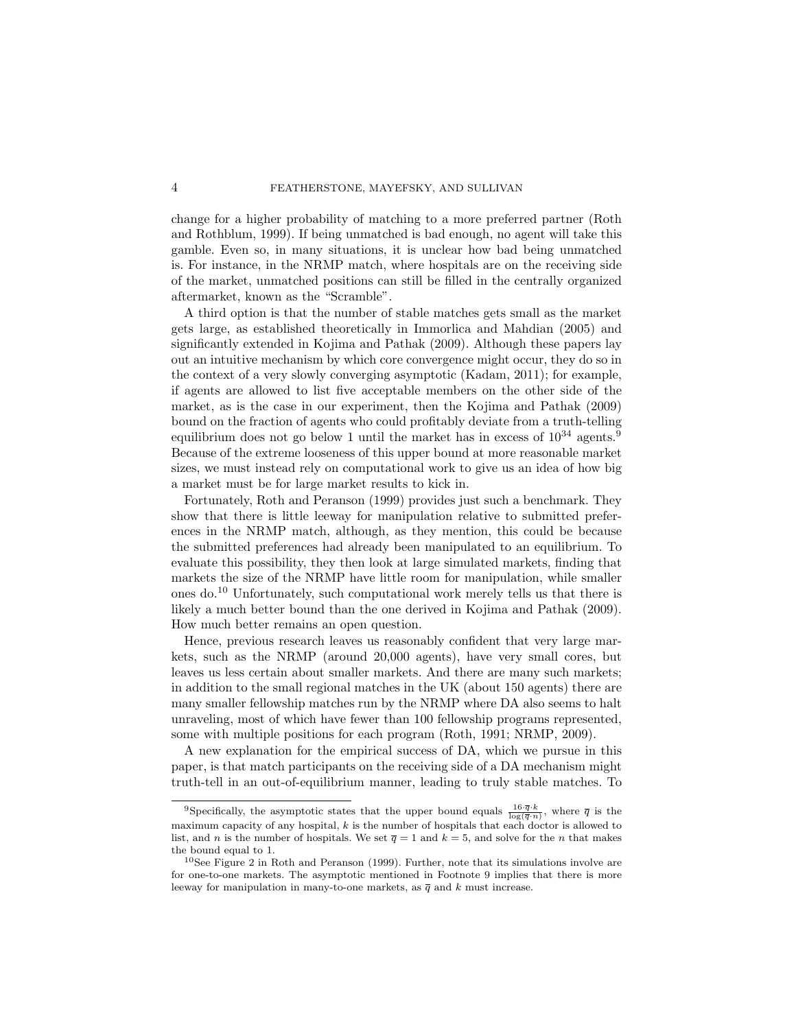change for a higher probability of matching to a more preferred partner (Roth and Rothblum, 1999). If being unmatched is bad enough, no agent will take this gamble. Even so, in many situations, it is unclear how bad being unmatched is. For instance, in the NRMP match, where hospitals are on the receiving side of the market, unmatched positions can still be filled in the centrally organized aftermarket, known as the "Scramble".

A third option is that the number of stable matches gets small as the market gets large, as established theoretically in Immorlica and Mahdian (2005) and significantly extended in Kojima and Pathak (2009). Although these papers lay out an intuitive mechanism by which core convergence might occur, they do so in the context of a very slowly converging asymptotic (Kadam, 2011); for example, if agents are allowed to list five acceptable members on the other side of the market, as is the case in our experiment, then the Kojima and Pathak (2009) bound on the fraction of agents who could profitably deviate from a truth-telling equilibrium does not go below 1 until the market has in excess of  $10^{34}$  agents.<sup>9</sup> Because of the extreme looseness of this upper bound at more reasonable market sizes, we must instead rely on computational work to give us an idea of how big a market must be for large market results to kick in.

Fortunately, Roth and Peranson (1999) provides just such a benchmark. They show that there is little leeway for manipulation relative to submitted preferences in the NRMP match, although, as they mention, this could be because the submitted preferences had already been manipulated to an equilibrium. To evaluate this possibility, they then look at large simulated markets, finding that markets the size of the NRMP have little room for manipulation, while smaller ones do.<sup>10</sup> Unfortunately, such computational work merely tells us that there is likely a much better bound than the one derived in Kojima and Pathak (2009). How much better remains an open question.

Hence, previous research leaves us reasonably confident that very large markets, such as the NRMP (around 20,000 agents), have very small cores, but leaves us less certain about smaller markets. And there are many such markets; in addition to the small regional matches in the UK (about 150 agents) there are many smaller fellowship matches run by the NRMP where DA also seems to halt unraveling, most of which have fewer than 100 fellowship programs represented, some with multiple positions for each program (Roth, 1991; NRMP, 2009).

A new explanation for the empirical success of DA, which we pursue in this paper, is that match participants on the receiving side of a DA mechanism might truth-tell in an out-of-equilibrium manner, leading to truly stable matches. To

<sup>&</sup>lt;sup>9</sup>Specifically, the asymptotic states that the upper bound equals  $\frac{16\cdot \overline{q}\cdot k}{\log(\overline{q}\cdot n)}$ , where  $\overline{q}$  is the maximum capacity of any hospital,  $k$  is the number of hospitals that each doctor is allowed to list, and n is the number of hospitals. We set  $\overline{q} = 1$  and  $k = 5$ , and solve for the n that makes the bound equal to 1.

<sup>10</sup>See Figure 2 in Roth and Peranson (1999). Further, note that its simulations involve are for one-to-one markets. The asymptotic mentioned in Footnote 9 implies that there is more leeway for manipulation in many-to-one markets, as  $\bar{q}$  and k must increase.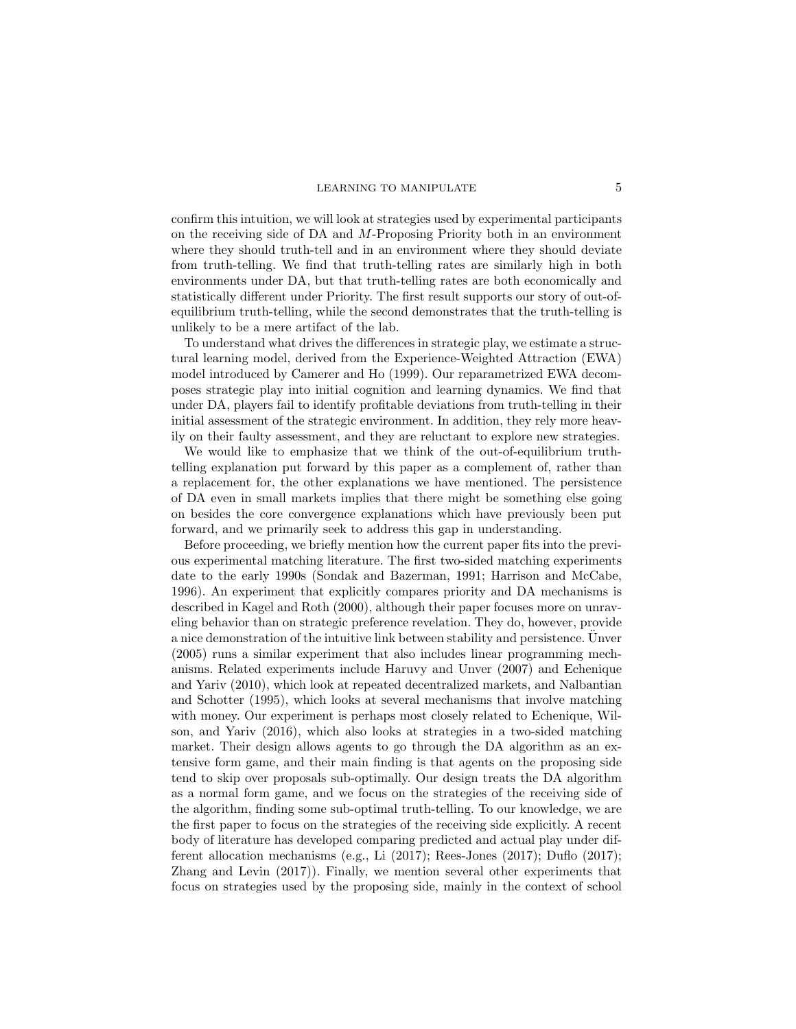confirm this intuition, we will look at strategies used by experimental participants on the receiving side of DA and M-Proposing Priority both in an environment where they should truth-tell and in an environment where they should deviate from truth-telling. We find that truth-telling rates are similarly high in both environments under DA, but that truth-telling rates are both economically and statistically different under Priority. The first result supports our story of out-ofequilibrium truth-telling, while the second demonstrates that the truth-telling is unlikely to be a mere artifact of the lab.

To understand what drives the differences in strategic play, we estimate a structural learning model, derived from the Experience-Weighted Attraction (EWA) model introduced by Camerer and Ho (1999). Our reparametrized EWA decomposes strategic play into initial cognition and learning dynamics. We find that under DA, players fail to identify profitable deviations from truth-telling in their initial assessment of the strategic environment. In addition, they rely more heavily on their faulty assessment, and they are reluctant to explore new strategies.

We would like to emphasize that we think of the out-of-equilibrium truthtelling explanation put forward by this paper as a complement of, rather than a replacement for, the other explanations we have mentioned. The persistence of DA even in small markets implies that there might be something else going on besides the core convergence explanations which have previously been put forward, and we primarily seek to address this gap in understanding.

Before proceeding, we briefly mention how the current paper fits into the previous experimental matching literature. The first two-sided matching experiments date to the early 1990s (Sondak and Bazerman, 1991; Harrison and McCabe, 1996). An experiment that explicitly compares priority and DA mechanisms is described in Kagel and Roth (2000), although their paper focuses more on unraveling behavior than on strategic preference revelation. They do, however, provide a nice demonstration of the intuitive link between stability and persistence. Unver ¨ (2005) runs a similar experiment that also includes linear programming mechanisms. Related experiments include Haruvy and Unver (2007) and Echenique and Yariv (2010), which look at repeated decentralized markets, and Nalbantian and Schotter (1995), which looks at several mechanisms that involve matching with money. Our experiment is perhaps most closely related to Echenique, Wilson, and Yariv (2016), which also looks at strategies in a two-sided matching market. Their design allows agents to go through the DA algorithm as an extensive form game, and their main finding is that agents on the proposing side tend to skip over proposals sub-optimally. Our design treats the DA algorithm as a normal form game, and we focus on the strategies of the receiving side of the algorithm, finding some sub-optimal truth-telling. To our knowledge, we are the first paper to focus on the strategies of the receiving side explicitly. A recent body of literature has developed comparing predicted and actual play under different allocation mechanisms (e.g., Li (2017); Rees-Jones (2017); Duflo (2017); Zhang and Levin (2017)). Finally, we mention several other experiments that focus on strategies used by the proposing side, mainly in the context of school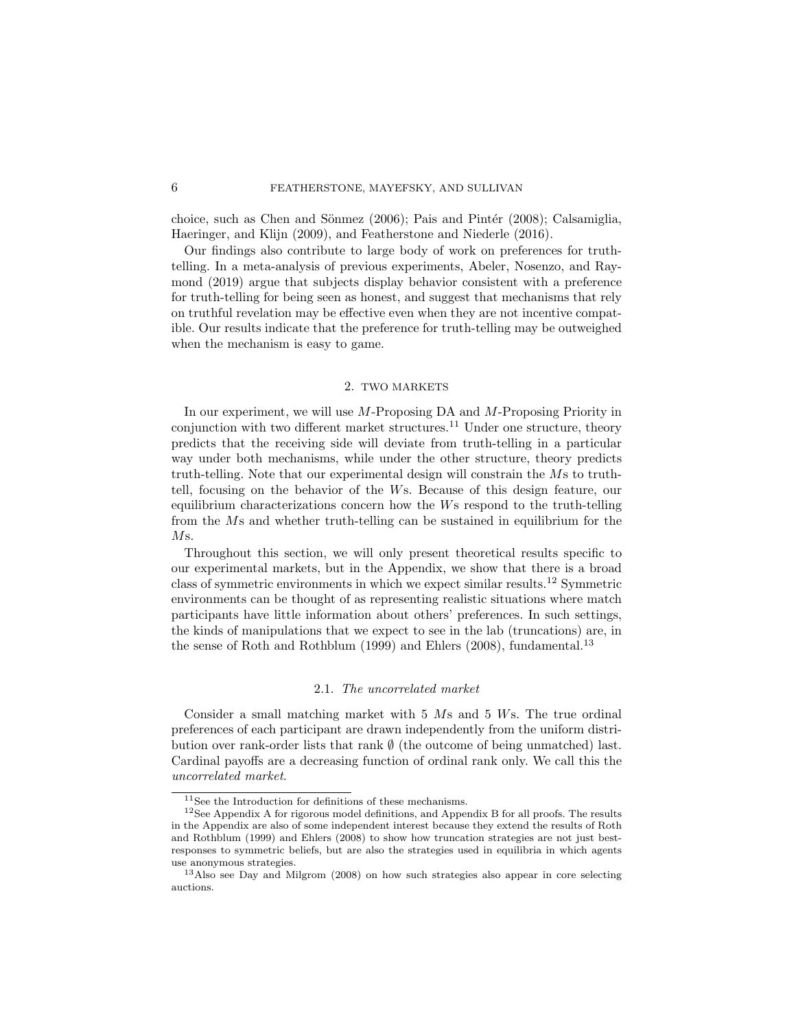choice, such as Chen and Sönmez  $(2006)$ ; Pais and Pintér  $(2008)$ ; Calsamiglia, Haeringer, and Klijn (2009), and Featherstone and Niederle (2016).

Our findings also contribute to large body of work on preferences for truthtelling. In a meta-analysis of previous experiments, Abeler, Nosenzo, and Raymond (2019) argue that subjects display behavior consistent with a preference for truth-telling for being seen as honest, and suggest that mechanisms that rely on truthful revelation may be effective even when they are not incentive compatible. Our results indicate that the preference for truth-telling may be outweighed when the mechanism is easy to game.

# 2. TWO MARKETS

In our experiment, we will use M-Proposing DA and M-Proposing Priority in conjunction with two different market structures.<sup>11</sup> Under one structure, theory predicts that the receiving side will deviate from truth-telling in a particular way under both mechanisms, while under the other structure, theory predicts truth-telling. Note that our experimental design will constrain the Ms to truthtell, focusing on the behavior of the Ws. Because of this design feature, our equilibrium characterizations concern how the Ws respond to the truth-telling from the Ms and whether truth-telling can be sustained in equilibrium for the Ms.

Throughout this section, we will only present theoretical results specific to our experimental markets, but in the Appendix, we show that there is a broad class of symmetric environments in which we expect similar results.<sup>12</sup> Symmetric environments can be thought of as representing realistic situations where match participants have little information about others' preferences. In such settings, the kinds of manipulations that we expect to see in the lab (truncations) are, in the sense of Roth and Rothblum (1999) and Ehlers (2008), fundamental.<sup>13</sup>

## 2.1. The uncorrelated market

Consider a small matching market with 5 Ms and 5 Ws. The true ordinal preferences of each participant are drawn independently from the uniform distribution over rank-order lists that rank  $\emptyset$  (the outcome of being unmatched) last. Cardinal payoffs are a decreasing function of ordinal rank only. We call this the uncorrelated market.

 $\overline{^{11}\text{See}}$  the Introduction for definitions of these mechanisms.

 $12$ See Appendix A for rigorous model definitions, and Appendix B for all proofs. The results in the Appendix are also of some independent interest because they extend the results of Roth and Rothblum (1999) and Ehlers (2008) to show how truncation strategies are not just bestresponses to symmetric beliefs, but are also the strategies used in equilibria in which agents use anonymous strategies.

<sup>13</sup>Also see Day and Milgrom (2008) on how such strategies also appear in core selecting auctions.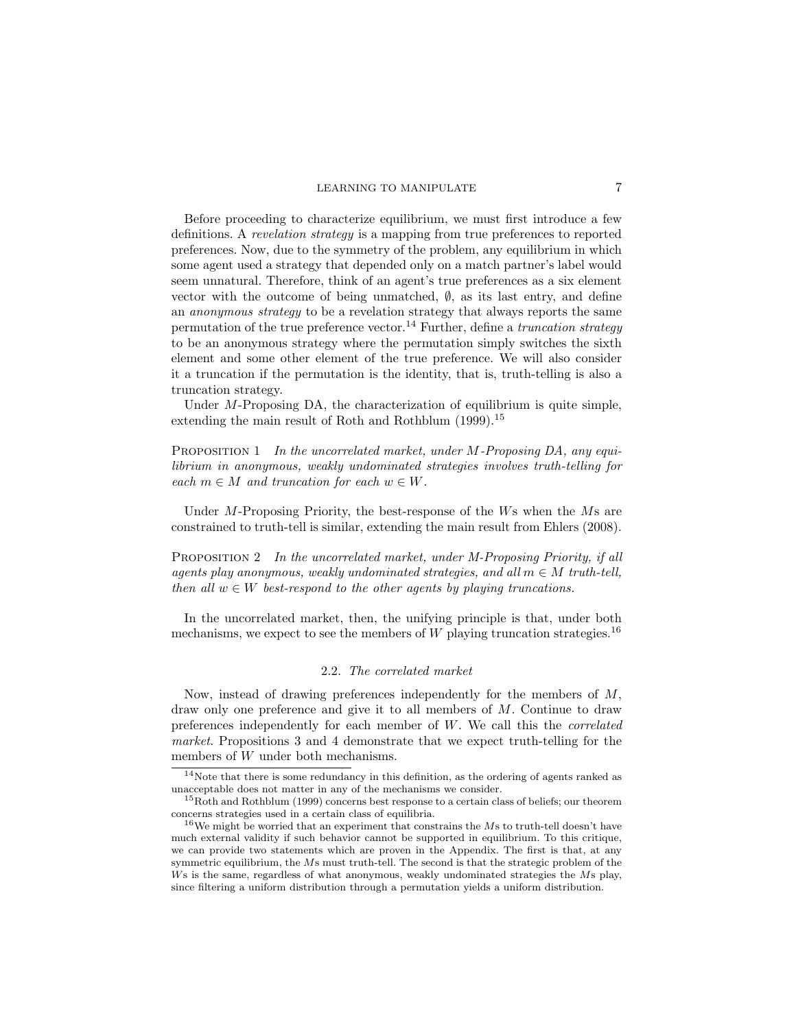Before proceeding to characterize equilibrium, we must first introduce a few definitions. A revelation strategy is a mapping from true preferences to reported preferences. Now, due to the symmetry of the problem, any equilibrium in which some agent used a strategy that depended only on a match partner's label would seem unnatural. Therefore, think of an agent's true preferences as a six element vector with the outcome of being unmatched,  $\emptyset$ , as its last entry, and define an anonymous strategy to be a revelation strategy that always reports the same permutation of the true preference vector.<sup>14</sup> Further, define a *truncation strategy* to be an anonymous strategy where the permutation simply switches the sixth element and some other element of the true preference. We will also consider it a truncation if the permutation is the identity, that is, truth-telling is also a truncation strategy.

Under *M*-Proposing DA, the characterization of equilibrium is quite simple, extending the main result of Roth and Rothblum (1999).<sup>15</sup>

PROPOSITION 1 In the uncorrelated market, under M-Proposing DA, any equilibrium in anonymous, weakly undominated strategies involves truth-telling for each  $m \in M$  and truncation for each  $w \in W$ .

Under M-Proposing Priority, the best-response of the  $W_s$  when the  $Ms$  are constrained to truth-tell is similar, extending the main result from Ehlers (2008).

PROPOSITION 2 In the uncorrelated market, under M-Proposing Priority, if all agents play anonymous, weakly undominated strategies, and all  $m \in M$  truth-tell, then all  $w \in W$  best-respond to the other agents by playing truncations.

In the uncorrelated market, then, the unifying principle is that, under both mechanisms, we expect to see the members of W playing truncation strategies.<sup>16</sup>

# 2.2. The correlated market

Now, instead of drawing preferences independently for the members of M, draw only one preference and give it to all members of M. Continue to draw preferences independently for each member of W. We call this the correlated market. Propositions 3 and 4 demonstrate that we expect truth-telling for the members of W under both mechanisms.

 $14$ Note that there is some redundancy in this definition, as the ordering of agents ranked as unacceptable does not matter in any of the mechanisms we consider.

<sup>&</sup>lt;sup>15</sup>Roth and Rothblum (1999) concerns best response to a certain class of beliefs; our theorem concerns strategies used in a certain class of equilibria.

<sup>&</sup>lt;sup>16</sup>We might be worried that an experiment that constrains the  $Ms$  to truth-tell doesn't have much external validity if such behavior cannot be supported in equilibrium. To this critique, we can provide two statements which are proven in the Appendix. The first is that, at any symmetric equilibrium, the Ms must truth-tell. The second is that the strategic problem of the Ws is the same, regardless of what anonymous, weakly undominated strategies the Ms play, since filtering a uniform distribution through a permutation yields a uniform distribution.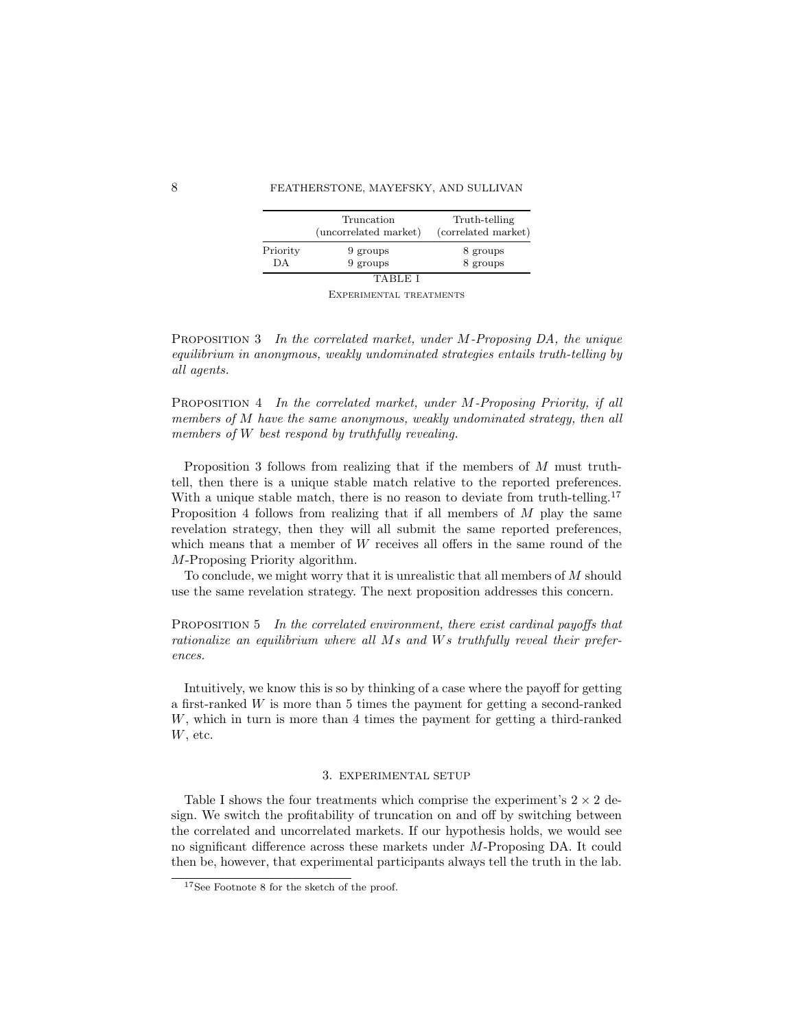|          | Truncation<br>(uncorrelated market) | Truth-telling<br>(correlated market) |
|----------|-------------------------------------|--------------------------------------|
| Priority | 9 groups                            | 8 groups                             |
| DA       | 9 groups                            | 8 groups                             |
|          | TABLE                               |                                      |

Experimental treatments

Proposition 3 In the correlated market, under M-Proposing DA, the unique equilibrium in anonymous, weakly undominated strategies entails truth-telling by all agents.

Proposition 4 In the correlated market, under M-Proposing Priority, if all members of M have the same anonymous, weakly undominated strategy, then all members of W best respond by truthfully revealing.

Proposition 3 follows from realizing that if the members of M must truthtell, then there is a unique stable match relative to the reported preferences. With a unique stable match, there is no reason to deviate from truth-telling.<sup>17</sup> Proposition 4 follows from realizing that if all members of  $M$  play the same revelation strategy, then they will all submit the same reported preferences, which means that a member of W receives all offers in the same round of the M-Proposing Priority algorithm.

To conclude, we might worry that it is unrealistic that all members of M should use the same revelation strategy. The next proposition addresses this concern.

Proposition 5 In the correlated environment, there exist cardinal payoffs that rationalize an equilibrium where all Ms and Ws truthfully reveal their preferences.

Intuitively, we know this is so by thinking of a case where the payoff for getting a first-ranked W is more than 5 times the payment for getting a second-ranked W, which in turn is more than 4 times the payment for getting a third-ranked  $W$ , etc.

# 3. EXPERIMENTAL SETUP

Table I shows the four treatments which comprise the experiment's  $2 \times 2$  design. We switch the profitability of truncation on and off by switching between the correlated and uncorrelated markets. If our hypothesis holds, we would see no significant difference across these markets under M-Proposing DA. It could then be, however, that experimental participants always tell the truth in the lab.

<sup>17</sup>See Footnote 8 for the sketch of the proof.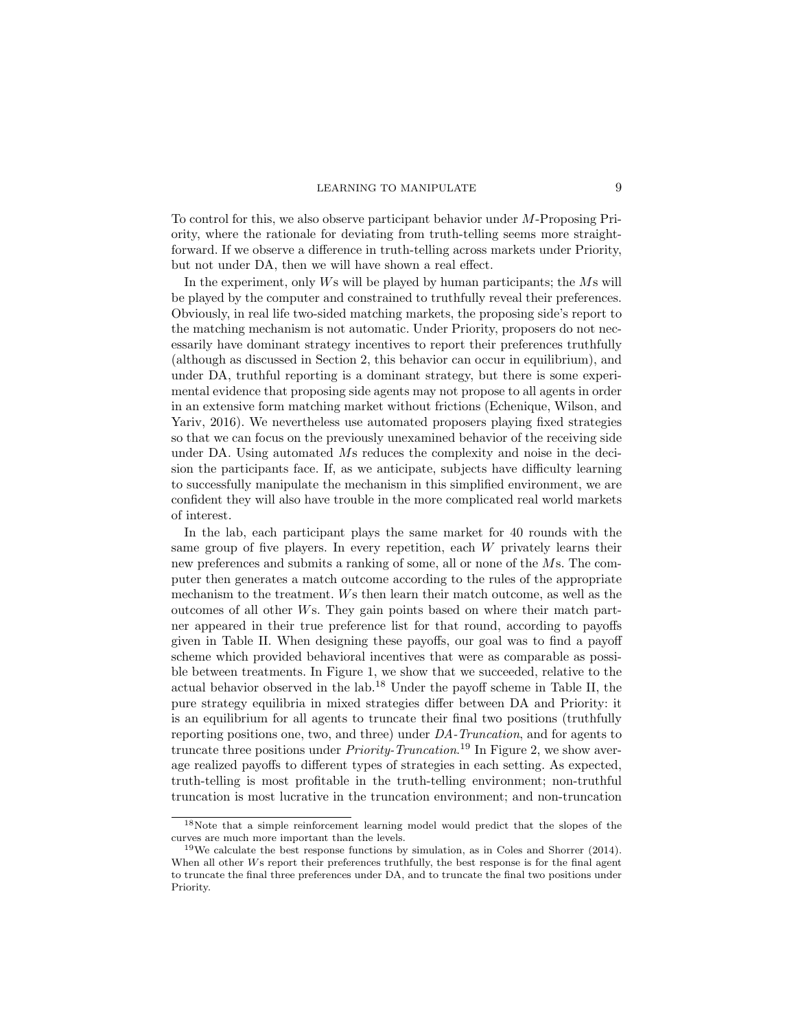To control for this, we also observe participant behavior under M-Proposing Priority, where the rationale for deviating from truth-telling seems more straightforward. If we observe a difference in truth-telling across markets under Priority, but not under DA, then we will have shown a real effect.

In the experiment, only Ws will be played by human participants; the Ms will be played by the computer and constrained to truthfully reveal their preferences. Obviously, in real life two-sided matching markets, the proposing side's report to the matching mechanism is not automatic. Under Priority, proposers do not necessarily have dominant strategy incentives to report their preferences truthfully (although as discussed in Section 2, this behavior can occur in equilibrium), and under DA, truthful reporting is a dominant strategy, but there is some experimental evidence that proposing side agents may not propose to all agents in order in an extensive form matching market without frictions (Echenique, Wilson, and Yariv, 2016). We nevertheless use automated proposers playing fixed strategies so that we can focus on the previously unexamined behavior of the receiving side under DA. Using automated Ms reduces the complexity and noise in the decision the participants face. If, as we anticipate, subjects have difficulty learning to successfully manipulate the mechanism in this simplified environment, we are confident they will also have trouble in the more complicated real world markets of interest.

In the lab, each participant plays the same market for 40 rounds with the same group of five players. In every repetition, each W privately learns their new preferences and submits a ranking of some, all or none of the Ms. The computer then generates a match outcome according to the rules of the appropriate mechanism to the treatment. Ws then learn their match outcome, as well as the outcomes of all other Ws. They gain points based on where their match partner appeared in their true preference list for that round, according to payoffs given in Table II. When designing these payoffs, our goal was to find a payoff scheme which provided behavioral incentives that were as comparable as possible between treatments. In Figure 1, we show that we succeeded, relative to the actual behavior observed in the lab.<sup>18</sup> Under the payoff scheme in Table II, the pure strategy equilibria in mixed strategies differ between DA and Priority: it is an equilibrium for all agents to truncate their final two positions (truthfully reporting positions one, two, and three) under DA-Truncation, and for agents to truncate three positions under *Priority-Truncation*.<sup>19</sup> In Figure 2, we show average realized payoffs to different types of strategies in each setting. As expected, truth-telling is most profitable in the truth-telling environment; non-truthful truncation is most lucrative in the truncation environment; and non-truncation

<sup>18</sup>Note that a simple reinforcement learning model would predict that the slopes of the curves are much more important than the levels.

<sup>&</sup>lt;sup>19</sup>We calculate the best response functions by simulation, as in Coles and Shorrer  $(2014)$ . When all other Ws report their preferences truthfully, the best response is for the final agent to truncate the final three preferences under DA, and to truncate the final two positions under Priority.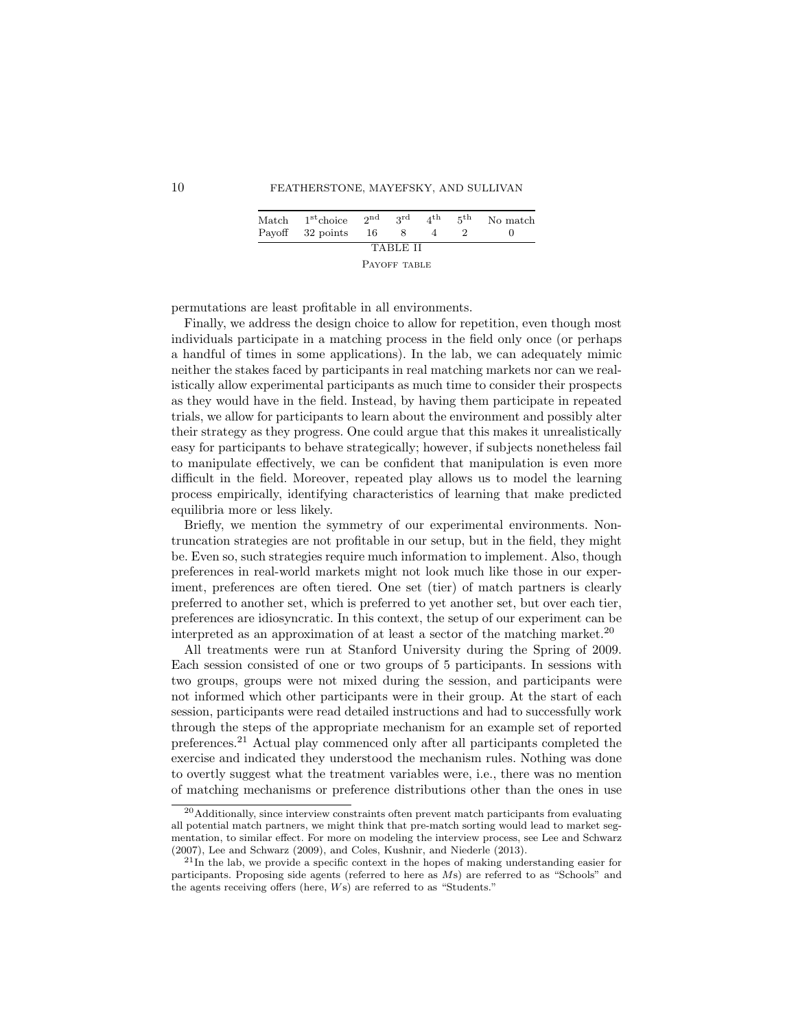| $\operatorname{Match}$ | $1st$ choice<br>Payoff 32 points | -16 | ond ard      | 4 <sup>th</sup> | 5th | No match |
|------------------------|----------------------------------|-----|--------------|-----------------|-----|----------|
|                        |                                  |     | TABLE II     |                 |     |          |
|                        |                                  |     | PAYOFF TABLE |                 |     |          |

permutations are least profitable in all environments.

Finally, we address the design choice to allow for repetition, even though most individuals participate in a matching process in the field only once (or perhaps a handful of times in some applications). In the lab, we can adequately mimic neither the stakes faced by participants in real matching markets nor can we realistically allow experimental participants as much time to consider their prospects as they would have in the field. Instead, by having them participate in repeated trials, we allow for participants to learn about the environment and possibly alter their strategy as they progress. One could argue that this makes it unrealistically easy for participants to behave strategically; however, if subjects nonetheless fail to manipulate effectively, we can be confident that manipulation is even more difficult in the field. Moreover, repeated play allows us to model the learning process empirically, identifying characteristics of learning that make predicted equilibria more or less likely.

Briefly, we mention the symmetry of our experimental environments. Nontruncation strategies are not profitable in our setup, but in the field, they might be. Even so, such strategies require much information to implement. Also, though preferences in real-world markets might not look much like those in our experiment, preferences are often tiered. One set (tier) of match partners is clearly preferred to another set, which is preferred to yet another set, but over each tier, preferences are idiosyncratic. In this context, the setup of our experiment can be interpreted as an approximation of at least a sector of the matching market.<sup>20</sup>

All treatments were run at Stanford University during the Spring of 2009. Each session consisted of one or two groups of 5 participants. In sessions with two groups, groups were not mixed during the session, and participants were not informed which other participants were in their group. At the start of each session, participants were read detailed instructions and had to successfully work through the steps of the appropriate mechanism for an example set of reported preferences.<sup>21</sup> Actual play commenced only after all participants completed the exercise and indicated they understood the mechanism rules. Nothing was done to overtly suggest what the treatment variables were, i.e., there was no mention of matching mechanisms or preference distributions other than the ones in use

<sup>20</sup>Additionally, since interview constraints often prevent match participants from evaluating all potential match partners, we might think that pre-match sorting would lead to market segmentation, to similar effect. For more on modeling the interview process, see Lee and Schwarz (2007), Lee and Schwarz (2009), and Coles, Kushnir, and Niederle (2013).

<sup>21</sup>In the lab, we provide a specific context in the hopes of making understanding easier for participants. Proposing side agents (referred to here as Ms) are referred to as "Schools" and the agents receiving offers (here, Ws) are referred to as "Students."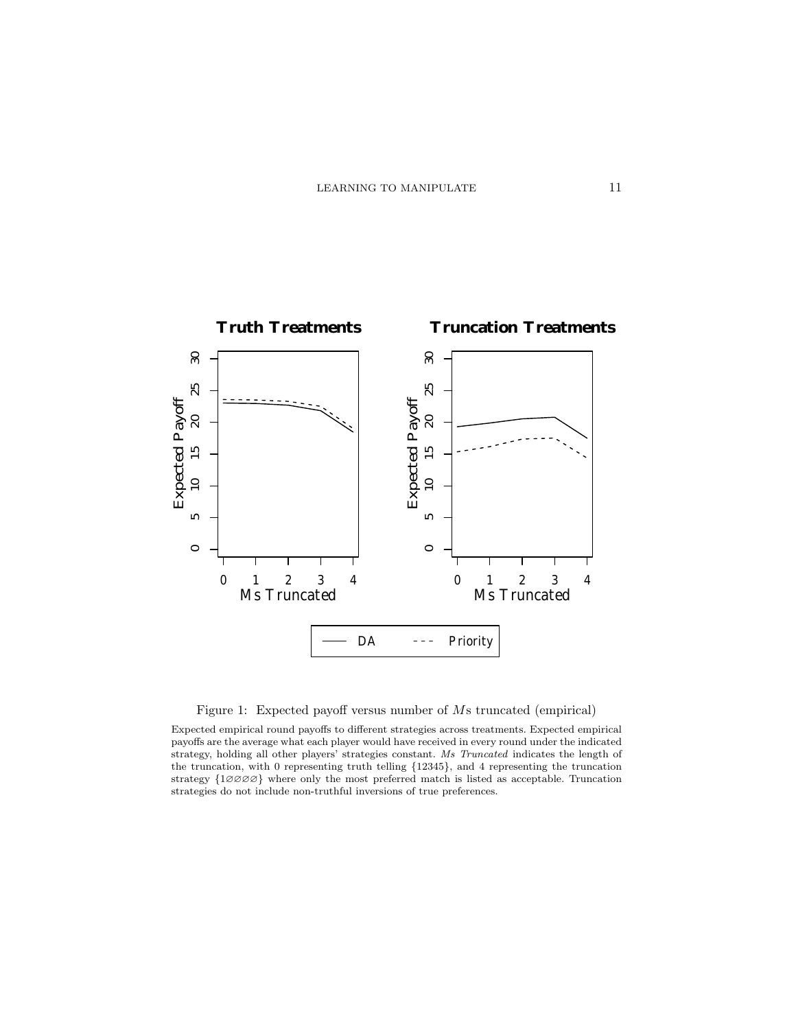

Figure 1: Expected payoff versus number of Ms truncated (empirical)

Expected empirical round payoffs to different strategies across treatments. Expected empirical payoffs are the average what each player would have received in every round under the indicated strategy, holding all other players' strategies constant. Ms Truncated indicates the length of the truncation, with 0 representing truth telling {12345}, and 4 representing the truncation strategy  $\{1\emptyset\emptyset\emptyset\}$  where only the most preferred match is listed as acceptable. Truncation strategies do not include non-truthful inversions of true preferences.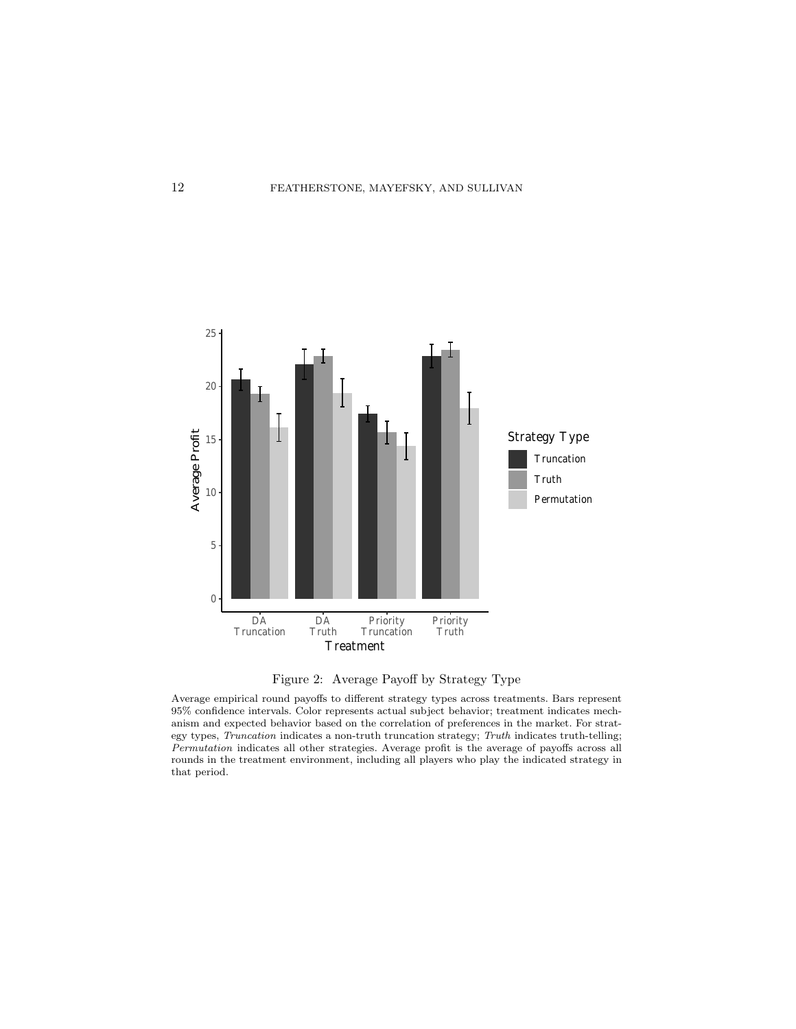



Average empirical round payoffs to different strategy types across treatments. Bars represent 95% confidence intervals. Color represents actual subject behavior; treatment indicates mechanism and expected behavior based on the correlation of preferences in the market. For strategy types, Truncation indicates a non-truth truncation strategy; Truth indicates truth-telling; Permutation indicates all other strategies. Average profit is the average of payoffs across all rounds in the treatment environment, including all players who play the indicated strategy in that period.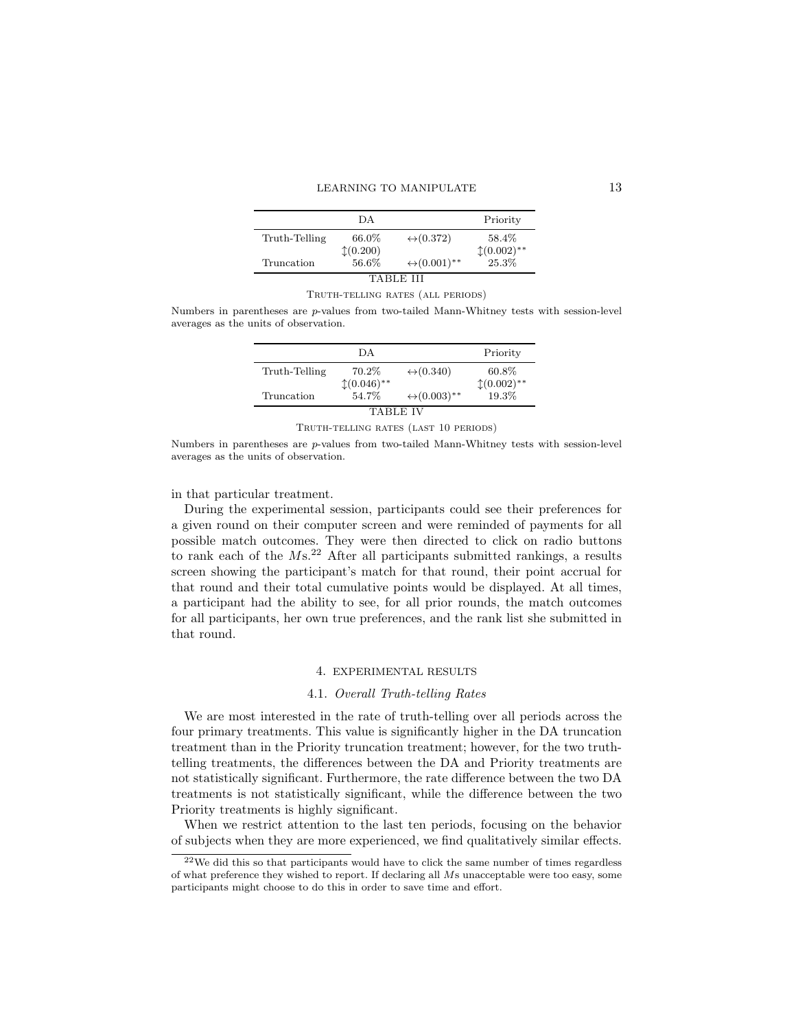|               | DА                    |                              | Priority     |
|---------------|-----------------------|------------------------------|--------------|
| Truth-Telling | 66.0%                 | $\leftrightarrow$ (0.372)    | 58.4%        |
|               | $\updownarrow(0.200)$ |                              | $(0.002)$ ** |
| Truncation    | 56.6%                 | $\leftrightarrow (0.001)$ ** | 25.3%        |
|               |                       |                              |              |

#### Truth-telling rates (all periods)

Numbers in parentheses are p-values from two-tailed Mann-Whitney tests with session-level averages as the units of observation.

|                 | DА                        |                              | Priority     |  |  |  |
|-----------------|---------------------------|------------------------------|--------------|--|--|--|
| Truth-Telling   | 70.2\%                    | $\leftrightarrow$ (0.340)    | 60.8%        |  |  |  |
|                 | $\updownarrow (0.046)$ ** |                              | $(0.002)$ ** |  |  |  |
| Truncation      | 54.7%                     | $\leftrightarrow (0.003)$ ** | 19.3%        |  |  |  |
| <b>TABLE IV</b> |                           |                              |              |  |  |  |

Truth-telling rates (last 10 periods)

Numbers in parentheses are p-values from two-tailed Mann-Whitney tests with session-level averages as the units of observation.

in that particular treatment.

During the experimental session, participants could see their preferences for a given round on their computer screen and were reminded of payments for all possible match outcomes. They were then directed to click on radio buttons to rank each of the  $Ms$ <sup>22</sup> After all participants submitted rankings, a results screen showing the participant's match for that round, their point accrual for that round and their total cumulative points would be displayed. At all times, a participant had the ability to see, for all prior rounds, the match outcomes for all participants, her own true preferences, and the rank list she submitted in that round.

#### 4. EXPERIMENTAL RESULTS

# 4.1. Overall Truth-telling Rates

We are most interested in the rate of truth-telling over all periods across the four primary treatments. This value is significantly higher in the DA truncation treatment than in the Priority truncation treatment; however, for the two truthtelling treatments, the differences between the DA and Priority treatments are not statistically significant. Furthermore, the rate difference between the two DA treatments is not statistically significant, while the difference between the two Priority treatments is highly significant.

When we restrict attention to the last ten periods, focusing on the behavior of subjects when they are more experienced, we find qualitatively similar effects.

<sup>22</sup>We did this so that participants would have to click the same number of times regardless of what preference they wished to report. If declaring all Ms unacceptable were too easy, some participants might choose to do this in order to save time and effort.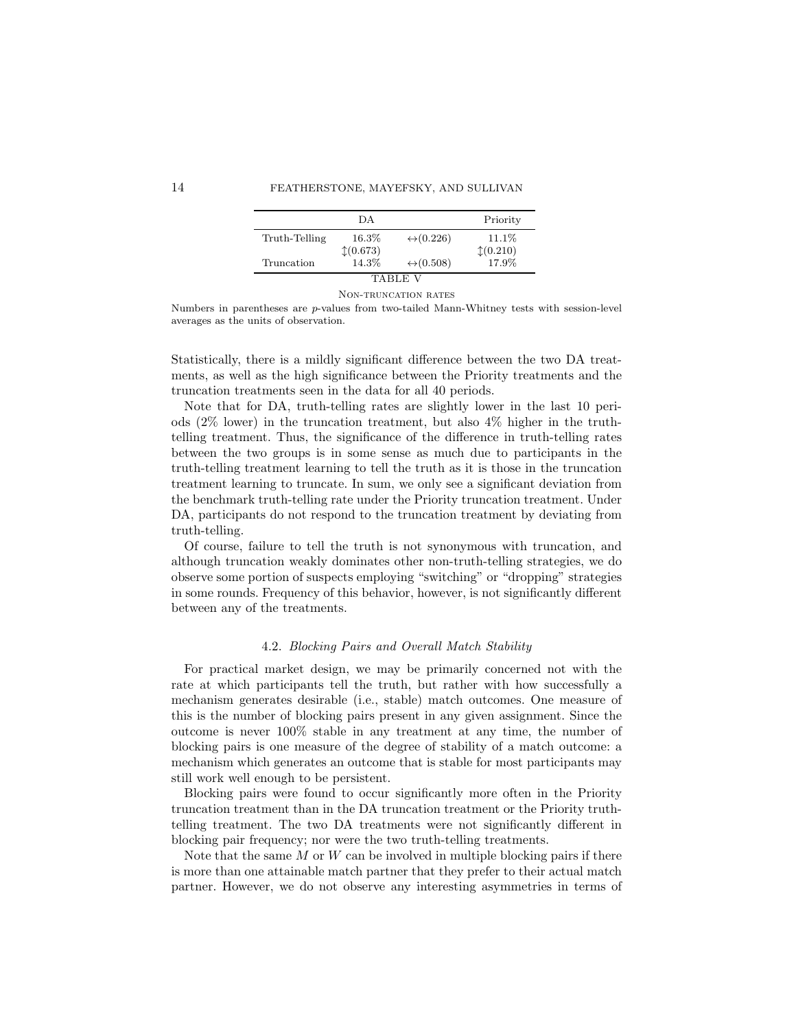|               | DА      |                           | Priority              |  |  |  |
|---------------|---------|---------------------------|-----------------------|--|--|--|
| Truth-Telling | 16.3%   | $\leftrightarrow$ (0.226) | 11.1%                 |  |  |  |
|               | (0.673) |                           | $\updownarrow(0.210)$ |  |  |  |
| Truncation    | 14.3%   | $\leftrightarrow$ (0.508) | 17.9%                 |  |  |  |
| TABLE         |         |                           |                       |  |  |  |

Non-truncation rates

Numbers in parentheses are p-values from two-tailed Mann-Whitney tests with session-level averages as the units of observation.

Statistically, there is a mildly significant difference between the two DA treatments, as well as the high significance between the Priority treatments and the truncation treatments seen in the data for all 40 periods.

Note that for DA, truth-telling rates are slightly lower in the last 10 periods (2% lower) in the truncation treatment, but also 4% higher in the truthtelling treatment. Thus, the significance of the difference in truth-telling rates between the two groups is in some sense as much due to participants in the truth-telling treatment learning to tell the truth as it is those in the truncation treatment learning to truncate. In sum, we only see a significant deviation from the benchmark truth-telling rate under the Priority truncation treatment. Under DA, participants do not respond to the truncation treatment by deviating from truth-telling.

Of course, failure to tell the truth is not synonymous with truncation, and although truncation weakly dominates other non-truth-telling strategies, we do observe some portion of suspects employing "switching" or "dropping" strategies in some rounds. Frequency of this behavior, however, is not significantly different between any of the treatments.

#### 4.2. Blocking Pairs and Overall Match Stability

For practical market design, we may be primarily concerned not with the rate at which participants tell the truth, but rather with how successfully a mechanism generates desirable (i.e., stable) match outcomes. One measure of this is the number of blocking pairs present in any given assignment. Since the outcome is never 100% stable in any treatment at any time, the number of blocking pairs is one measure of the degree of stability of a match outcome: a mechanism which generates an outcome that is stable for most participants may still work well enough to be persistent.

Blocking pairs were found to occur significantly more often in the Priority truncation treatment than in the DA truncation treatment or the Priority truthtelling treatment. The two DA treatments were not significantly different in blocking pair frequency; nor were the two truth-telling treatments.

Note that the same  $M$  or  $W$  can be involved in multiple blocking pairs if there is more than one attainable match partner that they prefer to their actual match partner. However, we do not observe any interesting asymmetries in terms of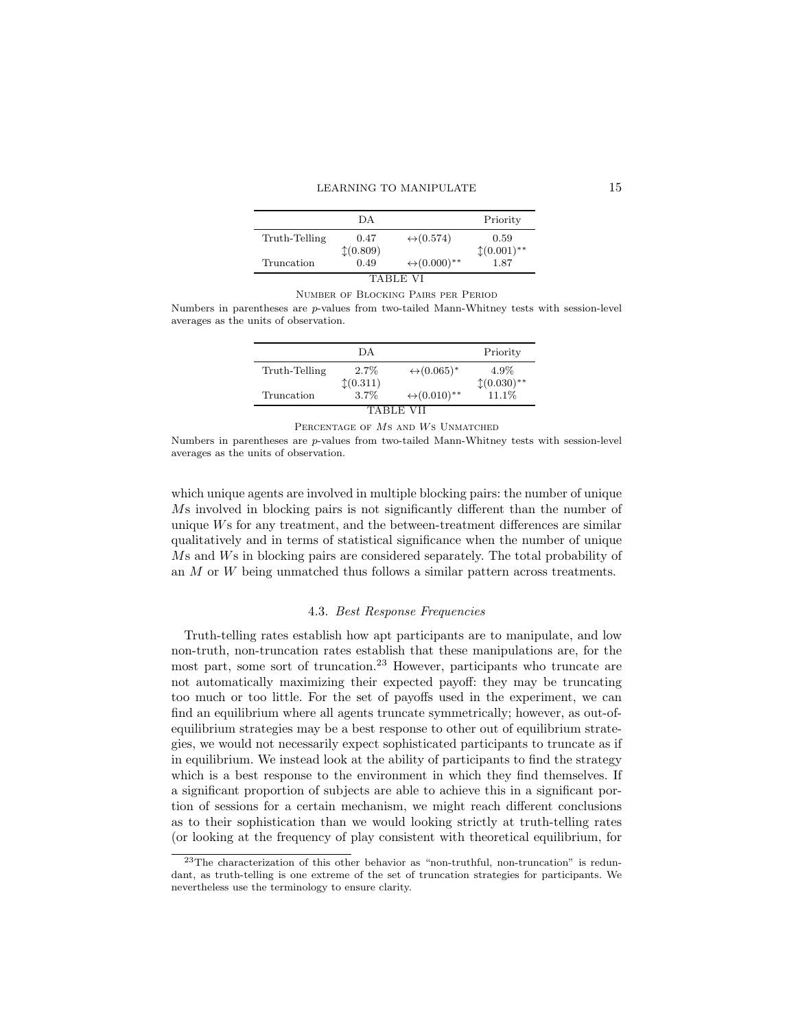| DА   |                              | Priority      |
|------|------------------------------|---------------|
| 0.47 | $\leftrightarrow$ (0.574)    | 0.59          |
|      |                              | $*(0.001)$ ** |
| 0.49 | $\leftrightarrow (0.000)$ ** | 1.87          |
|      | (0.809)                      |               |

#### Number of Blocking Pairs per Period

Numbers in parentheses are p-values from two-tailed Mann-Whitney tests with session-level averages as the units of observation.

|               | DА      |                                | Priority     |  |  |  |
|---------------|---------|--------------------------------|--------------|--|--|--|
| Truth-Telling | $2.7\%$ | $\leftrightarrow (0.065)^*$    | 4.9%         |  |  |  |
|               | (0.311) |                                | $(0.030)$ ** |  |  |  |
| Truncation    | 3.7%    | $\leftrightarrow (0.010)^{**}$ | 11.1%        |  |  |  |
|               |         |                                |              |  |  |  |

PERCENTAGE OF MS AND WS UNMATCHED

Numbers in parentheses are p-values from two-tailed Mann-Whitney tests with session-level averages as the units of observation.

which unique agents are involved in multiple blocking pairs: the number of unique Ms involved in blocking pairs is not significantly different than the number of unique Ws for any treatment, and the between-treatment differences are similar qualitatively and in terms of statistical significance when the number of unique Ms and Ws in blocking pairs are considered separately. The total probability of an M or W being unmatched thus follows a similar pattern across treatments.

#### 4.3. Best Response Frequencies

Truth-telling rates establish how apt participants are to manipulate, and low non-truth, non-truncation rates establish that these manipulations are, for the most part, some sort of truncation.<sup>23</sup> However, participants who truncate are not automatically maximizing their expected payoff: they may be truncating too much or too little. For the set of payoffs used in the experiment, we can find an equilibrium where all agents truncate symmetrically; however, as out-ofequilibrium strategies may be a best response to other out of equilibrium strategies, we would not necessarily expect sophisticated participants to truncate as if in equilibrium. We instead look at the ability of participants to find the strategy which is a best response to the environment in which they find themselves. If a significant proportion of subjects are able to achieve this in a significant portion of sessions for a certain mechanism, we might reach different conclusions as to their sophistication than we would looking strictly at truth-telling rates (or looking at the frequency of play consistent with theoretical equilibrium, for

<sup>23</sup>The characterization of this other behavior as "non-truthful, non-truncation" is redundant, as truth-telling is one extreme of the set of truncation strategies for participants. We nevertheless use the terminology to ensure clarity.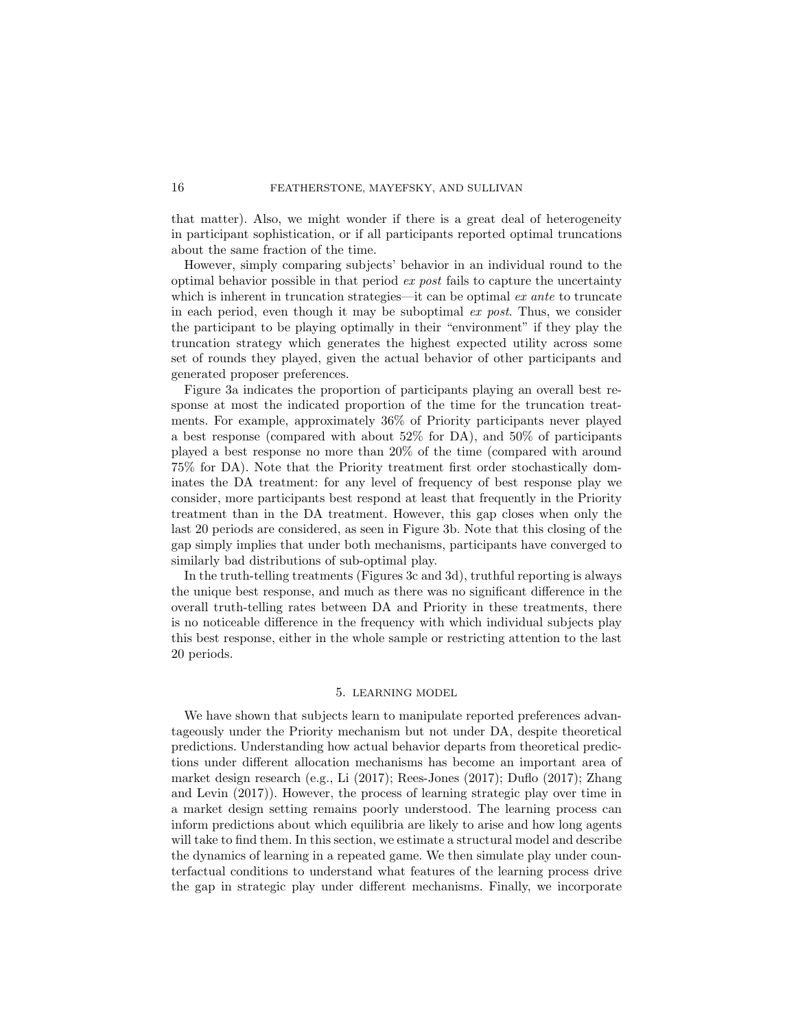that matter). Also, we might wonder if there is a great deal of heterogeneity in participant sophistication, or if all participants reported optimal truncations about the same fraction of the time.

However, simply comparing subjects' behavior in an individual round to the optimal behavior possible in that period ex post fails to capture the uncertainty which is inherent in truncation strategies—it can be optimal ex ante to truncate in each period, even though it may be suboptimal  $ex$  post. Thus, we consider the participant to be playing optimally in their "environment" if they play the truncation strategy which generates the highest expected utility across some set of rounds they played, given the actual behavior of other participants and generated proposer preferences.

Figure 3a indicates the proportion of participants playing an overall best response at most the indicated proportion of the time for the truncation treatments. For example, approximately 36% of Priority participants never played a best response (compared with about 52% for DA), and 50% of participants played a best response no more than 20% of the time (compared with around 75% for DA). Note that the Priority treatment first order stochastically dominates the DA treatment: for any level of frequency of best response play we consider, more participants best respond at least that frequently in the Priority treatment than in the DA treatment. However, this gap closes when only the last 20 periods are considered, as seen in Figure 3b. Note that this closing of the gap simply implies that under both mechanisms, participants have converged to similarly bad distributions of sub-optimal play.

In the truth-telling treatments (Figures 3c and 3d), truthful reporting is always the unique best response, and much as there was no significant difference in the overall truth-telling rates between DA and Priority in these treatments, there is no noticeable difference in the frequency with which individual subjects play this best response, either in the whole sample or restricting attention to the last 20 periods.

# 5. LEARNING MODEL

We have shown that subjects learn to manipulate reported preferences advantageously under the Priority mechanism but not under DA, despite theoretical predictions. Understanding how actual behavior departs from theoretical predictions under different allocation mechanisms has become an important area of market design research (e.g., Li (2017); Rees-Jones (2017); Duflo (2017); Zhang and Levin (2017)). However, the process of learning strategic play over time in a market design setting remains poorly understood. The learning process can inform predictions about which equilibria are likely to arise and how long agents will take to find them. In this section, we estimate a structural model and describe the dynamics of learning in a repeated game. We then simulate play under counterfactual conditions to understand what features of the learning process drive the gap in strategic play under different mechanisms. Finally, we incorporate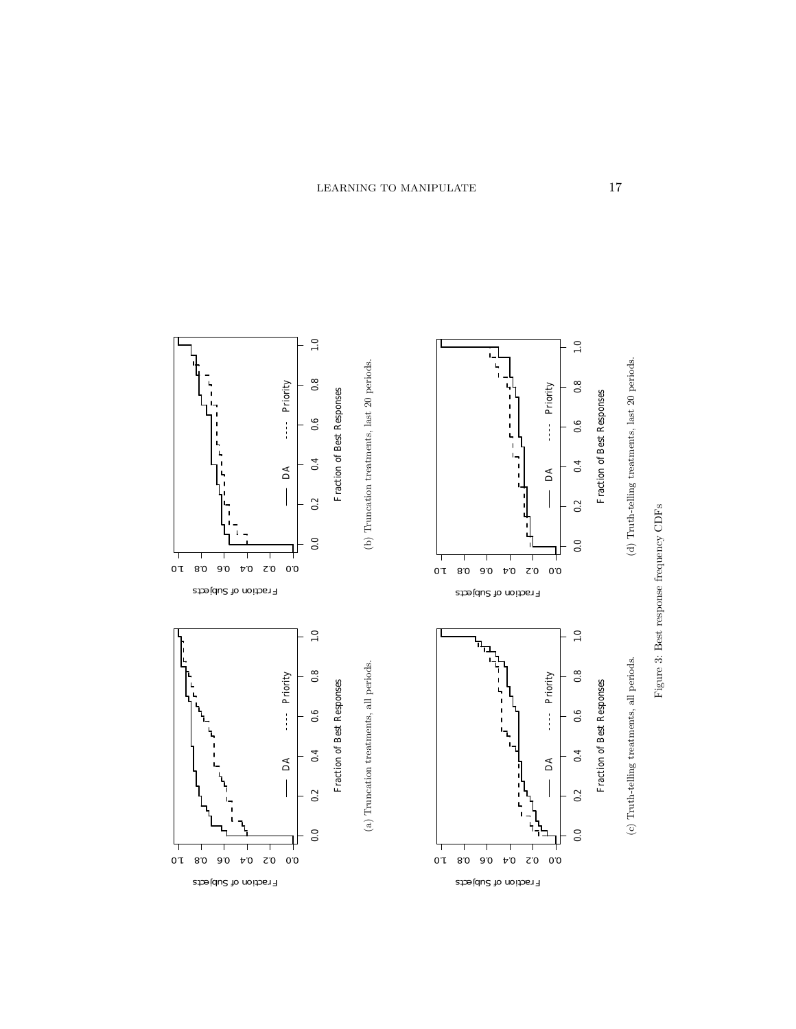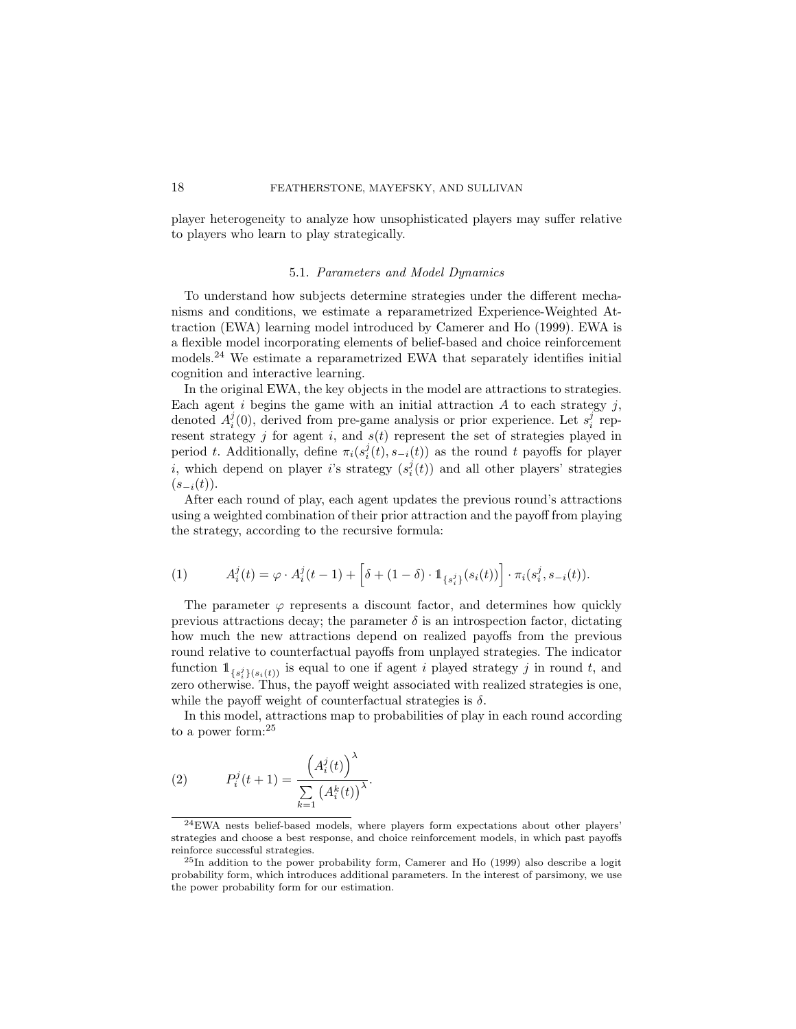player heterogeneity to analyze how unsophisticated players may suffer relative to players who learn to play strategically.

# 5.1. Parameters and Model Dynamics

To understand how subjects determine strategies under the different mechanisms and conditions, we estimate a reparametrized Experience-Weighted Attraction (EWA) learning model introduced by Camerer and Ho (1999). EWA is a flexible model incorporating elements of belief-based and choice reinforcement models.<sup>24</sup> We estimate a reparametrized EWA that separately identifies initial cognition and interactive learning.

In the original EWA, the key objects in the model are attractions to strategies. Each agent i begins the game with an initial attraction  $A$  to each strategy  $j$ , denoted  $A_i^j(0)$ , derived from pre-game analysis or prior experience. Let  $s_i^j$  represent strategy j for agent i, and  $s(t)$  represent the set of strategies played in period t. Additionally, define  $\pi_i(s_i^j(t), s_{-i}(t))$  as the round t payoffs for player *i*, which depend on player *i*'s strategy  $(s_i^j(t))$  and all other players' strategies  $(s_{-i}(t)).$ 

After each round of play, each agent updates the previous round's attractions using a weighted combination of their prior attraction and the payoff from playing the strategy, according to the recursive formula:

(1) 
$$
A_i^j(t) = \varphi \cdot A_i^j(t-1) + \left[\delta + (1-\delta) \cdot \mathbb{1}_{\{s_i^j\}}(s_i(t))\right] \cdot \pi_i(s_i^j, s_{-i}(t)).
$$

The parameter  $\varphi$  represents a discount factor, and determines how quickly previous attractions decay; the parameter  $\delta$  is an introspection factor, dictating how much the new attractions depend on realized payoffs from the previous round relative to counterfactual payoffs from unplayed strategies. The indicator function  $\mathbb{1}_{\{s_i^j\}(s_i(t))}$  is equal to one if agent i played strategy j in round t, and zero otherwise. Thus, the payoff weight associated with realized strategies is one, while the payoff weight of counterfactual strategies is  $\delta$ .

In this model, attractions map to probabilities of play in each round according to a power form:<sup>25</sup>

(2) 
$$
P_i^j(t+1) = \frac{\left(A_i^j(t)\right)^{\lambda}}{\sum\limits_{k=1}^{\lambda} \left(A_i^k(t)\right)^{\lambda}}.
$$

<sup>24</sup>EWA nests belief-based models, where players form expectations about other players' strategies and choose a best response, and choice reinforcement models, in which past payoffs reinforce successful strategies.

<sup>25</sup>In addition to the power probability form, Camerer and Ho (1999) also describe a logit probability form, which introduces additional parameters. In the interest of parsimony, we use the power probability form for our estimation.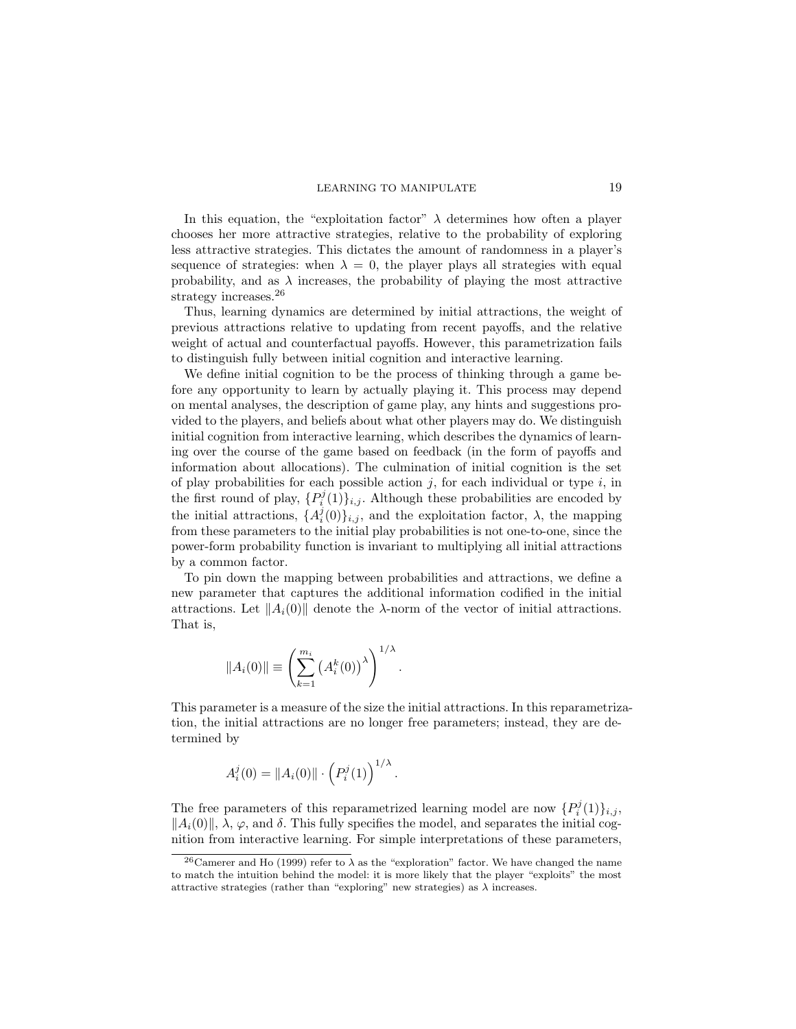In this equation, the "exploitation factor"  $\lambda$  determines how often a player chooses her more attractive strategies, relative to the probability of exploring less attractive strategies. This dictates the amount of randomness in a player's sequence of strategies: when  $\lambda = 0$ , the player plays all strategies with equal probability, and as  $\lambda$  increases, the probability of playing the most attractive strategy increases.<sup>26</sup>

Thus, learning dynamics are determined by initial attractions, the weight of previous attractions relative to updating from recent payoffs, and the relative weight of actual and counterfactual payoffs. However, this parametrization fails to distinguish fully between initial cognition and interactive learning.

We define initial cognition to be the process of thinking through a game before any opportunity to learn by actually playing it. This process may depend on mental analyses, the description of game play, any hints and suggestions provided to the players, and beliefs about what other players may do. We distinguish initial cognition from interactive learning, which describes the dynamics of learning over the course of the game based on feedback (in the form of payoffs and information about allocations). The culmination of initial cognition is the set of play probabilities for each possible action  $i$ , for each individual or type  $i$ , in the first round of play,  $\{P_i^j(1)\}_{i,j}$ . Although these probabilities are encoded by the initial attractions,  $\{A_i^j(0)\}_{i,j}$ , and the exploitation factor,  $\lambda$ , the mapping from these parameters to the initial play probabilities is not one-to-one, since the power-form probability function is invariant to multiplying all initial attractions by a common factor.

To pin down the mapping between probabilities and attractions, we define a new parameter that captures the additional information codified in the initial attractions. Let  $||A_i(0)||$  denote the  $\lambda$ -norm of the vector of initial attractions. That is,

$$
||A_i(0)|| \equiv \left(\sum_{k=1}^{m_i} (A_i^k(0))^\lambda\right)^{1/\lambda}
$$

This parameter is a measure of the size the initial attractions. In this reparametrization, the initial attractions are no longer free parameters; instead, they are determined by

.

$$
A_i^j(0) = \|A_i(0)\| \cdot \left(P_i^j(1)\right)^{1/\lambda}
$$

The free parameters of this reparametrized learning model are now  $\{P_i^j(1)\}_{i,j}$ ,  $||A_i(0)||$ ,  $\lambda$ ,  $\varphi$ , and  $\delta$ . This fully specifies the model, and separates the initial cognition from interactive learning. For simple interpretations of these parameters,

.

<sup>&</sup>lt;sup>26</sup>Camerer and Ho (1999) refer to  $\lambda$  as the "exploration" factor. We have changed the name to match the intuition behind the model: it is more likely that the player "exploits" the most attractive strategies (rather than "exploring" new strategies) as  $\lambda$  increases.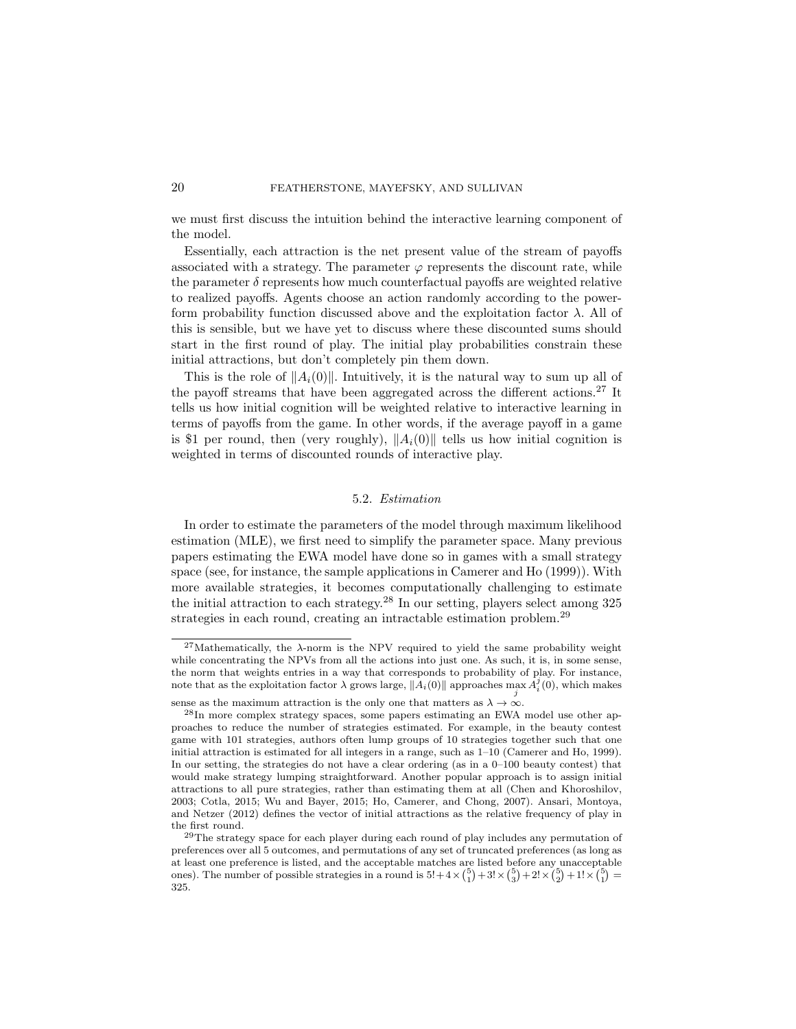we must first discuss the intuition behind the interactive learning component of the model.

Essentially, each attraction is the net present value of the stream of payoffs associated with a strategy. The parameter  $\varphi$  represents the discount rate, while the parameter  $\delta$  represents how much counterfactual payoffs are weighted relative to realized payoffs. Agents choose an action randomly according to the powerform probability function discussed above and the exploitation factor  $\lambda$ . All of this is sensible, but we have yet to discuss where these discounted sums should start in the first round of play. The initial play probabilities constrain these initial attractions, but don't completely pin them down.

This is the role of  $||A_i(0)||$ . Intuitively, it is the natural way to sum up all of the payoff streams that have been aggregated across the different actions.<sup>27</sup> It tells us how initial cognition will be weighted relative to interactive learning in terms of payoffs from the game. In other words, if the average payoff in a game is \$1 per round, then (very roughly),  $||A_i(0)||$  tells us how initial cognition is weighted in terms of discounted rounds of interactive play.

# 5.2. Estimation

In order to estimate the parameters of the model through maximum likelihood estimation (MLE), we first need to simplify the parameter space. Many previous papers estimating the EWA model have done so in games with a small strategy space (see, for instance, the sample applications in Camerer and Ho (1999)). With more available strategies, it becomes computationally challenging to estimate the initial attraction to each strategy.<sup>28</sup> In our setting, players select among 325 strategies in each round, creating an intractable estimation problem.<sup>29</sup>

<sup>&</sup>lt;sup>27</sup>Mathematically, the  $\lambda$ -norm is the NPV required to yield the same probability weight while concentrating the NPVs from all the actions into just one. As such, it is, in some sense, the norm that weights entries in a way that corresponds to probability of play. For instance, note that as the exploitation factor  $\lambda$  grows large,  $\|\hat{A}_i(0)\|$  approaches  $\max_j \hat{A}_i^j(0)$ , which makes

sense as the maximum attraction is the only one that matters as  $\lambda \to \infty$ .

<sup>28</sup>In more complex strategy spaces, some papers estimating an EWA model use other approaches to reduce the number of strategies estimated. For example, in the beauty contest game with 101 strategies, authors often lump groups of 10 strategies together such that one initial attraction is estimated for all integers in a range, such as 1–10 (Camerer and Ho, 1999). In our setting, the strategies do not have a clear ordering (as in a 0–100 beauty contest) that would make strategy lumping straightforward. Another popular approach is to assign initial attractions to all pure strategies, rather than estimating them at all (Chen and Khoroshilov, 2003; Cotla, 2015; Wu and Bayer, 2015; Ho, Camerer, and Chong, 2007). Ansari, Montoya, and Netzer (2012) defines the vector of initial attractions as the relative frequency of play in the first round.

<sup>29</sup>The strategy space for each player during each round of play includes any permutation of preferences over all 5 outcomes, and permutations of any set of truncated preferences (as long as at least one preference is listed, and the acceptable matches are listed before any unacceptable ones). The number of possible strategies in a round is  $5!+4\times {\binom{5}{1}}+3! \times {\binom{5}{3}}+2! \times {\binom{5}{2}}+1! \times {\binom{5}{1}}=$ 325.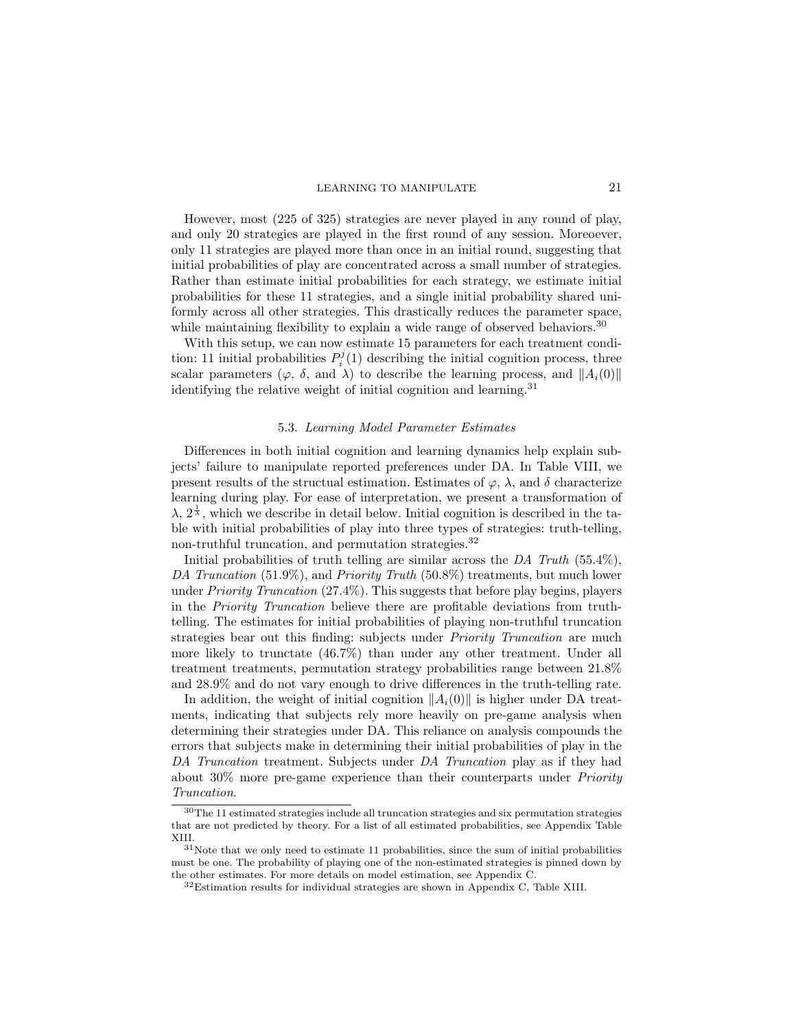However, most (225 of 325) strategies are never played in any round of play, and only 20 strategies are played in the first round of any session. Moreoever, only 11 strategies are played more than once in an initial round, suggesting that initial probabilities of play are concentrated across a small number of strategies. Rather than estimate initial probabilities for each strategy, we estimate initial probabilities for these 11 strategies, and a single initial probability shared uniformly across all other strategies. This drastically reduces the parameter space, while maintaining flexibility to explain a wide range of observed behaviors.<sup>30</sup>

With this setup, we can now estimate 15 parameters for each treatment condition: 11 initial probabilities  $P_i^j(1)$  describing the initial cognition process, three scalar parameters ( $\varphi$ ,  $\delta$ , and  $\lambda$ ) to describe the learning process, and  $||A_i(0)||$ identifying the relative weight of initial cognition and learning.<sup>31</sup>

# 5.3. Learning Model Parameter Estimates

Differences in both initial cognition and learning dynamics help explain subjects' failure to manipulate reported preferences under DA. In Table VIII, we present results of the structual estimation. Estimates of  $\varphi$ ,  $\lambda$ , and  $\delta$  characterize learning during play. For ease of interpretation, we present a transformation of  $\lambda$ ,  $2^{\frac{1}{\lambda}}$ , which we describe in detail below. Initial cognition is described in the table with initial probabilities of play into three types of strategies: truth-telling, non-truthful truncation, and permutation strategies.<sup>32</sup>

Initial probabilities of truth telling are similar across the  $DA$  Truth (55.4%), DA Truncation  $(51.9\%)$ , and Priority Truth  $(50.8\%)$  treatments, but much lower under Priority Truncation (27.4%). This suggests that before play begins, players in the Priority Truncation believe there are profitable deviations from truthtelling. The estimates for initial probabilities of playing non-truthful truncation strategies bear out this finding: subjects under *Priority Truncation* are much more likely to trunctate (46.7%) than under any other treatment. Under all treatment treatments, permutation strategy probabilities range between 21.8% and 28.9% and do not vary enough to drive differences in the truth-telling rate.

In addition, the weight of initial cognition  $||A_i(0)||$  is higher under DA treatments, indicating that subjects rely more heavily on pre-game analysis when determining their strategies under DA. This reliance on analysis compounds the errors that subjects make in determining their initial probabilities of play in the DA Truncation treatment. Subjects under DA Truncation play as if they had about 30% more pre-game experience than their counterparts under Priority Truncation.

<sup>30</sup>The 11 estimated strategies include all truncation strategies and six permutation strategies that are not predicted by theory. For a list of all estimated probabilities, see Appendix Table XIII.

 $31$ Note that we only need to estimate 11 probabilities, since the sum of initial probabilities must be one. The probability of playing one of the non-estimated strategies is pinned down by the other estimates. For more details on model estimation, see Appendix C.

<sup>32</sup>Estimation results for individual strategies are shown in Appendix C, Table XIII.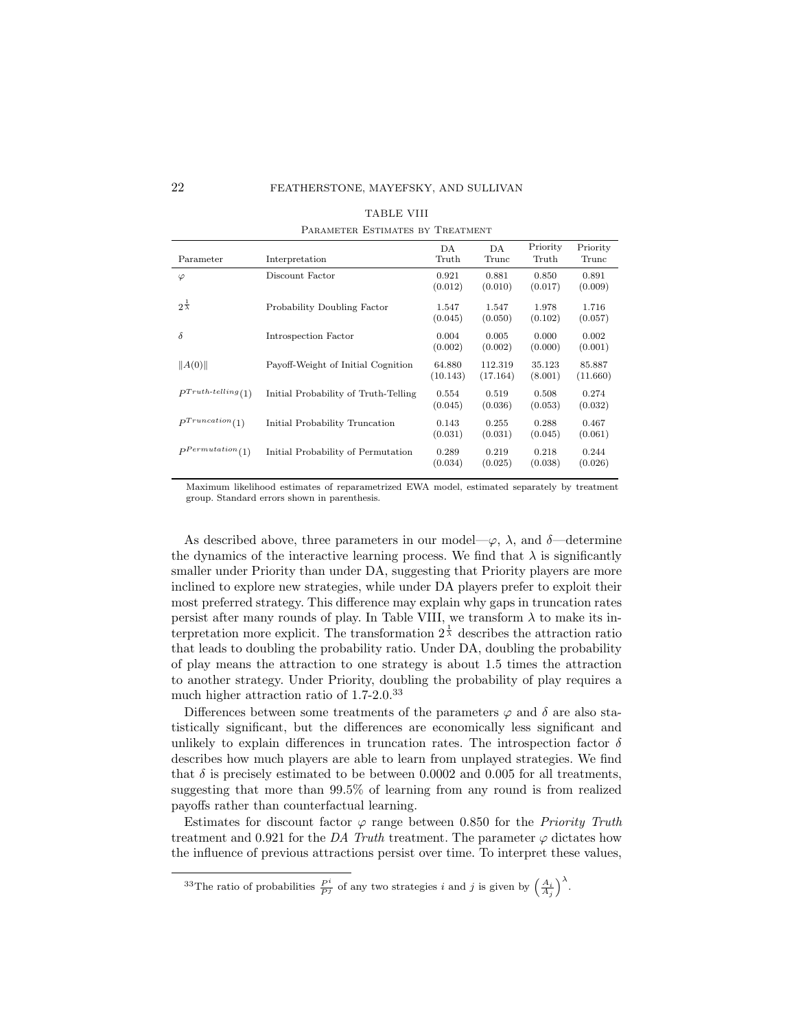| Parameter                     | Interpretation                       | DA<br>Truth        | DA<br>Trunc         | Priority<br>Truth | Priority<br>Trunc  |
|-------------------------------|--------------------------------------|--------------------|---------------------|-------------------|--------------------|
| $\varphi$                     | Discount Factor                      | 0.921<br>(0.012)   | 0.881<br>(0.010)    | 0.850<br>(0.017)  | 0.891<br>(0.009)   |
| $2^{\frac{1}{\lambda}}$       | Probability Doubling Factor          | 1.547<br>(0.045)   | 1.547<br>(0.050)    | 1.978<br>(0.102)  | 1.716<br>(0.057)   |
| $\delta$                      | Introspection Factor                 | 0.004<br>(0.002)   | 0.005<br>(0.002)    | 0.000<br>(0.000)  | 0.002<br>(0.001)   |
| A(0)                          | Payoff-Weight of Initial Cognition   | 64.880<br>(10.143) | 112.319<br>(17.164) | 35.123<br>(8.001) | 85.887<br>(11.660) |
| $P^{Truth\text{-}telling}(1)$ | Initial Probability of Truth-Telling | 0.554<br>(0.045)   | 0.519<br>(0.036)    | 0.508<br>(0.053)  | 0.274<br>(0.032)   |
| $P^{Truncation}(1)$           | Initial Probability Truncation       | 0.143<br>(0.031)   | 0.255<br>(0.031)    | 0.288<br>(0.045)  | 0.467<br>(0.061)   |
| $P$ Permutation(1)            | Initial Probability of Permutation   | 0.289<br>(0.034)   | 0.219<br>(0.025)    | 0.218<br>(0.038)  | 0.244<br>(0.026)   |

|                                  | <b>TABLE VIII</b> |  |
|----------------------------------|-------------------|--|
| PARAMETER ESTIMATES BY TREATMENT |                   |  |

Maximum likelihood estimates of reparametrized EWA model, estimated separately by treatment group. Standard errors shown in parenthesis.

As described above, three parameters in our model— $\varphi$ ,  $\lambda$ , and  $\delta$ —determine the dynamics of the interactive learning process. We find that  $\lambda$  is significantly smaller under Priority than under DA, suggesting that Priority players are more inclined to explore new strategies, while under DA players prefer to exploit their most preferred strategy. This difference may explain why gaps in truncation rates persist after many rounds of play. In Table VIII, we transform  $\lambda$  to make its interpretation more explicit. The transformation  $2^{\frac{1}{\lambda}}$  describes the attraction ratio that leads to doubling the probability ratio. Under DA, doubling the probability of play means the attraction to one strategy is about 1.5 times the attraction to another strategy. Under Priority, doubling the probability of play requires a much higher attraction ratio of 1.7-2.0.<sup>33</sup>

Differences between some treatments of the parameters  $\varphi$  and  $\delta$  are also statistically significant, but the differences are economically less significant and unlikely to explain differences in truncation rates. The introspection factor  $\delta$ describes how much players are able to learn from unplayed strategies. We find that  $\delta$  is precisely estimated to be between 0.0002 and 0.005 for all treatments, suggesting that more than 99.5% of learning from any round is from realized payoffs rather than counterfactual learning.

Estimates for discount factor  $\varphi$  range between 0.850 for the *Priority Truth* treatment and 0.921 for the DA Truth treatment. The parameter  $\varphi$  dictates how the influence of previous attractions persist over time. To interpret these values,

<sup>&</sup>lt;sup>33</sup>The ratio of probabilities  $\frac{P^i}{P^j}$  of any two strategies i and j is given by  $\left(\frac{A_i}{A_j}\right)^{\lambda}$ .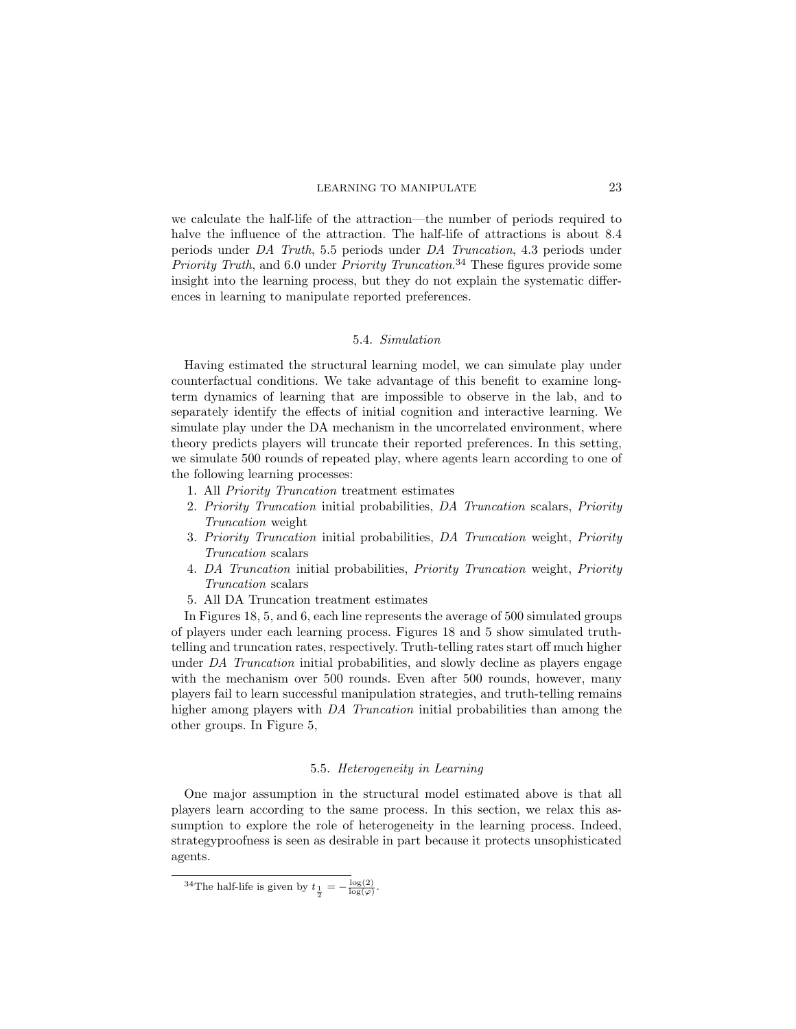we calculate the half-life of the attraction—the number of periods required to halve the influence of the attraction. The half-life of attractions is about 8.4 periods under DA Truth, 5.5 periods under DA Truncation, 4.3 periods under Priority Truth, and 6.0 under Priority Truncation.<sup>34</sup> These figures provide some insight into the learning process, but they do not explain the systematic differences in learning to manipulate reported preferences.

### 5.4. Simulation

Having estimated the structural learning model, we can simulate play under counterfactual conditions. We take advantage of this benefit to examine longterm dynamics of learning that are impossible to observe in the lab, and to separately identify the effects of initial cognition and interactive learning. We simulate play under the DA mechanism in the uncorrelated environment, where theory predicts players will truncate their reported preferences. In this setting, we simulate 500 rounds of repeated play, where agents learn according to one of the following learning processes:

- 1. All Priority Truncation treatment estimates
- 2. Priority Truncation initial probabilities, DA Truncation scalars, Priority Truncation weight
- 3. Priority Truncation initial probabilities, DA Truncation weight, Priority Truncation scalars
- 4. DA Truncation initial probabilities, Priority Truncation weight, Priority Truncation scalars
- 5. All DA Truncation treatment estimates

In Figures 18, 5, and 6, each line represents the average of 500 simulated groups of players under each learning process. Figures 18 and 5 show simulated truthtelling and truncation rates, respectively. Truth-telling rates start off much higher under DA Truncation initial probabilities, and slowly decline as players engage with the mechanism over 500 rounds. Even after 500 rounds, however, many players fail to learn successful manipulation strategies, and truth-telling remains higher among players with DA Truncation initial probabilities than among the other groups. In Figure 5,

# 5.5. Heterogeneity in Learning

One major assumption in the structural model estimated above is that all players learn according to the same process. In this section, we relax this assumption to explore the role of heterogeneity in the learning process. Indeed, strategyproofness is seen as desirable in part because it protects unsophisticated agents.

<sup>&</sup>lt;sup>34</sup>The half-life is given by  $t_{\frac{1}{2}} = -\frac{\log(2)}{\log(\varphi)}$ .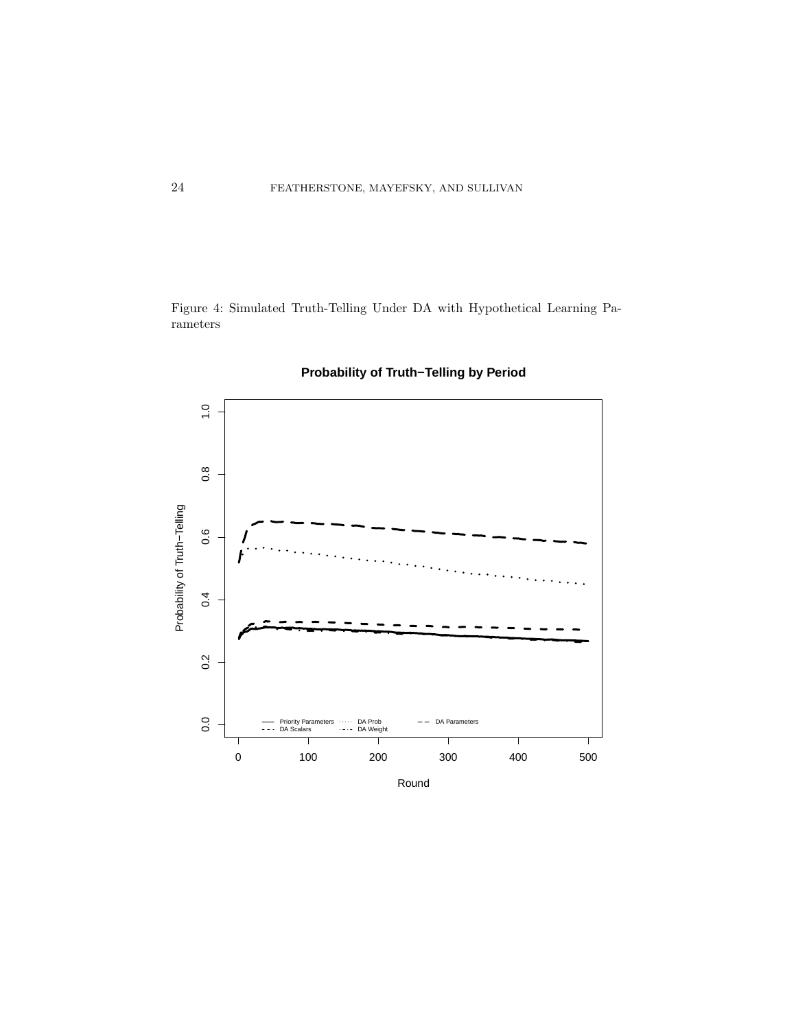Figure 4: Simulated Truth-Telling Under DA with Hypothetical Learning Parameters



**Probability of Truth−Telling by Period**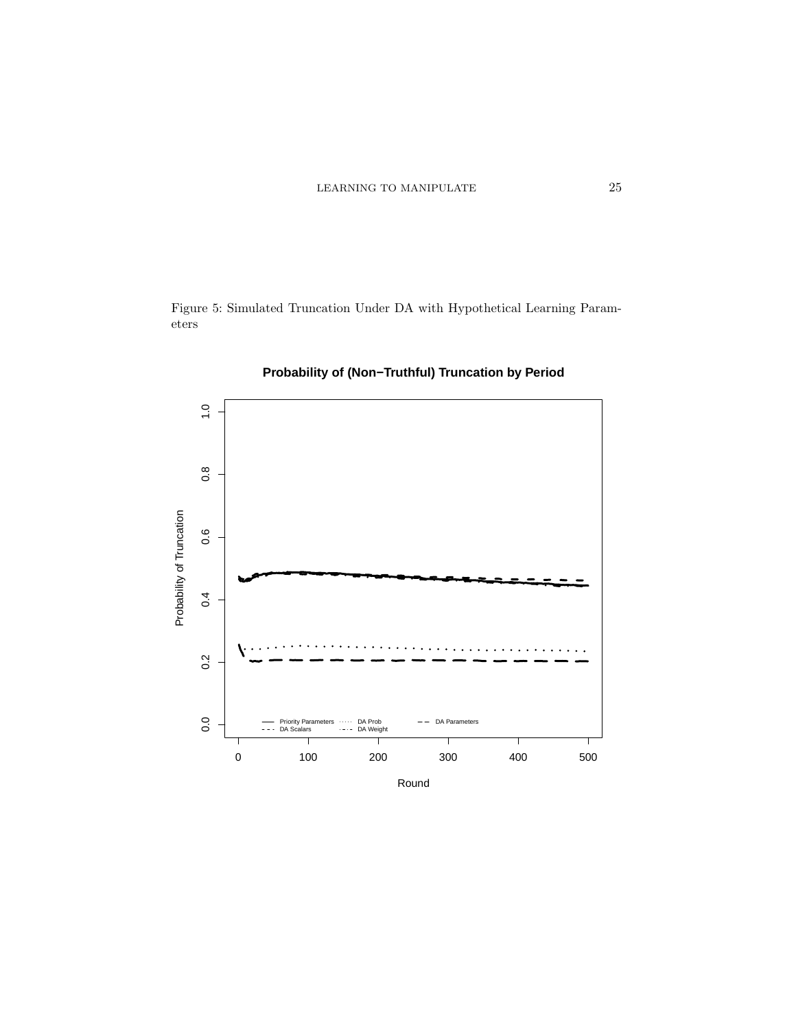Figure 5: Simulated Truncation Under DA with Hypothetical Learning Parameters



# **Probability of (Non−Truthful) Truncation by Period**

Round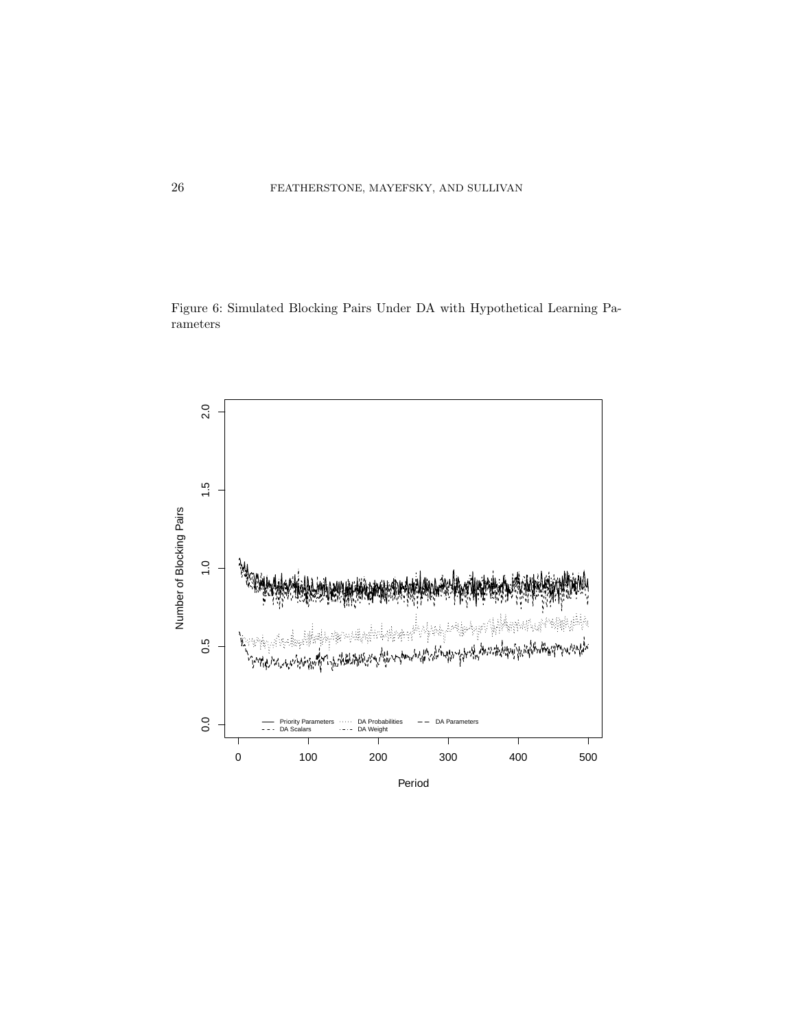Figure 6: Simulated Blocking Pairs Under DA with Hypothetical Learning Parameters

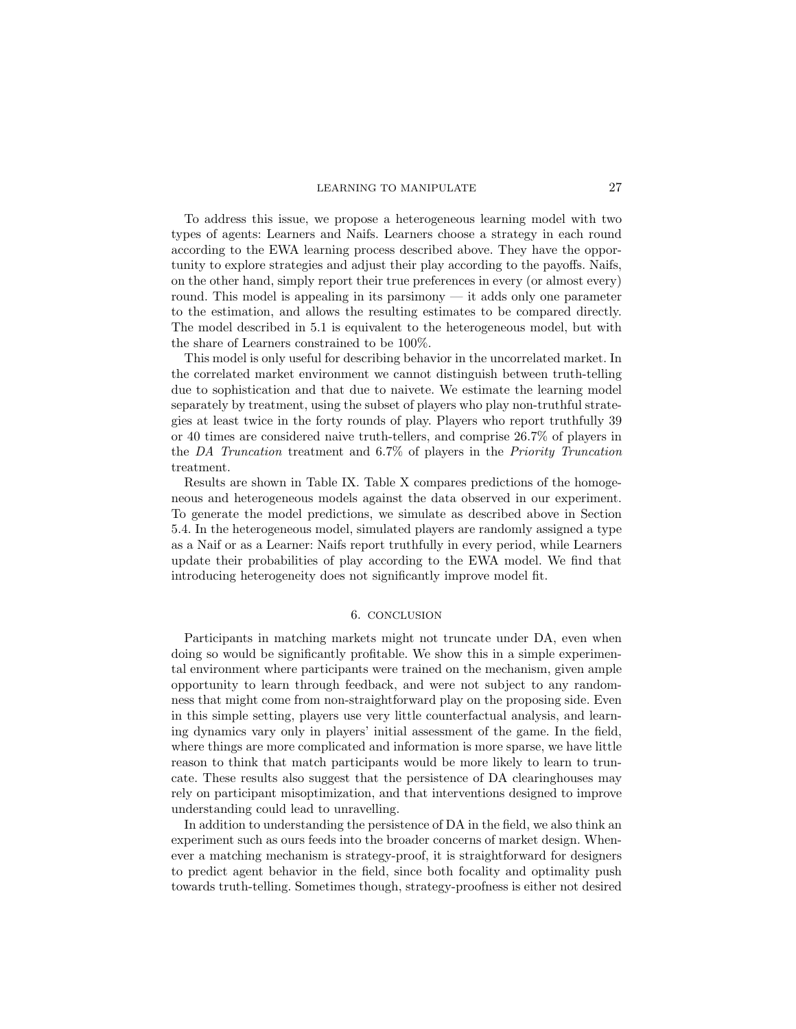To address this issue, we propose a heterogeneous learning model with two types of agents: Learners and Naifs. Learners choose a strategy in each round according to the EWA learning process described above. They have the opportunity to explore strategies and adjust their play according to the payoffs. Naifs, on the other hand, simply report their true preferences in every (or almost every) round. This model is appealing in its parsimony — it adds only one parameter to the estimation, and allows the resulting estimates to be compared directly. The model described in 5.1 is equivalent to the heterogeneous model, but with the share of Learners constrained to be 100%.

This model is only useful for describing behavior in the uncorrelated market. In the correlated market environment we cannot distinguish between truth-telling due to sophistication and that due to naivete. We estimate the learning model separately by treatment, using the subset of players who play non-truthful strategies at least twice in the forty rounds of play. Players who report truthfully 39 or 40 times are considered naive truth-tellers, and comprise 26.7% of players in the DA Truncation treatment and 6.7% of players in the Priority Truncation treatment.

Results are shown in Table IX. Table X compares predictions of the homogeneous and heterogeneous models against the data observed in our experiment. To generate the model predictions, we simulate as described above in Section 5.4. In the heterogeneous model, simulated players are randomly assigned a type as a Naif or as a Learner: Naifs report truthfully in every period, while Learners update their probabilities of play according to the EWA model. We find that introducing heterogeneity does not significantly improve model fit.

# 6. CONCLUSION

Participants in matching markets might not truncate under DA, even when doing so would be significantly profitable. We show this in a simple experimental environment where participants were trained on the mechanism, given ample opportunity to learn through feedback, and were not subject to any randomness that might come from non-straightforward play on the proposing side. Even in this simple setting, players use very little counterfactual analysis, and learning dynamics vary only in players' initial assessment of the game. In the field, where things are more complicated and information is more sparse, we have little reason to think that match participants would be more likely to learn to truncate. These results also suggest that the persistence of DA clearinghouses may rely on participant misoptimization, and that interventions designed to improve understanding could lead to unravelling.

In addition to understanding the persistence of DA in the field, we also think an experiment such as ours feeds into the broader concerns of market design. Whenever a matching mechanism is strategy-proof, it is straightforward for designers to predict agent behavior in the field, since both focality and optimality push towards truth-telling. Sometimes though, strategy-proofness is either not desired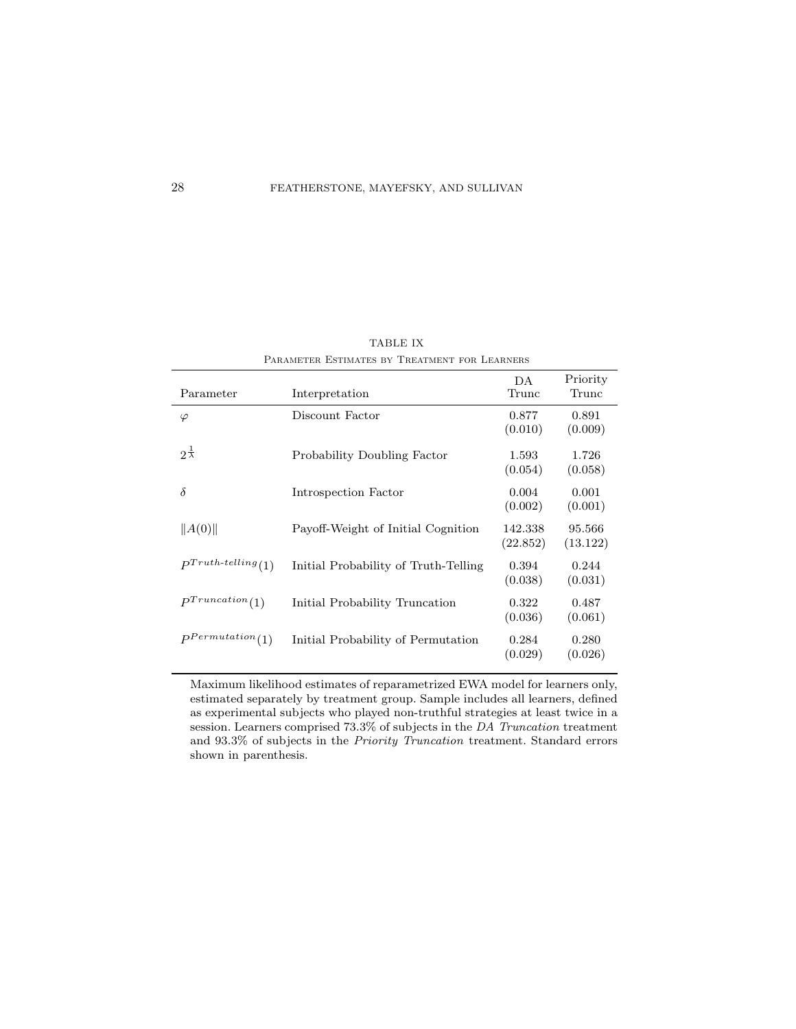| Parameter                     | Interpretation                       | DA<br>Trunc         | Priority<br>Trunc  |
|-------------------------------|--------------------------------------|---------------------|--------------------|
| $\varphi$                     | Discount Factor                      | 0.877<br>(0.010)    | 0.891<br>(0.009)   |
| $2^{\frac{1}{\lambda}}$       | Probability Doubling Factor          | 1.593<br>(0.054)    | 1.726<br>(0.058)   |
| $\delta$                      | Introspection Factor                 | 0.004<br>(0.002)    | 0.001<br>(0.001)   |
| $\ A(0)\ $                    | Payoff-Weight of Initial Cognition   | 142.338<br>(22.852) | 95.566<br>(13.122) |
| $P^{Truth\text{-}telling}(1)$ | Initial Probability of Truth-Telling | 0.394<br>(0.038)    | 0.244<br>(0.031)   |
| $P^{Truncation}(1)$           | Initial Probability Truncation       | 0.322<br>(0.036)    | 0.487<br>(0.061)   |
| $P^{Permutation}(1)$          | Initial Probability of Permutation   | 0.284<br>(0.029)    | 0.280<br>(0.026)   |
|                               |                                      |                     |                    |

TABLE IX PARAMETER ESTIMATES BY TREATMENT FOR LEARNERS

Maximum likelihood estimates of reparametrized EWA model for learners only, estimated separately by treatment group. Sample includes all learners, defined as experimental subjects who played non-truthful strategies at least twice in a session. Learners comprised 73.3% of subjects in the DA Truncation treatment and 93.3% of subjects in the Priority Truncation treatment. Standard errors shown in parenthesis.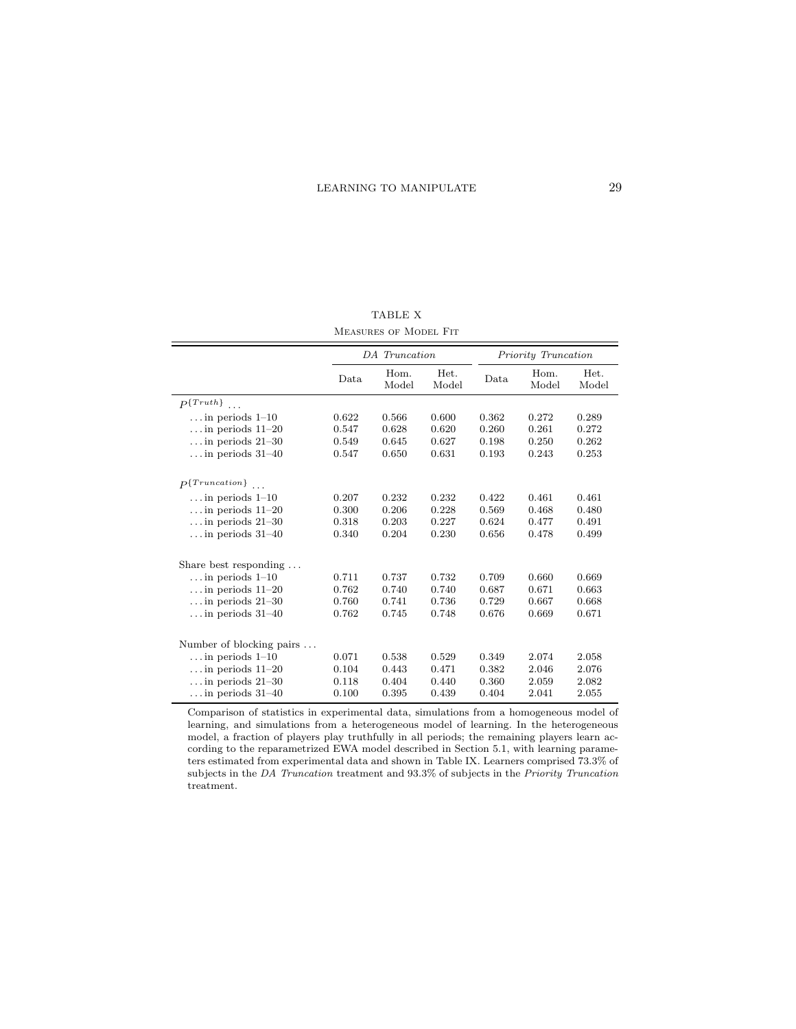TABLE X Measures of Model Fit

|                                    | DA Truncation |               |               | Priority Truncation |               |               |
|------------------------------------|---------------|---------------|---------------|---------------------|---------------|---------------|
|                                    | Data          | Hom.<br>Model | Het.<br>Model | Data                | Hom.<br>Model | Het.<br>Model |
| $P\{Truth\}$<br>$\overline{a}$ .   |               |               |               |                     |               |               |
| $\dots$ in periods 1-10            | 0.622         | 0.566         | 0.600         | 0.362               | 0.272         | 0.289         |
| $\dots$ in periods $11-20$         | 0.547         | 0.628         | 0.620         | 0.260               | 0.261         | 0.272         |
| $\dots$ in periods 21-30           | 0.549         | 0.645         | 0.627         | 0.198               | 0.250         | 0.262         |
| $\dots$ in periods 31-40           | 0.547         | 0.650         | 0.631         | 0.193               | 0.243         | 0.253         |
|                                    |               |               |               |                     |               |               |
| $P\{Truncation\}$<br>$\mathcal{L}$ |               |               |               |                     |               |               |
| $\dots$ in periods $1-10$          | 0.207         | 0.232         | 0.232         | 0.422               | 0.461         | 0.461         |
| $\dots$ in periods $11-20$         | 0.300         | 0.206         | 0.228         | 0.569               | 0.468         | 0.480         |
| $\dots$ in periods 21-30           | 0.318         | 0.203         | 0.227         | 0.624               | 0.477         | 0.491         |
| $\dots$ in periods 31-40           | 0.340         | 0.204         | 0.230         | 0.656               | 0.478         | 0.499         |
|                                    |               |               |               |                     |               |               |
| Share best responding $\dots$      |               |               |               |                     |               |               |
| $\dots$ in periods $1-10$          | 0.711         | 0.737         | 0.732         | 0.709               | 0.660         | 0.669         |
| $\dots$ in periods $11-20$         | 0.762         | 0.740         | 0.740         | 0.687               | 0.671         | 0.663         |
| $\dots$ in periods 21-30           | 0.760         | 0.741         | 0.736         | 0.729               | 0.667         | 0.668         |
| $\dots$ in periods 31-40           | 0.762         | 0.745         | 0.748         | 0.676               | 0.669         | 0.671         |
|                                    |               |               |               |                     |               |               |
| Number of blocking pairs           |               |               |               |                     |               |               |
| $\dots$ in periods $1-10$          | 0.071         | 0.538         | 0.529         | 0.349               | 2.074         | 2.058         |
| $\dots$ in periods $11-20$         | 0.104         | 0.443         | 0.471         | 0.382               | 2.046         | 2.076         |
| $\dots$ in periods 21-30           | 0.118         | 0.404         | 0.440         | 0.360               | 2.059         | 2.082         |
| $\dots$ in periods 31-40           | 0.100         | 0.395         | 0.439         | 0.404               | 2.041         | 2.055         |

Comparison of statistics in experimental data, simulations from a homogeneous model of learning, and simulations from a heterogeneous model of learning. In the heterogeneous model, a fraction of players play truthfully in all periods; the remaining players learn according to the reparametrized EWA model described in Section 5.1, with learning parameters estimated from experimental data and shown in Table IX. Learners comprised 73.3% of subjects in the DA Truncation treatment and 93.3% of subjects in the Priority Truncation treatment.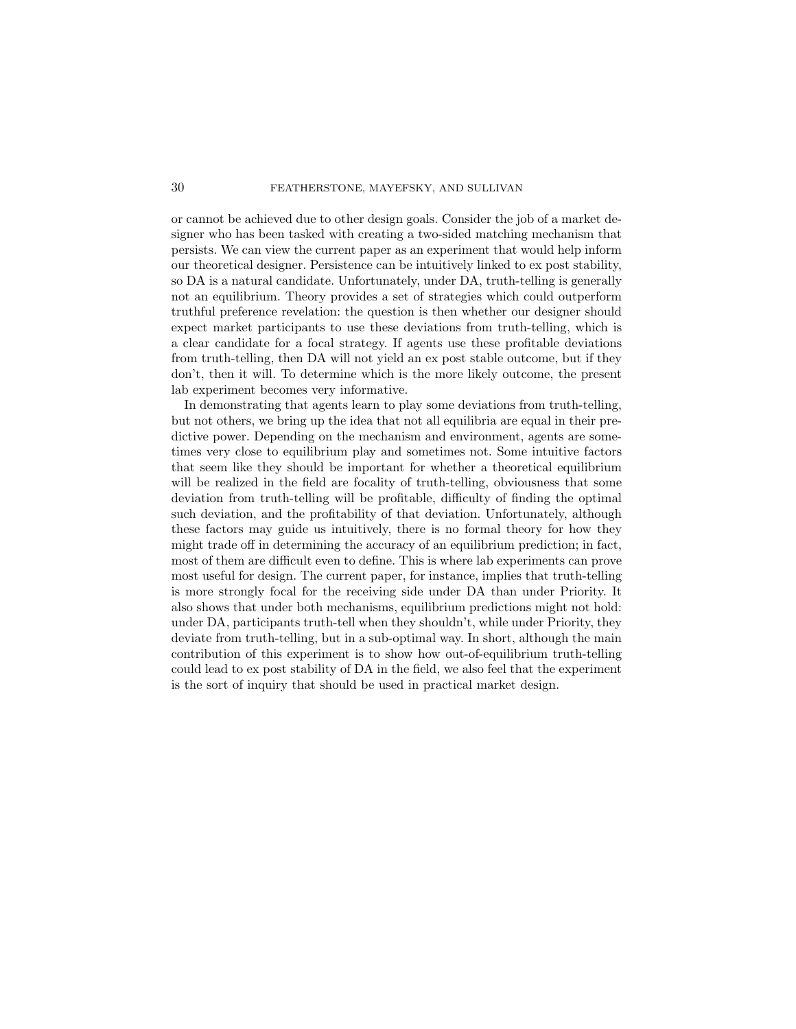or cannot be achieved due to other design goals. Consider the job of a market designer who has been tasked with creating a two-sided matching mechanism that persists. We can view the current paper as an experiment that would help inform our theoretical designer. Persistence can be intuitively linked to ex post stability, so DA is a natural candidate. Unfortunately, under DA, truth-telling is generally not an equilibrium. Theory provides a set of strategies which could outperform truthful preference revelation: the question is then whether our designer should expect market participants to use these deviations from truth-telling, which is a clear candidate for a focal strategy. If agents use these profitable deviations from truth-telling, then DA will not yield an ex post stable outcome, but if they don't, then it will. To determine which is the more likely outcome, the present lab experiment becomes very informative.

In demonstrating that agents learn to play some deviations from truth-telling, but not others, we bring up the idea that not all equilibria are equal in their predictive power. Depending on the mechanism and environment, agents are sometimes very close to equilibrium play and sometimes not. Some intuitive factors that seem like they should be important for whether a theoretical equilibrium will be realized in the field are focality of truth-telling, obviousness that some deviation from truth-telling will be profitable, difficulty of finding the optimal such deviation, and the profitability of that deviation. Unfortunately, although these factors may guide us intuitively, there is no formal theory for how they might trade off in determining the accuracy of an equilibrium prediction; in fact, most of them are difficult even to define. This is where lab experiments can prove most useful for design. The current paper, for instance, implies that truth-telling is more strongly focal for the receiving side under DA than under Priority. It also shows that under both mechanisms, equilibrium predictions might not hold: under DA, participants truth-tell when they shouldn't, while under Priority, they deviate from truth-telling, but in a sub-optimal way. In short, although the main contribution of this experiment is to show how out-of-equilibrium truth-telling could lead to ex post stability of DA in the field, we also feel that the experiment is the sort of inquiry that should be used in practical market design.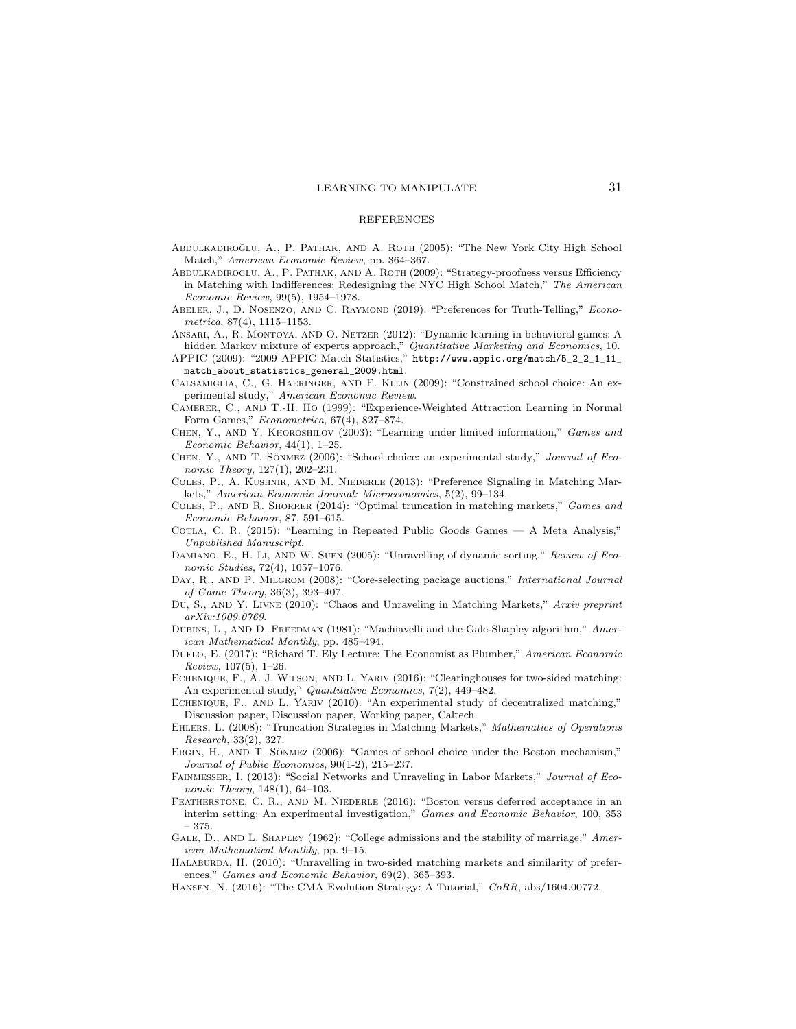#### REFERENCES

- ABDULKADIROĞLU, A., P. PATHAK, AND A. ROTH (2005): "The New York City High School Match," American Economic Review, pp. 364–367.
- Abdulkadiroglu, A., P. Pathak, and A. Roth (2009): "Strategy-proofness versus Efficiency in Matching with Indifferences: Redesigning the NYC High School Match," The American Economic Review, 99(5), 1954–1978.
- ABELER, J., D. NOSENZO, AND C. RAYMOND (2019): "Preferences for Truth-Telling," Econometrica, 87(4), 1115–1153.
- Ansari, A., R. Montoya, and O. Netzer (2012): "Dynamic learning in behavioral games: A hidden Markov mixture of experts approach," Quantitative Marketing and Economics, 10.
- APPIC (2009): "2009 APPIC Match Statistics," http://www.appic.org/match/5\_2\_2\_1\_11\_ match\_about\_statistics\_general\_2009.html.
- Calsamiglia, C., G. Haeringer, and F. Klijn (2009): "Constrained school choice: An experimental study," American Economic Review.
- Camerer, C., and T.-H. Ho (1999): "Experience-Weighted Attraction Learning in Normal Form Games," Econometrica, 67(4), 827–874.
- Chen, Y., and Y. Khoroshilov (2003): "Learning under limited information," Games and Economic Behavior, 44(1), 1–25.
- CHEN, Y., AND T. SÖNMEZ (2006): "School choice: an experimental study," Journal of Economic Theory, 127(1), 202–231.
- Coles, P., A. Kushnir, and M. Niederle (2013): "Preference Signaling in Matching Markets," American Economic Journal: Microeconomics, 5(2), 99–134.
- Coles, P., and R. Shorrer (2014): "Optimal truncation in matching markets," Games and Economic Behavior, 87, 591–615.
- COTLA, C. R. (2015): "Learning in Repeated Public Goods Games A Meta Analysis," Unpublished Manuscript.
- DAMIANO, E., H. LI, AND W. SUEN (2005): "Unravelling of dynamic sorting," Review of Economic Studies, 72(4), 1057–1076.
- DAY, R., AND P. MILGROM (2008): "Core-selecting package auctions," International Journal of Game Theory, 36(3), 393–407.
- DU, S., AND Y. LIVNE (2010): "Chaos and Unraveling in Matching Markets," Arxiv preprint arXiv:1009.0769.
- DUBINS, L., AND D. FREEDMAN (1981): "Machiavelli and the Gale-Shapley algorithm," American Mathematical Monthly, pp. 485–494.
- DUFLO, E. (2017): "Richard T. Ely Lecture: The Economist as Plumber," American Economic Review, 107(5), 1–26.
- Echenique, F., A. J. Wilson, and L. Yariv (2016): "Clearinghouses for two-sided matching: An experimental study," Quantitative Economics, 7(2), 449–482.

ECHENIQUE, F., AND L. YARIV (2010): "An experimental study of decentralized matching," Discussion paper, Discussion paper, Working paper, Caltech.

- Ehlers, L. (2008): "Truncation Strategies in Matching Markets," Mathematics of Operations Research, 33(2), 327.
- ERGIN, H., AND T. SÖNMEZ (2006): "Games of school choice under the Boston mechanism," Journal of Public Economics, 90(1-2), 215–237.

Fainmesser, I. (2013): "Social Networks and Unraveling in Labor Markets," Journal of Economic Theory, 148(1), 64-103.

- FEATHERSTONE, C. R., AND M. NIEDERLE (2016): "Boston versus deferred acceptance in an interim setting: An experimental investigation," Games and Economic Behavior, 100, 353 – 375.
- GALE, D., AND L. SHAPLEY (1962): "College admissions and the stability of marriage," American Mathematical Monthly, pp. 9–15.
- HAŁABURDA, H. (2010): "Unravelling in two-sided matching markets and similarity of preferences," Games and Economic Behavior, 69(2), 365–393.
- Hansen, N. (2016): "The CMA Evolution Strategy: A Tutorial," CoRR, abs/1604.00772.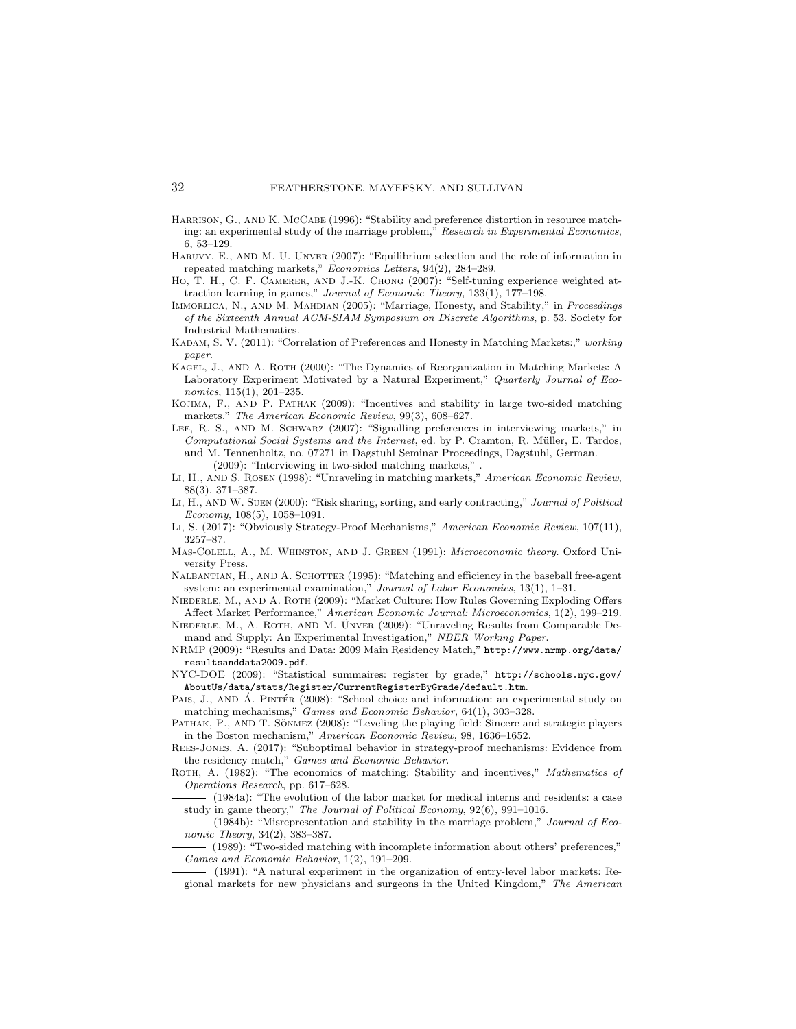- HARRISON, G., AND K. McCABE (1996): "Stability and preference distortion in resource matching: an experimental study of the marriage problem," Research in Experimental Economics, 6, 53–129.
- Haruvy, E., and M. U. Unver (2007): "Equilibrium selection and the role of information in repeated matching markets," Economics Letters, 94(2), 284–289.
- Ho, T. H., C. F. CAMERER, AND J.-K. CHONG (2007): "Self-tuning experience weighted attraction learning in games," Journal of Economic Theory, 133(1), 177–198.
- IMMORLICA, N., AND M. MAHDIAN (2005): "Marriage, Honesty, and Stability," in *Proceedings* of the Sixteenth Annual ACM-SIAM Symposium on Discrete Algorithms, p. 53. Society for Industrial Mathematics.
- KADAM, S. V. (2011): "Correlation of Preferences and Honesty in Matching Markets:," working paper.
- Kagel, J., and A. Roth (2000): "The Dynamics of Reorganization in Matching Markets: A Laboratory Experiment Motivated by a Natural Experiment," Quarterly Journal of Economics, 115(1), 201–235.
- Kojima, F., and P. Pathak (2009): "Incentives and stability in large two-sided matching markets," The American Economic Review, 99(3), 608–627.
- Lee, R. S., and M. Schwarz (2007): "Signalling preferences in interviewing markets," in Computational Social Systems and the Internet, ed. by P. Cramton, R. Müller, E. Tardos, and M. Tennenholtz, no. 07271 in Dagstuhl Seminar Proceedings, Dagstuhl, German. (2009): "Interviewing in two-sided matching markets," .
- Li, H., and S. Rosen (1998): "Unraveling in matching markets," American Economic Review, 88(3), 371–387.
- Li, H., and W. Suen (2000): "Risk sharing, sorting, and early contracting," Journal of Political Economy, 108(5), 1058–1091.
- Li, S. (2017): "Obviously Strategy-Proof Mechanisms," American Economic Review, 107(11), 3257–87.
- MAS-COLELL, A., M. WHINSTON, AND J. GREEN (1991): *Microeconomic theory*. Oxford University Press.
- NALBANTIAN, H., AND A. SCHOTTER (1995): "Matching and efficiency in the baseball free-agent system: an experimental examination," Journal of Labor Economics, 13(1), 1–31.
- NIEDERLE, M., AND A. ROTH (2009): "Market Culture: How Rules Governing Exploding Offers Affect Market Performance," American Economic Journal: Microeconomics, 1(2), 199–219.
- NIEDERLE, M., A. ROTH, AND M. ÜNVER (2009): "Unraveling Results from Comparable Demand and Supply: An Experimental Investigation," NBER Working Paper.
- NRMP (2009): "Results and Data: 2009 Main Residency Match," http://www.nrmp.org/data/ resultsanddata2009.pdf.
- NYC-DOE (2009): "Statistical summaires: register by grade," http://schools.nyc.gov/ AboutUs/data/stats/Register/CurrentRegisterByGrade/default.htm.
- Pais, J., AND A. PINTER (2008): "School choice and information: an experimental study on matching mechanisms," Games and Economic Behavior, 64(1), 303–328.
- PATHAK, P., AND T. SÖNMEZ (2008): "Leveling the playing field: Sincere and strategic players in the Boston mechanism," American Economic Review, 98, 1636–1652.
- Rees-Jones, A. (2017): "Suboptimal behavior in strategy-proof mechanisms: Evidence from the residency match," Games and Economic Behavior.
- ROTH, A. (1982): "The economics of matching: Stability and incentives," Mathematics of Operations Research, pp. 617–628.
- (1984a): "The evolution of the labor market for medical interns and residents: a case study in game theory," The Journal of Political Economy, 92(6), 991–1016.
- (1984b): "Misrepresentation and stability in the marriage problem," Journal of Economic Theory, 34(2), 383–387.
- (1989): "Two-sided matching with incomplete information about others' preferences," Games and Economic Behavior, 1(2), 191–209.
- (1991): "A natural experiment in the organization of entry-level labor markets: Regional markets for new physicians and surgeons in the United Kingdom," The American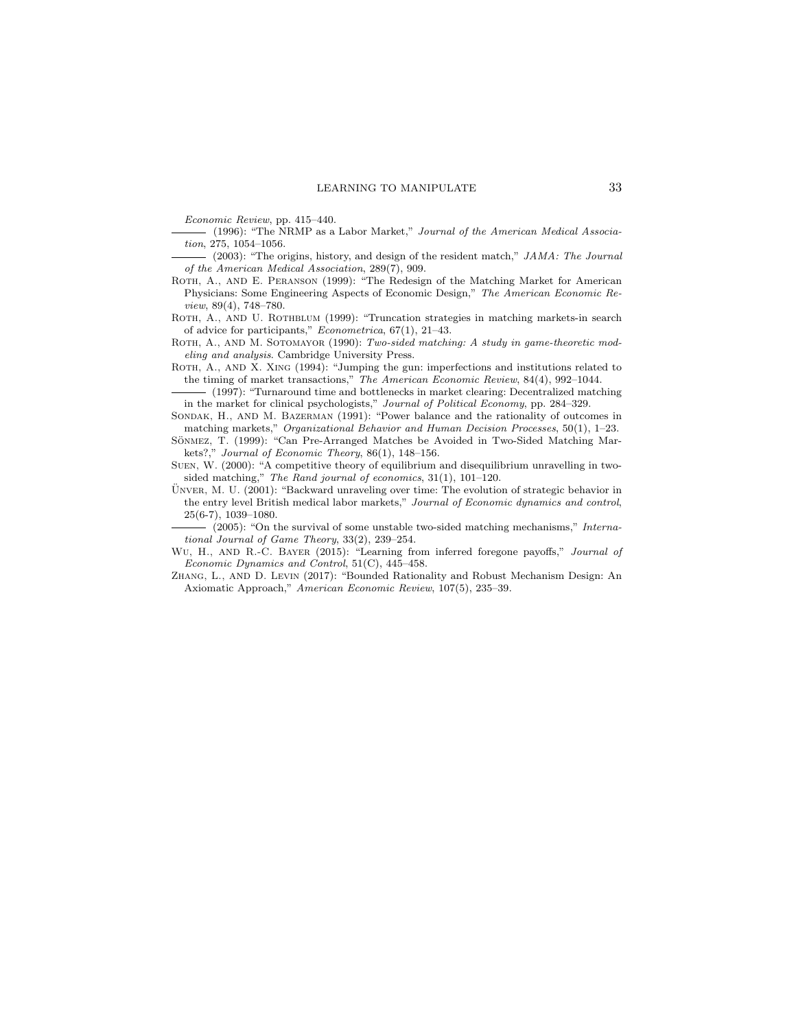Economic Review, pp. 415–440.

- (1996): "The NRMP as a Labor Market," Journal of the American Medical Association, 275, 1054–1056.
- (2003): "The origins, history, and design of the resident match," JAMA: The Journal of the American Medical Association, 289(7), 909.
- ROTH, A., AND E. PERANSON (1999): "The Redesign of the Matching Market for American Physicians: Some Engineering Aspects of Economic Design," The American Economic Review, 89(4), 748–780.
- ROTH, A., AND U. ROTHBLUM (1999): "Truncation strategies in matching markets-in search of advice for participants," Econometrica, 67(1), 21–43.
- ROTH, A., AND M. SOTOMAYOR (1990): Two-sided matching: A study in game-theoretic modeling and analysis. Cambridge University Press.
- ROTH, A., AND X. XING (1994): "Jumping the gun: imperfections and institutions related to the timing of market transactions," The American Economic Review, 84(4), 992–1044.
- (1997): "Turnaround time and bottlenecks in market clearing: Decentralized matching in the market for clinical psychologists," Journal of Political Economy, pp. 284–329.
- SONDAK, H., AND M. BAZERMAN (1991): "Power balance and the rationality of outcomes in matching markets," Organizational Behavior and Human Decision Processes, 50(1), 1–23.
- SÖNMEZ, T. (1999): "Can Pre-Arranged Matches be Avoided in Two-Sided Matching Markets?," Journal of Economic Theory, 86(1), 148–156.
- Suen, W. (2000): "A competitive theory of equilibrium and disequilibrium unravelling in twosided matching," The Rand journal of economics, 31(1), 101–120.
- ÜNVER, M. U. (2001): "Backward unraveling over time: The evolution of strategic behavior in the entry level British medical labor markets," Journal of Economic dynamics and control, 25(6-7), 1039–1080.
- (2005): "On the survival of some unstable two-sided matching mechanisms," International Journal of Game Theory, 33(2), 239–254.
- WU, H., AND R.-C. BAYER (2015): "Learning from inferred foregone payoffs," Journal of Economic Dynamics and Control, 51(C), 445–458.
- Zhang, L., and D. Levin (2017): "Bounded Rationality and Robust Mechanism Design: An Axiomatic Approach," American Economic Review, 107(5), 235–39.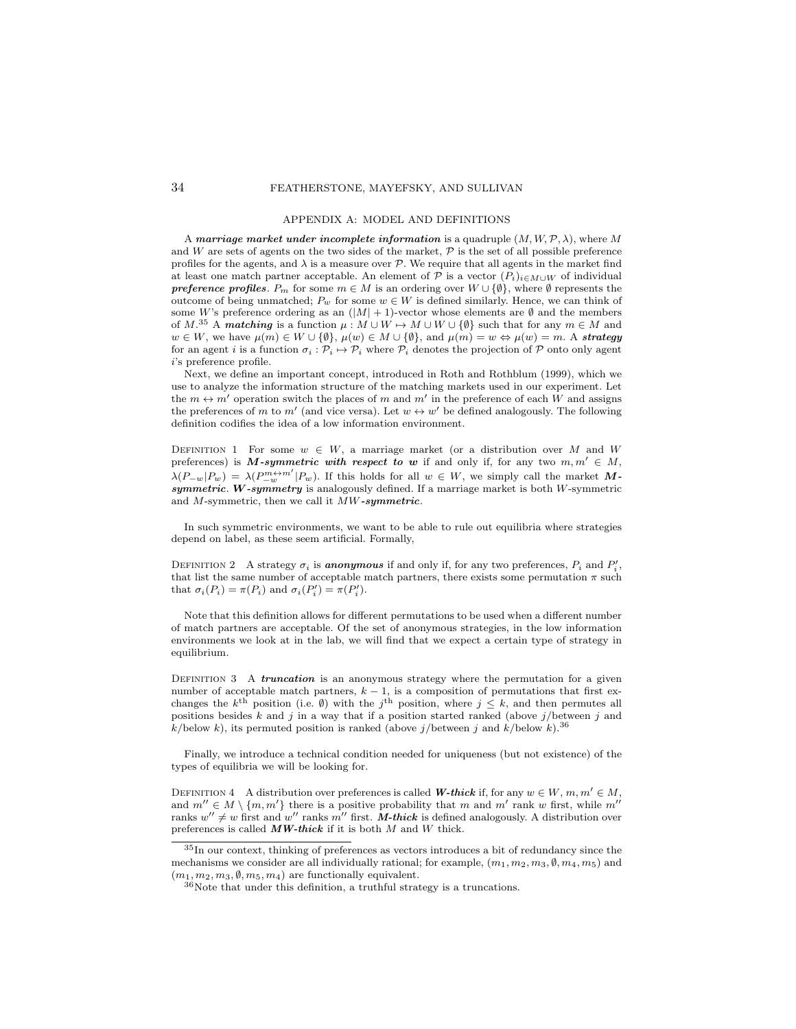#### APPENDIX A: MODEL AND DEFINITIONS

A marriage market under incomplete information is a quadruple  $(M, W, \mathcal{P}, \lambda)$ , where M and W are sets of agents on the two sides of the market,  $P$  is the set of all possible preference profiles for the agents, and  $\lambda$  is a measure over  $P$ . We require that all agents in the market find at least one match partner acceptable. An element of P is a vector  $(P_i)_{i\in M\cup W}$  of individual **preference profiles.**  $P_m$  for some  $m \in M$  is an ordering over  $W \cup \{\emptyset\}$ , where  $\emptyset$  represents the outcome of being unmatched;  $P_w$  for some  $w \in W$  is defined similarly. Hence, we can think of some W's preference ordering as an  $(|M| + 1)$ -vector whose elements are Ø and the members of M.<sup>35</sup> A matching is a function  $\mu : M \cup W \mapsto M \cup W \cup \{ \emptyset \}$  such that for any  $m \in M$  and  $w \in W$ , we have  $\mu(m) \in W \cup \{\emptyset\}$ ,  $\mu(w) \in M \cup \{\emptyset\}$ , and  $\mu(m) = w \Leftrightarrow \mu(w) = m$ . A strategy for an agent i is a function  $\sigma_i : \mathcal{P}_i \mapsto \mathcal{P}_i$  where  $\mathcal{P}_i$  denotes the projection of P onto only agent i's preference profile.

Next, we define an important concept, introduced in Roth and Rothblum (1999), which we use to analyze the information structure of the matching markets used in our experiment. Let the  $m \leftrightarrow m'$  operation switch the places of m and m' in the preference of each W and assigns the preferences of m to m' (and vice versa). Let  $w \leftrightarrow w'$  be defined analogously. The following definition codifies the idea of a low information environment.

DEFINITION 1 For some  $w \in W$ , a marriage market (or a distribution over M and W preferences) is M-symmetric with respect to w if and only if, for any two  $m, m' \in M$ ,  $\lambda(P_{-w}|P_w) = \lambda(P_{-w}^{m+m'}|P_w)$ . If this holds for all  $w \in W$ , we simply call the market Msymmetric. W-symmetry is analogously defined. If a marriage market is both W-symmetric and  $M$ -symmetric, then we call it  $\overline{MW\text{-}symmetric}$ .

In such symmetric environments, we want to be able to rule out equilibria where strategies depend on label, as these seem artificial. Formally,

DEFINITION 2 A strategy  $\sigma_i$  is **anonymous** if and only if, for any two preferences,  $P_i$  and  $P'_i$ , that list the same number of acceptable match partners, there exists some permutation  $\pi$  such that  $\sigma_i(P_i) = \pi(P_i)$  and  $\sigma_i(P'_i) = \pi(P'_i)$ .

Note that this definition allows for different permutations to be used when a different number of match partners are acceptable. Of the set of anonymous strategies, in the low information environments we look at in the lab, we will find that we expect a certain type of strategy in equilibrium.

DEFINITION  $3$  A *truncation* is an anonymous strategy where the permutation for a given number of acceptable match partners,  $k - 1$ , is a composition of permutations that first exchanges the  $k^{\text{th}}$  position (i.e.  $\emptyset$ ) with the j<sup>th</sup> position, where  $j \leq k$ , and then permutes all positions besides  $k$  and  $j$  in a way that if a position started ranked (above  $j$ /between  $j$  and k/below k), its permuted position is ranked (above  $j/\text{between } j$  and  $k/\text{below } k$ ).<sup>36</sup>

Finally, we introduce a technical condition needed for uniqueness (but not existence) of the types of equilibria we will be looking for.

DEFINITION 4 A distribution over preferences is called W-thick if, for any  $w \in W, m, m' \in M$ , and  $m'' \in M \setminus \{m, m'\}$  there is a positive probability that m and m' rank w first, while m'' ranks  $w'' \neq w$  first and w'' ranks m'' first. M-thick is defined analogously. A distribution over preferences is called  $\boldsymbol{M}\boldsymbol{W}\text{-}\boldsymbol{thick}$  if it is both  $M$  and  $W$  thick.

<sup>35</sup>In our context, thinking of preferences as vectors introduces a bit of redundancy since the mechanisms we consider are all individually rational; for example,  $(m_1, m_2, m_3, \emptyset, m_4, m_5)$  and  $(m_1, m_2, m_3, \emptyset, m_5, m_4)$  are functionally equivalent.

<sup>36</sup>Note that under this definition, a truthful strategy is a truncations.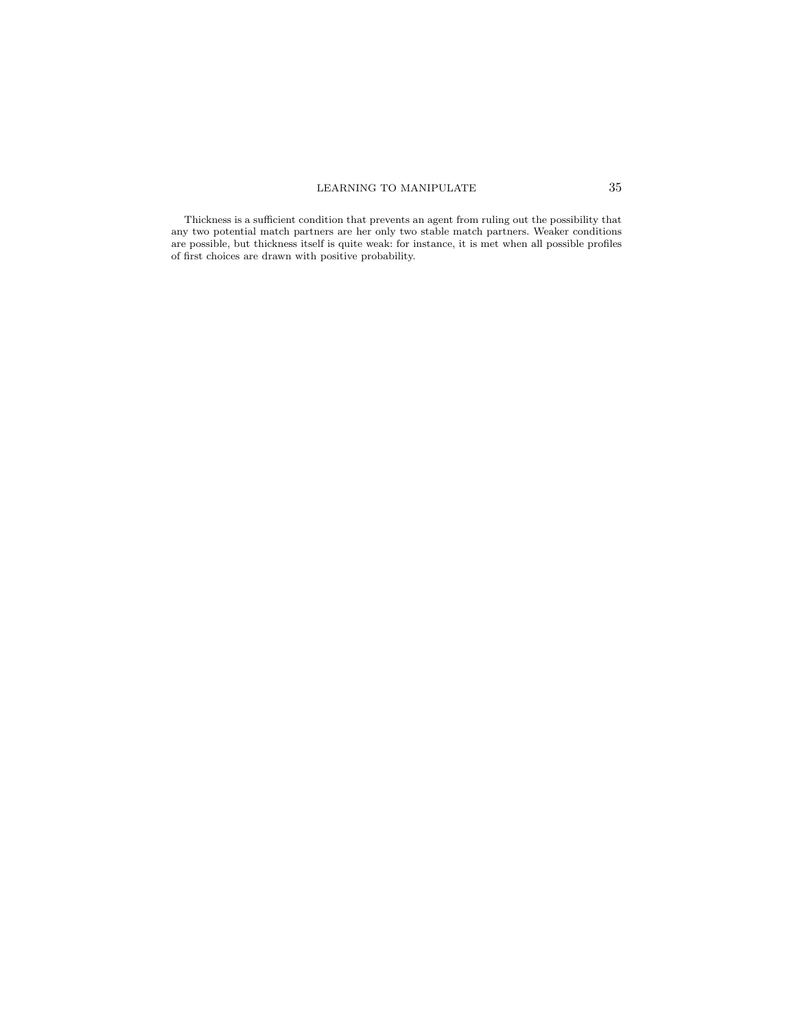Thickness is a sufficient condition that prevents an agent from ruling out the possibility that any two potential match partners are her only two stable match partners. Weaker conditions are possible, but thickness itself is quite weak: for instance, it is met when all possible profiles of first choices are drawn with positive probability.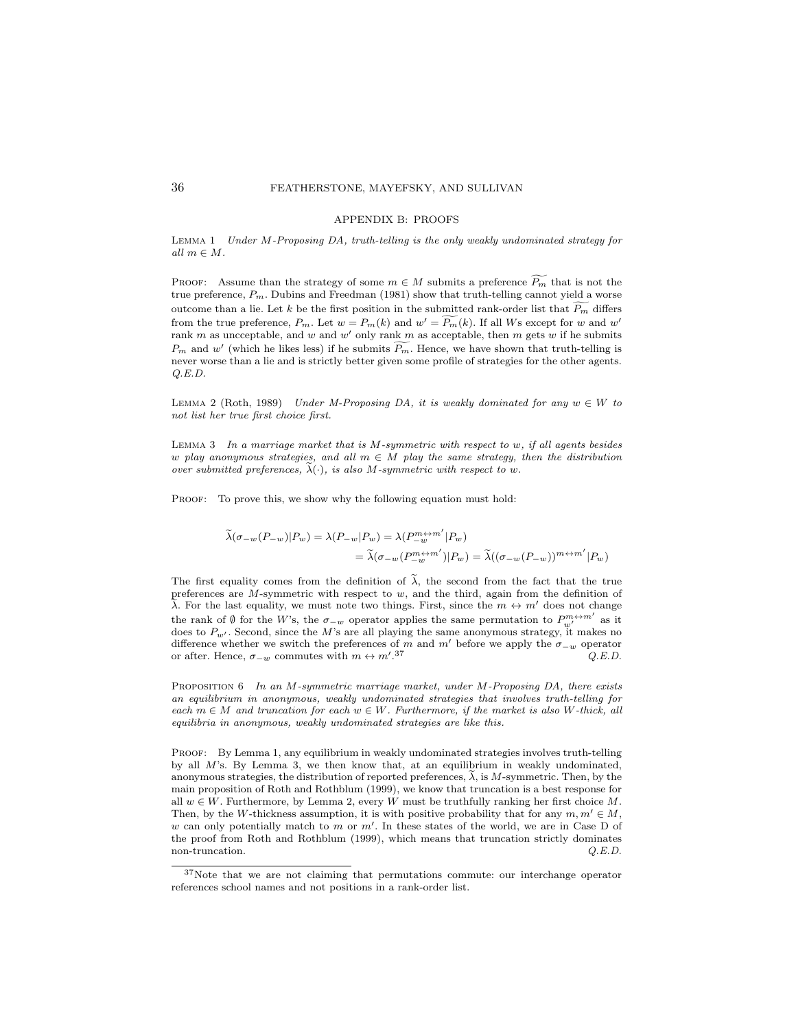#### APPENDIX B: PROOFS

LEMMA 1 Under  $M$ -Proposing DA, truth-telling is the only weakly undominated strategy for all  $m \in M$ .

PROOF: Assume than the strategy of some  $m \in M$  submits a preference  $\widetilde{P_m}$  that is not the true preference,  $P_m$ . Dubins and Freedman (1981) show that truth-telling cannot yield a worse outcome than a lie. Let k be the first position in the submitted rank-order list that  $\widetilde{P_m}$  differs from the true preference,  $P_m$ . Let  $w = P_m(k)$  and  $w' = \widetilde{P_m}(k)$ . If all Ws except for w and w' rank m as uncceptable, and w and w' only rank m as acceptable, then m gets w if he submits  $P_m$  and w' (which he likes less) if he submits  $\widetilde{P_m}$ . Hence, we have shown that truth-telling is never worse than a lie and is strictly better given some profile of strategies for the other agents. Q.E.D.

LEMMA 2 (Roth, 1989) Under M-Proposing DA, it is weakly dominated for any  $w \in W$  to not list her true first choice first.

LEMMA  $3$  In a marriage market that is M-symmetric with respect to w, if all agents besides w play anonymous strategies, and all  $m \in M$  play the same strategy, then the distribution over submitted preferences,  $\widetilde{\lambda}(\cdot)$ , is also M-symmetric with respect to w.

PROOF: To prove this, we show why the following equation must hold:

$$
\begin{aligned}\n\widetilde{\lambda}(\sigma_{-w}(P_{-w})|P_w) &= \lambda(P_{-w}|P_w) = \lambda(P_{-w}^{m \leftrightarrow m'}|P_w) \\
&= \widetilde{\lambda}(\sigma_{-w}(P_{-w}^{m \leftrightarrow m'})|P_w) = \widetilde{\lambda}((\sigma_{-w}(P_{-w}))^{m \leftrightarrow m'}|P_w)\n\end{aligned}
$$

The first equality comes from the definition of  $\tilde{\lambda}$ , the second from the fact that the true preferences are  $M$ -symmetric with respect to  $w$ , and the third, again from the definition of  $\lambda$ . For the last equality, we must note two things. First, since the m  $\leftrightarrow$  m' does not change the rank of Ø for the W's, the  $\sigma_{-w}$  operator applies the same permutation to  $P_{w'}^{m \leftrightarrow m'}$  as it does to  $P_{w'}$ . Second, since the M's are all playing the same anonymous strategy, it makes no difference whether we switch the preferences of m and m' before we apply the  $\sigma_{-w}$  operator or after. Hence,  $\sigma_{-w}$  commutes with  $m \leftrightarrow m'$ .  $Q.E.D.$ 

PROPOSITION 6 In an M-symmetric marriage market, under M-Proposing DA, there exists an equilibrium in anonymous, weakly undominated strategies that involves truth-telling for each  $m \in M$  and truncation for each  $w \in W$ . Furthermore, if the market is also W-thick, all equilibria in anonymous, weakly undominated strategies are like this.

PROOF: By Lemma 1, any equilibrium in weakly undominated strategies involves truth-telling by all  $M$ 's. By Lemma 3, we then know that, at an equilibrium in weakly undominated, anonymous strategies, the distribution of reported preferences,  $\lambda$ , is M-symmetric. Then, by the main proposition of Roth and Rothblum (1999), we know that truncation is a best response for all  $w \in W$ . Furthermore, by Lemma 2, every W must be truthfully ranking her first choice M. Then, by the W-thickness assumption, it is with positive probability that for any  $m, m' \in M$ , w can only potentially match to m or  $m'$ . In these states of the world, we are in Case D of the proof from Roth and Rothblum (1999), which means that truncation strictly dominates non-truncation.  $Q.E.D.$ 

<sup>37</sup>Note that we are not claiming that permutations commute: our interchange operator references school names and not positions in a rank-order list.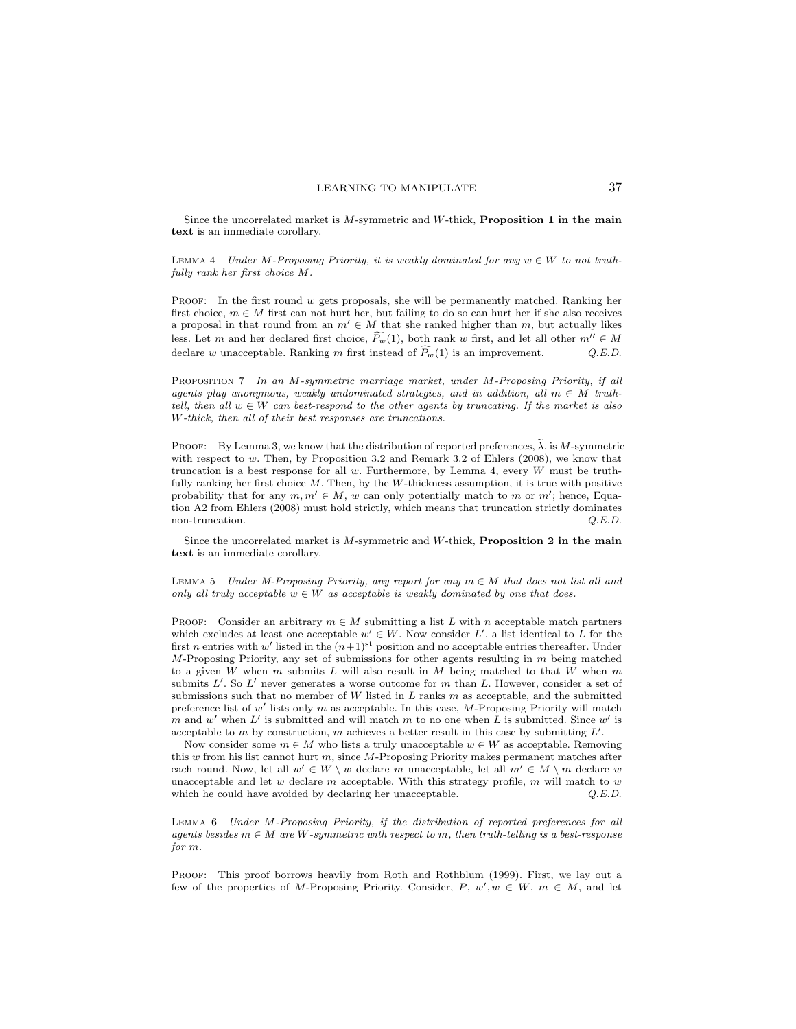Since the uncorrelated market is  $M$ -symmetric and  $W$ -thick, **Proposition 1 in the main** text is an immediate corollary.

LEMMA 4 Under M-Proposing Priority, it is weakly dominated for any  $w \in W$  to not truthfully rank her first choice M.

PROOF: In the first round  $w$  gets proposals, she will be permanently matched. Ranking her first choice,  $m \in M$  first can not hurt her, but failing to do so can hurt her if she also receives a proposal in that round from an  $m' \in M$  that she ranked higher than m, but actually likes less. Let m and her declared first choice,  $\widetilde{P_w}(1)$ , both rank w first, and let all other  $m'' \in M$  declare w unacceptable. Ranking m first instead of  $\widetilde{P_w}(1)$  is an improvement. O.E.D. declare w unacceptable. Ranking m first instead of  $\widetilde{P_w}(1)$  is an improvement.

Proposition 7 In an M-symmetric marriage market, under M-Proposing Priority, if all agents play anonymous, weakly undominated strategies, and in addition, all  $m \in M$  truthtell, then all  $w \in W$  can best-respond to the other agents by truncating. If the market is also W-thick, then all of their best responses are truncations.

PROOF: By Lemma 3, we know that the distribution of reported preferences,  $\tilde{\lambda}$ , is M-symmetric with respect to  $w$ . Then, by Proposition 3.2 and Remark 3.2 of Ehlers (2008), we know that truncation is a best response for all  $w$ . Furthermore, by Lemma 4, every  $W$  must be truthfully ranking her first choice  $M$ . Then, by the W-thickness assumption, it is true with positive probability that for any  $m, m' \in M$ , w can only potentially match to m or m'; hence, Equation A2 from Ehlers (2008) must hold strictly, which means that truncation strictly dominates non-truncation.  $Q.E.D.$ 

Since the uncorrelated market is  $M$ -symmetric and  $W$ -thick, **Proposition 2 in the main** text is an immediate corollary.

LEMMA 5 Under M-Proposing Priority, any report for any  $m \in M$  that does not list all and only all truly acceptable  $w \in W$  as acceptable is weakly dominated by one that does.

PROOF: Consider an arbitrary  $m \in M$  submitting a list L with n acceptable match partners which excludes at least one acceptable  $w' \in W$ . Now consider L', a list identical to L for the first n entries with w' listed in the  $(n+1)$ <sup>st</sup> position and no acceptable entries thereafter. Under  $M$ -Proposing Priority, any set of submissions for other agents resulting in  $m$  being matched to a given W when  $m$  submits  $L$  will also result in  $M$  being matched to that  $W$  when  $m$ submits  $L'$ . So  $L'$  never generates a worse outcome for m than L. However, consider a set of submissions such that no member of W listed in  $L$  ranks  $m$  as acceptable, and the submitted preference list of  $w'$  lists only m as acceptable. In this case, M-Proposing Priority will match m and w' when L' is submitted and will match m to no one when L is submitted. Since w' is acceptable to m by construction, m achieves a better result in this case by submitting  $L'$ .

Now consider some  $m \in M$  who lists a truly unacceptable  $w \in W$  as acceptable. Removing this  $w$  from his list cannot hurt  $m$ , since  $M$ -Proposing Priority makes permanent matches after each round. Now, let all  $w' \in W \setminus w$  declare m unacceptable, let all  $m' \in M \setminus m$  declare w unacceptable and let w declare m acceptable. With this strategy profile, m will match to w which he could have avoided by declaring her unacceptable.  $Q.E.D.$ 

Lemma 6 Under M-Proposing Priority, if the distribution of reported preferences for all agents besides  $m \in M$  are W-symmetric with respect to m, then truth-telling is a best-response for m.

PROOF: This proof borrows heavily from Roth and Rothblum (1999). First, we lay out a few of the properties of M-Proposing Priority. Consider,  $P, w', w \in W, m \in M$ , and let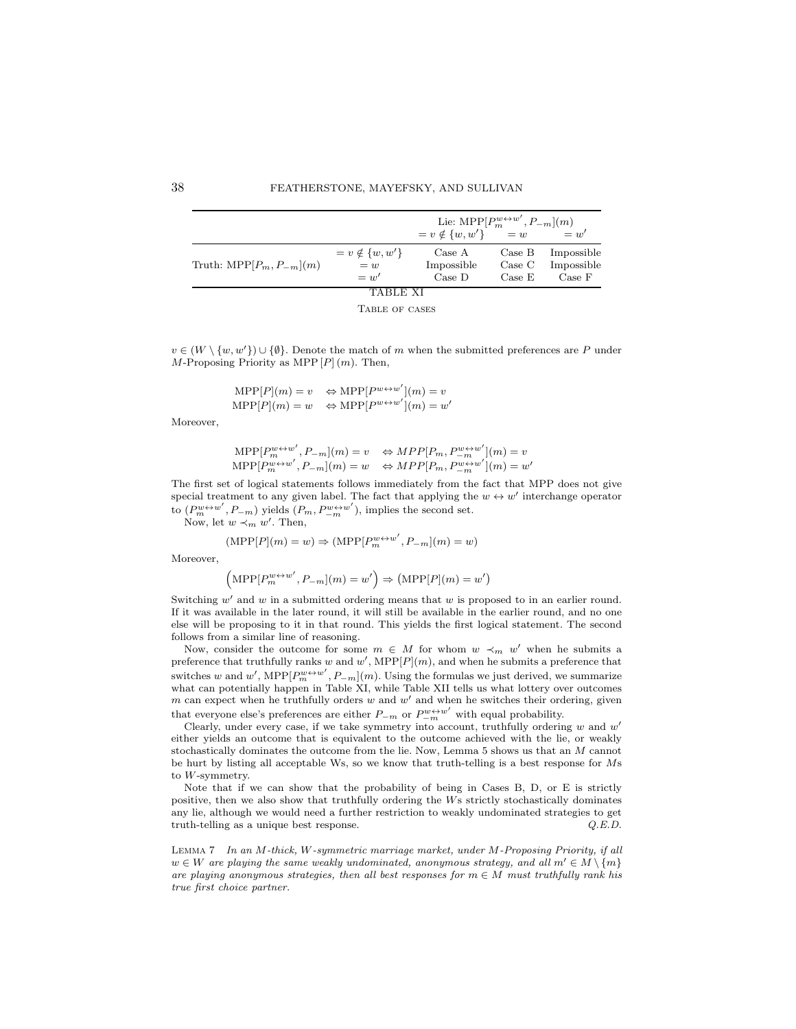|                                     |                                            | Lie: MPP $[P_m^{w\leftrightarrow w'}, P_{-m}](m)$<br>$v \notin \{w, w'\}$ $= w$ |                            | $= w'$                             |
|-------------------------------------|--------------------------------------------|---------------------------------------------------------------------------------|----------------------------|------------------------------------|
| Truth: $\text{MPP}[P_m, P_{-m}](m)$ | $= v \notin \{w, w'\}$<br>$=w$<br>$=$ $w'$ | Case A<br>Impossible<br>Case D                                                  | Case B<br>Case C<br>Case E | Impossible<br>Impossible<br>Case F |
|                                     | TABLE XI                                   |                                                                                 |                            |                                    |



 $v \in (W \setminus \{w, w'\}) \cup \{\emptyset\}.$  Denote the match of m when the submitted preferences are P under  $M$ -Proposing Priority as MPP  $[P](m)$ . Then,

$$
\begin{array}{lll} {\rm MPP}[P](m)=v & \Leftrightarrow {\rm MPP}[P^{w \leftrightarrow w'}](m)=v \\ {\rm MPP}[P](m)=w & \Leftrightarrow {\rm MPP}[P^{w \leftrightarrow w'}](m)=w' \end{array}
$$

Moreover,

$$
\begin{array}{lll}\text{MPP}[P_{m}^{w\leftrightarrow w'},P_{-m}](m)=v&\Leftrightarrow MPP[P_{m},P_{-m}^{w\leftrightarrow w'}](m)=v\\\text{MPP}[P_{m}^{w\leftrightarrow w'},P_{-m}](m)=w&\Leftrightarrow MPP[P_{m},P_{-m}^{w\leftrightarrow w'}](m)=w'\end{array}
$$

The first set of logical statements follows immediately from the fact that MPP does not give special treatment to any given label. The fact that applying the  $w \leftrightarrow w'$  interchange operator to  $(P_m^{w \leftrightarrow w'}, P_{-m})$  yields  $(P_m, P_{-m}^{w \leftrightarrow w'})$ , implies the second set.

Now, let  $w \prec_m w'$ . Then,

$$
(\text{MPP}[P](m) = w) \Rightarrow (\text{MPP}[P_m^{w \leftrightarrow w'}, P_{-m}](m) = w)
$$

Moreover,

$$
\left(\text{MPP}[P_m^{w\leftrightarrow w'}, P_{-m}](m) = w'\right) \Rightarrow (\text{MPP}[P](m) = w')
$$

Switching  $w'$  and  $w$  in a submitted ordering means that  $w$  is proposed to in an earlier round. If it was available in the later round, it will still be available in the earlier round, and no one else will be proposing to it in that round. This yields the first logical statement. The second follows from a similar line of reasoning.

Now, consider the outcome for some  $m \in M$  for whom  $w \prec_m w'$  when he submits a preference that truthfully ranks w and w',  $\text{MPP}[P](m)$ , and when he submits a preference that switches w and w',  $\text{MPP}[P_m^{w \leftrightarrow w'}, P_{-m}](m)$ . Using the formulas we just derived, we summarize what can potentially happen in Table XI, while Table XII tells us what lottery over outcomes  $m$  can expect when he truthfully orders  $w$  and  $w'$  and when he switches their ordering, given that everyone else's preferences are either  $P_{-m}$  or  $P_{-m}^{w\leftrightarrow w'}$  with equal probability.

Clearly, under every case, if we take symmetry into account, truthfully ordering  $w$  and  $w'$ either yields an outcome that is equivalent to the outcome achieved with the lie, or weakly stochastically dominates the outcome from the lie. Now, Lemma 5 shows us that an M cannot be hurt by listing all acceptable Ws, so we know that truth-telling is a best response for Ms to W-symmetry.

Note that if we can show that the probability of being in Cases B, D, or E is strictly positive, then we also show that truthfully ordering the Ws strictly stochastically dominates any lie, although we would need a further restriction to weakly undominated strategies to get truth-telling as a unique best response. Q.E.D.

Lemma 7 In an M-thick, W-symmetric marriage market, under M-Proposing Priority, if all  $w \in W$  are playing the same weakly undominated, anonymous strategy, and all  $m' \in M \setminus \{m\}$ are playing anonymous strategies, then all best responses for  $m \in M$  must truthfully rank his true first choice partner.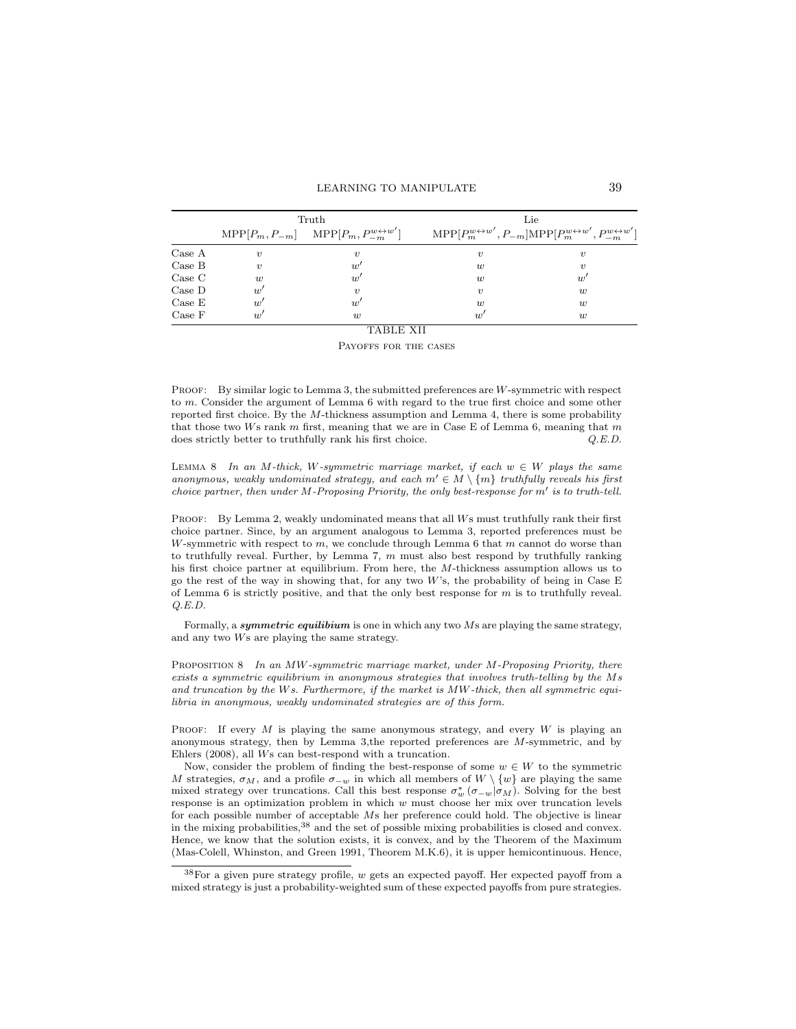|        |                     | Truth                                                                      | Lie                                                                                                                 |                  |  |  |  |  |  |  |  |  |
|--------|---------------------|----------------------------------------------------------------------------|---------------------------------------------------------------------------------------------------------------------|------------------|--|--|--|--|--|--|--|--|
|        |                     | $\text{MPP}[P_m, P_{-m}]$ $\text{MPP}[P_m, P_{-m}^{w \leftrightarrow w'}]$ | $\text{MPP}[P_m^{w\leftrightarrow w'}, P_{-m}] \text{MPP}[P_m^{w\leftrightarrow w'}, P_{-m}^{w\leftrightarrow w'}]$ |                  |  |  |  |  |  |  |  |  |
| Case A | $\boldsymbol{\eta}$ | $\boldsymbol{v}$                                                           | $\boldsymbol{\eta}$                                                                                                 | $\boldsymbol{v}$ |  |  |  |  |  |  |  |  |
| Case B | $\boldsymbol{\eta}$ | w'                                                                         | w                                                                                                                   | $\boldsymbol{v}$ |  |  |  |  |  |  |  |  |
| Case C | w                   | w'                                                                         | $\overline{u}$                                                                                                      | $w^{\cdot}$      |  |  |  |  |  |  |  |  |
| Case D | w'                  | $\boldsymbol{\eta}$                                                        | $\boldsymbol{\eta}$                                                                                                 | w                |  |  |  |  |  |  |  |  |
| Case E | u'                  | w'                                                                         | w                                                                                                                   | w                |  |  |  |  |  |  |  |  |
| Case F | $\overline{w}'$     | $\overline{u}$                                                             | w'                                                                                                                  | w                |  |  |  |  |  |  |  |  |

# TABLE XII

Payoffs for the cases

PROOF: By similar logic to Lemma 3, the submitted preferences are W-symmetric with respect to m. Consider the argument of Lemma 6 with regard to the true first choice and some other reported first choice. By the M-thickness assumption and Lemma 4, there is some probability that those two Ws rank  $m$  first, meaning that we are in Case E of Lemma 6, meaning that  $m$ does strictly better to truthfully rank his first choice.  $Q.E.D.$ 

LEMMA 8 In an M-thick, W-symmetric marriage market, if each  $w \in W$  plays the same anonymous, weakly undominated strategy, and each  $m' \in M \setminus \{m\}$  truthfully reveals his first choice partner, then under  $M$ -Proposing Priority, the only best-response for  $m'$  is to truth-tell.

PROOF: By Lemma 2, weakly undominated means that all Ws must truthfully rank their first choice partner. Since, by an argument analogous to Lemma 3, reported preferences must be W-symmetric with respect to  $m$ , we conclude through Lemma 6 that  $m$  cannot do worse than to truthfully reveal. Further, by Lemma 7,  $m$  must also best respond by truthfully ranking his first choice partner at equilibrium. From here, the M-thickness assumption allows us to go the rest of the way in showing that, for any two W's, the probability of being in Case E of Lemma 6 is strictly positive, and that the only best response for  $m$  is to truthfully reveal. Q.E.D.

Formally, a symmetric equilibium is one in which any two  $Ms$  are playing the same strategy, and any two Ws are playing the same strategy.

PROPOSITION 8 In an MW-symmetric marriage market, under M-Proposing Priority, there exists a symmetric equilibrium in anonymous strategies that involves truth-telling by the Ms and truncation by the Ws. Furthermore, if the market is  $MW$ -thick, then all symmetric equilibria in anonymous, weakly undominated strategies are of this form.

PROOF: If every  $M$  is playing the same anonymous strategy, and every  $W$  is playing an anonymous strategy, then by Lemma 3,the reported preferences are M-symmetric, and by Ehlers (2008), all Ws can best-respond with a truncation.

Now, consider the problem of finding the best-response of some  $w \in W$  to the symmetric M strategies,  $\sigma_M$ , and a profile  $\sigma_{-w}$  in which all members of  $W \setminus \{w\}$  are playing the same mixed strategy over truncations. Call this best response  $\sigma_w^*$  ( $\sigma_{-w}|\sigma_M$ ). Solving for the best response is an optimization problem in which  $w$  must choose her mix over truncation levels for each possible number of acceptable Ms her preference could hold. The objective is linear in the mixing probabilities,<sup>38</sup> and the set of possible mixing probabilities is closed and convex. Hence, we know that the solution exists, it is convex, and by the Theorem of the Maximum (Mas-Colell, Whinston, and Green 1991, Theorem M.K.6), it is upper hemicontinuous. Hence,

 $38$  For a given pure strategy profile, w gets an expected payoff. Her expected payoff from a mixed strategy is just a probability-weighted sum of these expected payoffs from pure strategies.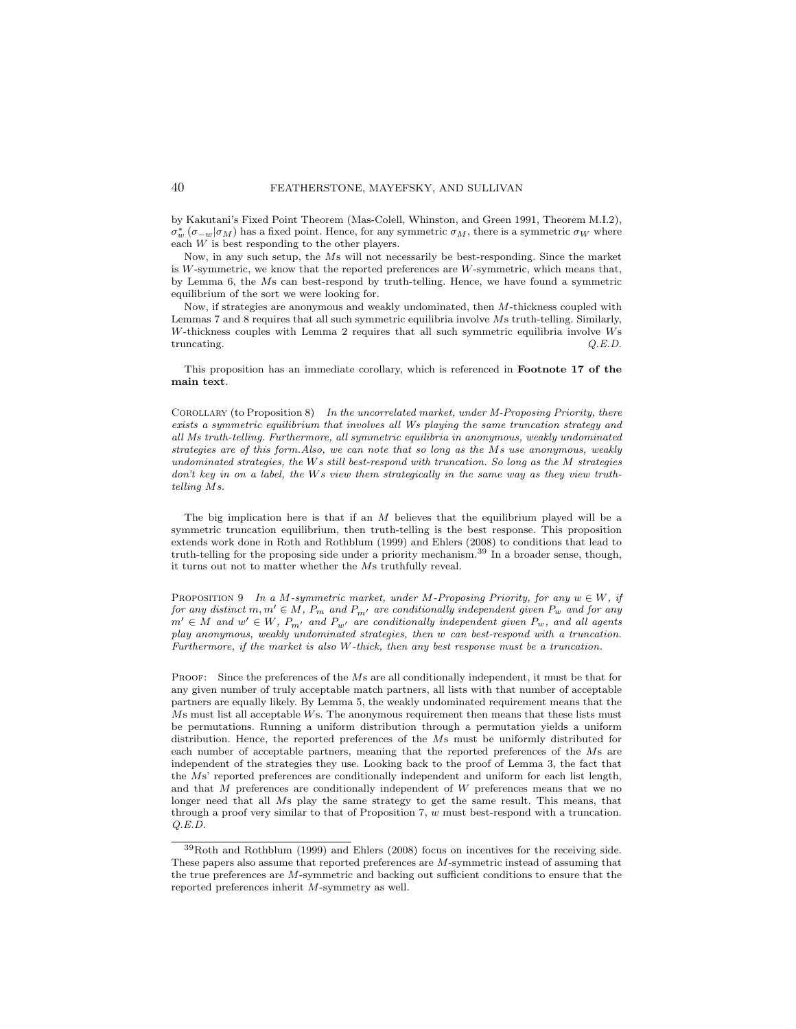by Kakutani's Fixed Point Theorem (Mas-Colell, Whinston, and Green 1991, Theorem M.I.2),  $\sigma_w^*$  ( $\sigma_{-w}|\sigma_M$ ) has a fixed point. Hence, for any symmetric  $\sigma_M$ , there is a symmetric  $\sigma_W$  where each W is best responding to the other players.

Now, in any such setup, the Ms will not necessarily be best-responding. Since the market is  $W$ -symmetric, we know that the reported preferences are  $W$ -symmetric, which means that, by Lemma 6, the Ms can best-respond by truth-telling. Hence, we have found a symmetric equilibrium of the sort we were looking for.

Now, if strategies are anonymous and weakly undominated, then M-thickness coupled with Lemmas 7 and 8 requires that all such symmetric equilibria involve Ms truth-telling. Similarly, W-thickness couples with Lemma 2 requires that all such symmetric equilibria involve Ws truncating.  $Q.E.D.$ 

This proposition has an immediate corollary, which is referenced in Footnote 17 of the main text.

COROLLARY (to Proposition 8) In the uncorrelated market, under  $M$ -Proposing Priority, there exists a symmetric equilibrium that involves all Ws playing the same truncation strategy and all Ms truth-telling. Furthermore, all symmetric equilibria in anonymous, weakly undominated strategies are of this form.Also, we can note that so long as the Ms use anonymous, weakly undominated strategies, the  $Ws$  still best-respond with truncation. So long as the  $M$  strategies don't key in on a label, the Ws view them strategically in the same way as they view truthtelling Ms.

The big implication here is that if an M believes that the equilibrium played will be a symmetric truncation equilibrium, then truth-telling is the best response. This proposition extends work done in Roth and Rothblum (1999) and Ehlers (2008) to conditions that lead to truth-telling for the proposing side under a priority mechanism.<sup>39</sup> In a broader sense, though, it turns out not to matter whether the Ms truthfully reveal.

PROPOSITION 9 In a M-symmetric market, under M-Proposing Priority, for any  $w \in W$ , if for any distinct  $m, m' \in M$ ,  $P_m$  and  $P_{m'}$  are conditionally independent given  $P_w$  and for any  $m' \in M$  and  $w' \in W$ ,  $P_{m'}$  and  $P_{w'}$  are conditionally independent given  $P_w$ , and all agents play anonymous, weakly undominated strategies, then w can best-respond with a truncation. Furthermore, if the market is also W-thick, then any best response must be a truncation.

PROOF: Since the preferences of the Ms are all conditionally independent, it must be that for any given number of truly acceptable match partners, all lists with that number of acceptable partners are equally likely. By Lemma 5, the weakly undominated requirement means that the Ms must list all acceptable Ws. The anonymous requirement then means that these lists must be permutations. Running a uniform distribution through a permutation yields a uniform distribution. Hence, the reported preferences of the Ms must be uniformly distributed for each number of acceptable partners, meaning that the reported preferences of the Ms are independent of the strategies they use. Looking back to the proof of Lemma 3, the fact that the Ms' reported preferences are conditionally independent and uniform for each list length, and that M preferences are conditionally independent of W preferences means that we no longer need that all Ms play the same strategy to get the same result. This means, that through a proof very similar to that of Proposition 7,  $w$  must best-respond with a truncation. Q.E.D.

<sup>39</sup>Roth and Rothblum (1999) and Ehlers (2008) focus on incentives for the receiving side. These papers also assume that reported preferences are M-symmetric instead of assuming that the true preferences are M-symmetric and backing out sufficient conditions to ensure that the reported preferences inherit M-symmetry as well.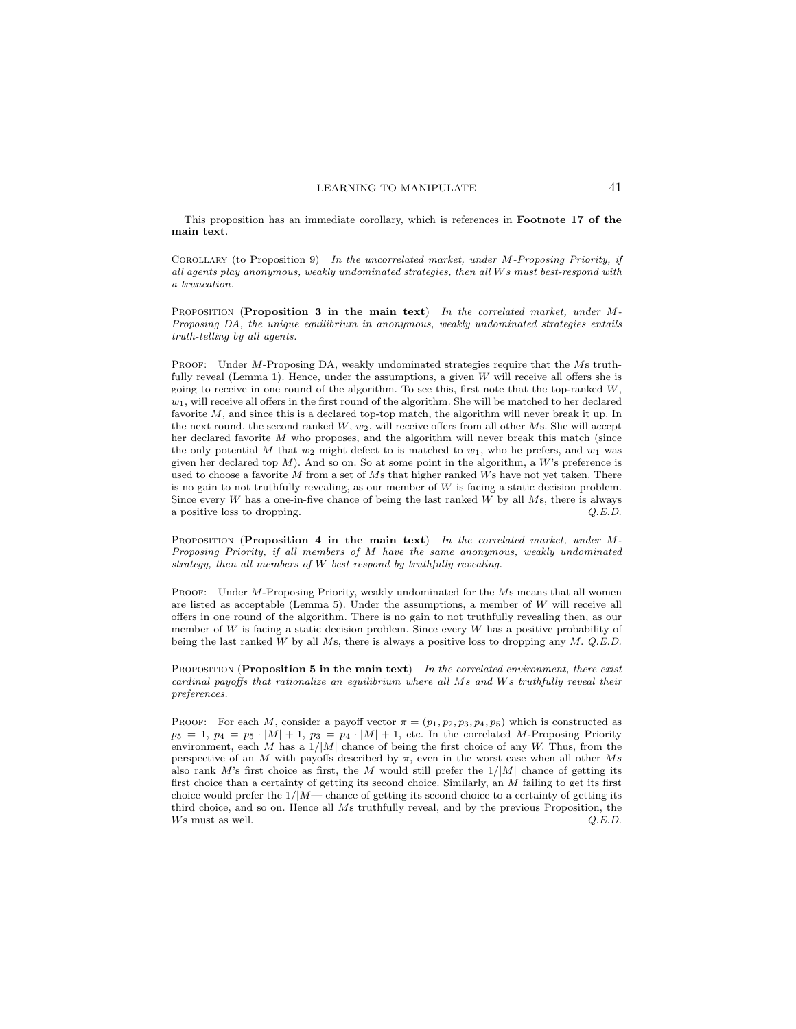This proposition has an immediate corollary, which is references in Footnote 17 of the main text.

COROLLARY (to Proposition 9) In the uncorrelated market, under M-Proposing Priority, if all agents play anonymous, weakly undominated strategies, then all Ws must best-respond with a truncation.

PROPOSITION (Proposition 3 in the main text) In the correlated market, under  $M$ -Proposing DA, the unique equilibrium in anonymous, weakly undominated strategies entails truth-telling by all agents.

PROOF: Under M-Proposing DA, weakly undominated strategies require that the Ms truthfully reveal (Lemma 1). Hence, under the assumptions, a given  $W$  will receive all offers she is going to receive in one round of the algorithm. To see this, first note that the top-ranked  $W$ ,  $w_1$ , will receive all offers in the first round of the algorithm. She will be matched to her declared favorite M, and since this is a declared top-top match, the algorithm will never break it up. In the next round, the second ranked  $W$ ,  $w_2$ , will receive offers from all other  $Ms$ . She will accept her declared favorite M who proposes, and the algorithm will never break this match (since the only potential M that  $w_2$  might defect to is matched to  $w_1$ , who he prefers, and  $w_1$  was given her declared top  $M$ ). And so on. So at some point in the algorithm, a  $W$ 's preference is used to choose a favorite  $M$  from a set of  $Ms$  that higher ranked  $Ws$  have not yet taken. There is no gain to not truthfully revealing, as our member of  $W$  is facing a static decision problem. Since every  $W$  has a one-in-five chance of being the last ranked  $W$  by all  $Ms$ , there is always a positive loss to dropping.  $Q.E.D.$ 

PROPOSITION (Proposition 4 in the main text) In the correlated market, under M-Proposing Priority, if all members of M have the same anonymous, weakly undominated strategy, then all members of W best respond by truthfully revealing.

PROOF: Under M-Proposing Priority, weakly undominated for the Ms means that all women are listed as acceptable (Lemma 5). Under the assumptions, a member of  $W$  will receive all offers in one round of the algorithm. There is no gain to not truthfully revealing then, as our member of  $W$  is facing a static decision problem. Since every  $W$  has a positive probability of being the last ranked W by all Ms, there is always a positive loss to dropping any  $M$ .  $Q.E.D$ .

PROPOSITION (Proposition 5 in the main text) In the correlated environment, there exist cardinal payoffs that rationalize an equilibrium where all Ms and Ws truthfully reveal their preferences.

PROOF: For each M, consider a payoff vector  $\pi = (p_1, p_2, p_3, p_4, p_5)$  which is constructed as  $p_5 = 1, p_4 = p_5 \cdot |M| + 1, p_3 = p_4 \cdot |M| + 1$ , etc. In the correlated M-Proposing Priority environment, each M has a  $1/M$  chance of being the first choice of any W. Thus, from the perspective of an M with payoffs described by  $\pi$ , even in the worst case when all other Ms also rank M's first choice as first, the M would still prefer the  $1/|M|$  chance of getting its first choice than a certainty of getting its second choice. Similarly, an M failing to get its first choice would prefer the  $1/M$ — chance of getting its second choice to a certainty of getting its third choice, and so on. Hence all Ms truthfully reveal, and by the previous Proposition, the  $W$ s must as well.  $Q.E.D.$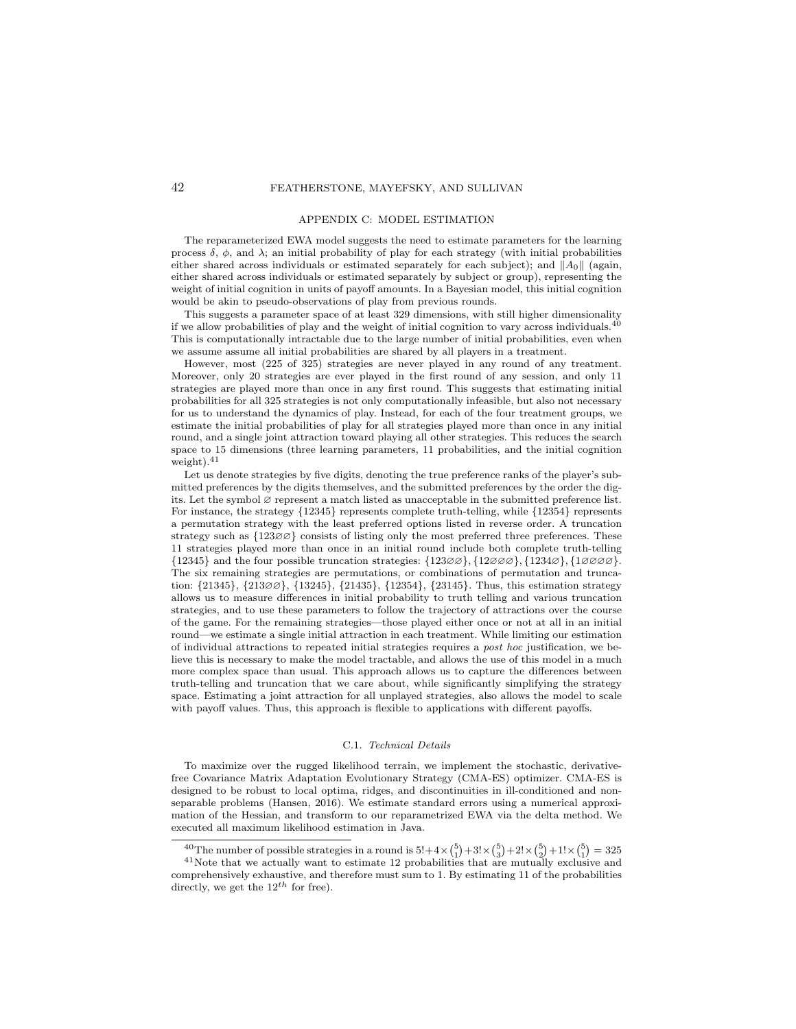#### APPENDIX C: MODEL ESTIMATION

The reparameterized EWA model suggests the need to estimate parameters for the learning process  $\delta$ ,  $\phi$ , and  $\lambda$ ; an initial probability of play for each strategy (with initial probabilities either shared across individuals or estimated separately for each subject); and  $||A_0||$  (again, either shared across individuals or estimated separately by subject or group), representing the weight of initial cognition in units of payoff amounts. In a Bayesian model, this initial cognition would be akin to pseudo-observations of play from previous rounds.

This suggests a parameter space of at least 329 dimensions, with still higher dimensionality if we allow probabilities of play and the weight of initial cognition to vary across individuals. $^{40}$ This is computationally intractable due to the large number of initial probabilities, even when we assume assume all initial probabilities are shared by all players in a treatment.

However, most (225 of 325) strategies are never played in any round of any treatment. Moreover, only 20 strategies are ever played in the first round of any session, and only 11 strategies are played more than once in any first round. This suggests that estimating initial probabilities for all 325 strategies is not only computationally infeasible, but also not necessary for us to understand the dynamics of play. Instead, for each of the four treatment groups, we estimate the initial probabilities of play for all strategies played more than once in any initial round, and a single joint attraction toward playing all other strategies. This reduces the search space to 15 dimensions (three learning parameters, 11 probabilities, and the initial cognition weight).<sup>41</sup>

Let us denote strategies by five digits, denoting the true preference ranks of the player's submitted preferences by the digits themselves, and the submitted preferences by the order the digits. Let the symbol ∅ represent a match listed as unacceptable in the submitted preference list. For instance, the strategy {12345} represents complete truth-telling, while {12354} represents a permutation strategy with the least preferred options listed in reverse order. A truncation strategy such as  ${123\emptyset\emptyset}$  consists of listing only the most preferred three preferences. These 11 strategies played more than once in an initial round include both complete truth-telling  $\{12345\}$  and the four possible truncation strategies:  $\{123\emptyset\}$ ,  $\{123\emptyset\}$ ,  $\{1234\emptyset\}$ ,  $\{1\emptyset\emptyset\emptyset\}$ . The six remaining strategies are permutations, or combinations of permutation and truncation: {21345}, {213∅∅}, {13245}, {21435}, {12354}, {23145}. Thus, this estimation strategy allows us to measure differences in initial probability to truth telling and various truncation strategies, and to use these parameters to follow the trajectory of attractions over the course of the game. For the remaining strategies—those played either once or not at all in an initial round—we estimate a single initial attraction in each treatment. While limiting our estimation of individual attractions to repeated initial strategies requires a post hoc justification, we believe this is necessary to make the model tractable, and allows the use of this model in a much more complex space than usual. This approach allows us to capture the differences between truth-telling and truncation that we care about, while significantly simplifying the strategy space. Estimating a joint attraction for all unplayed strategies, also allows the model to scale with payoff values. Thus, this approach is flexible to applications with different payoffs.

#### C.1. Technical Details

To maximize over the rugged likelihood terrain, we implement the stochastic, derivativefree Covariance Matrix Adaptation Evolutionary Strategy (CMA-ES) optimizer. CMA-ES is designed to be robust to local optima, ridges, and discontinuities in ill-conditioned and nonseparable problems (Hansen, 2016). We estimate standard errors using a numerical approximation of the Hessian, and transform to our reparametrized EWA via the delta method. We executed all maximum likelihood estimation in Java.

<sup>&</sup>lt;sup>40</sup>The number of possible strategies in a round is  $5!+4 \times {5 \choose 1}+3! \times {5 \choose 3}+2! \times {5 \choose 2}+1! \times {5 \choose 1}=325$ 

<sup>41</sup>Note that we actually want to estimate 12 probabilities that are mutually exclusive and comprehensively exhaustive, and therefore must sum to 1. By estimating 11 of the probabilities directly, we get the  $12^{th}$  for free).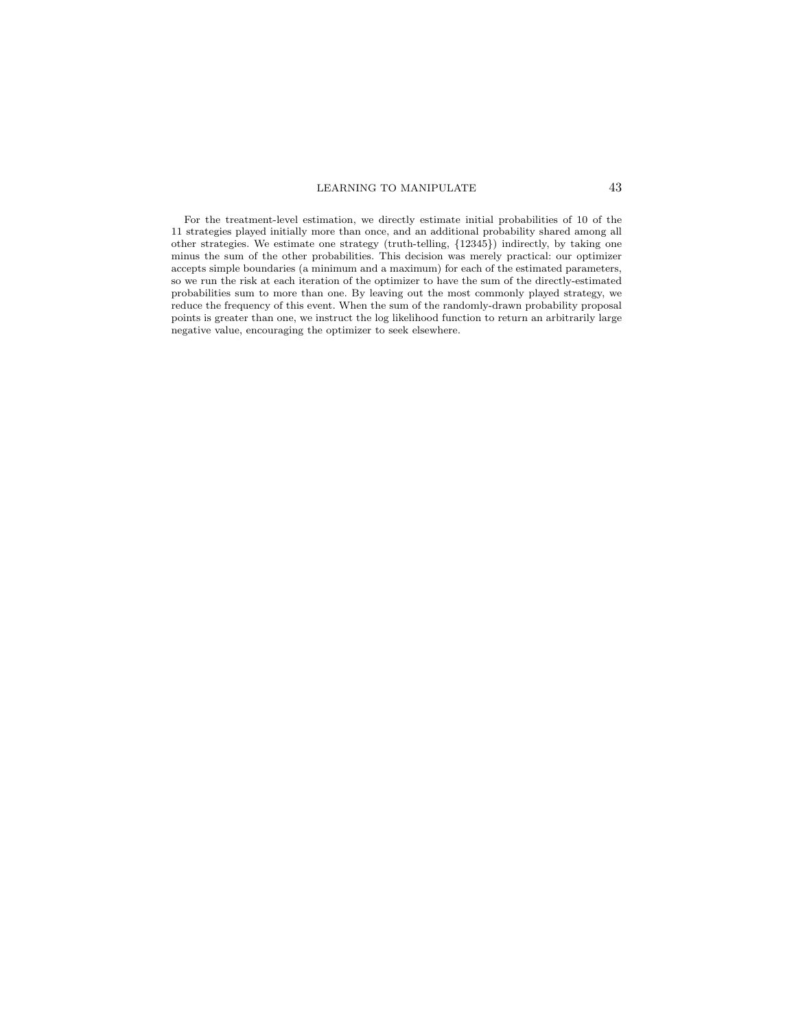For the treatment-level estimation, we directly estimate initial probabilities of 10 of the 11 strategies played initially more than once, and an additional probability shared among all other strategies. We estimate one strategy (truth-telling, {12345}) indirectly, by taking one minus the sum of the other probabilities. This decision was merely practical: our optimizer accepts simple boundaries (a minimum and a maximum) for each of the estimated parameters, so we run the risk at each iteration of the optimizer to have the sum of the directly-estimated probabilities sum to more than one. By leaving out the most commonly played strategy, we reduce the frequency of this event. When the sum of the randomly-drawn probability proposal points is greater than one, we instruct the log likelihood function to return an arbitrarily large negative value, encouraging the optimizer to seek elsewhere.